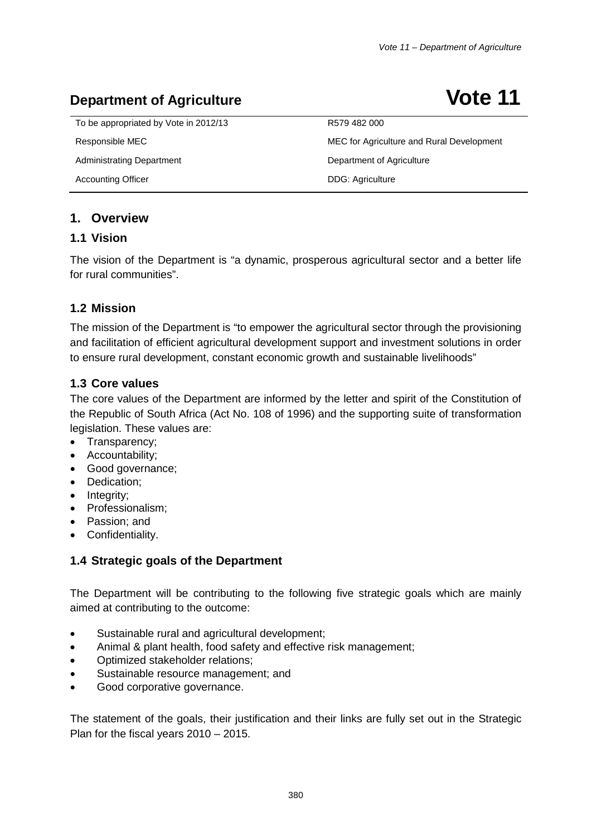# **Department of Agriculture Contract Contract Contract Vote 11**

| To be appropriated by Vote in 2012/13 | R579 482 000                              |
|---------------------------------------|-------------------------------------------|
| Responsible MEC                       | MEC for Agriculture and Rural Development |
| <b>Administrating Department</b>      | Department of Agriculture                 |
| <b>Accounting Officer</b>             | <b>DDG: Agriculture</b>                   |

## **1. Overview**

#### **1.1 Vision**

The vision of the Department is "a dynamic, prosperous agricultural sector and a better life for rural communities".

## **1.2 Mission**

The mission of the Department is "to empower the agricultural sector through the provisioning and facilitation of efficient agricultural development support and investment solutions in order to ensure rural development, constant economic growth and sustainable livelihoods"

#### **1.3 Core values**

The core values of the Department are informed by the letter and spirit of the Constitution of the Republic of South Africa (Act No. 108 of 1996) and the supporting suite of transformation legislation. These values are:

- Transparency;
- Accountability;
- Good governance;
- Dedication;
- Integrity;
- Professionalism;
- Passion; and
- Confidentiality.

## **1.4 Strategic goals of the Department**

The Department will be contributing to the following five strategic goals which are mainly aimed at contributing to the outcome:

- Sustainable rural and agricultural development;
- Animal & plant health, food safety and effective risk management;
- Optimized stakeholder relations;
- Sustainable resource management; and
- Good corporative governance.

The statement of the goals, their justification and their links are fully set out in the Strategic Plan for the fiscal years 2010 – 2015.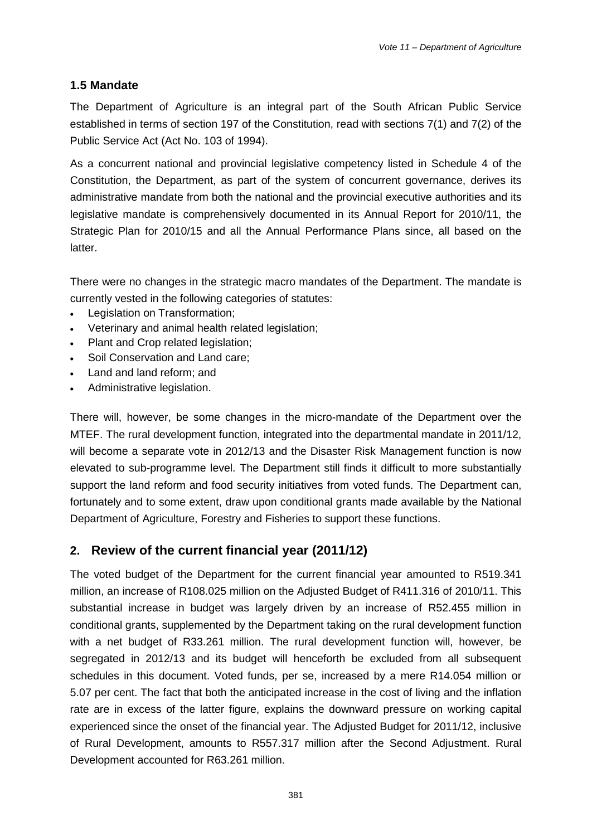#### **1.5 Mandate**

The Department of Agriculture is an integral part of the South African Public Service established in terms of section 197 of the Constitution, read with sections 7(1) and 7(2) of the Public Service Act (Act No. 103 of 1994).

As a concurrent national and provincial legislative competency listed in Schedule 4 of the Constitution, the Department, as part of the system of concurrent governance, derives its administrative mandate from both the national and the provincial executive authorities and its legislative mandate is comprehensively documented in its Annual Report for 2010/11, the Strategic Plan for 2010/15 and all the Annual Performance Plans since, all based on the latter.

There were no changes in the strategic macro mandates of the Department. The mandate is currently vested in the following categories of statutes:

- Legislation on Transformation;
- Veterinary and animal health related legislation;
- Plant and Crop related legislation;
- Soil Conservation and Land care;
- Land and land reform; and
- Administrative legislation.

There will, however, be some changes in the micro-mandate of the Department over the MTEF. The rural development function, integrated into the departmental mandate in 2011/12, will become a separate vote in 2012/13 and the Disaster Risk Management function is now elevated to sub-programme level. The Department still finds it difficult to more substantially support the land reform and food security initiatives from voted funds. The Department can, fortunately and to some extent, draw upon conditional grants made available by the National Department of Agriculture, Forestry and Fisheries to support these functions.

## **2. Review of the current financial year (2011/12)**

The voted budget of the Department for the current financial year amounted to R519.341 million, an increase of R108.025 million on the Adjusted Budget of R411.316 of 2010/11. This substantial increase in budget was largely driven by an increase of R52.455 million in conditional grants, supplemented by the Department taking on the rural development function with a net budget of R33.261 million. The rural development function will, however, be segregated in 2012/13 and its budget will henceforth be excluded from all subsequent schedules in this document. Voted funds, per se, increased by a mere R14.054 million or 5.07 per cent. The fact that both the anticipated increase in the cost of living and the inflation rate are in excess of the latter figure, explains the downward pressure on working capital experienced since the onset of the financial year. The Adjusted Budget for 2011/12, inclusive of Rural Development, amounts to R557.317 million after the Second Adjustment. Rural Development accounted for R63.261 million.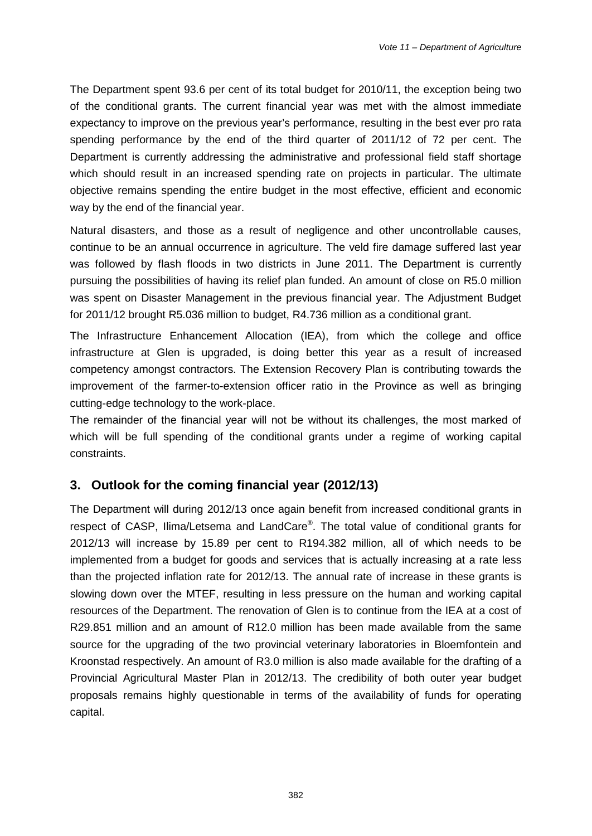The Department spent 93.6 per cent of its total budget for 2010/11, the exception being two of the conditional grants. The current financial year was met with the almost immediate expectancy to improve on the previous year's performance, resulting in the best ever pro rata spending performance by the end of the third quarter of 2011/12 of 72 per cent. The Department is currently addressing the administrative and professional field staff shortage which should result in an increased spending rate on projects in particular. The ultimate objective remains spending the entire budget in the most effective, efficient and economic way by the end of the financial year.

Natural disasters, and those as a result of negligence and other uncontrollable causes, continue to be an annual occurrence in agriculture. The veld fire damage suffered last year was followed by flash floods in two districts in June 2011. The Department is currently pursuing the possibilities of having its relief plan funded. An amount of close on R5.0 million was spent on Disaster Management in the previous financial year. The Adjustment Budget for 2011/12 brought R5.036 million to budget, R4.736 million as a conditional grant.

The Infrastructure Enhancement Allocation (IEA), from which the college and office infrastructure at Glen is upgraded, is doing better this year as a result of increased competency amongst contractors. The Extension Recovery Plan is contributing towards the improvement of the farmer-to-extension officer ratio in the Province as well as bringing cutting-edge technology to the work-place.

The remainder of the financial year will not be without its challenges, the most marked of which will be full spending of the conditional grants under a regime of working capital constraints.

## **3. Outlook for the coming financial year (2012/13)**

The Department will during 2012/13 once again benefit from increased conditional grants in respect of CASP, Ilima/Letsema and LandCare®. The total value of conditional grants for 2012/13 will increase by 15.89 per cent to R194.382 million, all of which needs to be implemented from a budget for goods and services that is actually increasing at a rate less than the projected inflation rate for 2012/13. The annual rate of increase in these grants is slowing down over the MTEF, resulting in less pressure on the human and working capital resources of the Department. The renovation of Glen is to continue from the IEA at a cost of R29.851 million and an amount of R12.0 million has been made available from the same source for the upgrading of the two provincial veterinary laboratories in Bloemfontein and Kroonstad respectively. An amount of R3.0 million is also made available for the drafting of a Provincial Agricultural Master Plan in 2012/13. The credibility of both outer year budget proposals remains highly questionable in terms of the availability of funds for operating capital.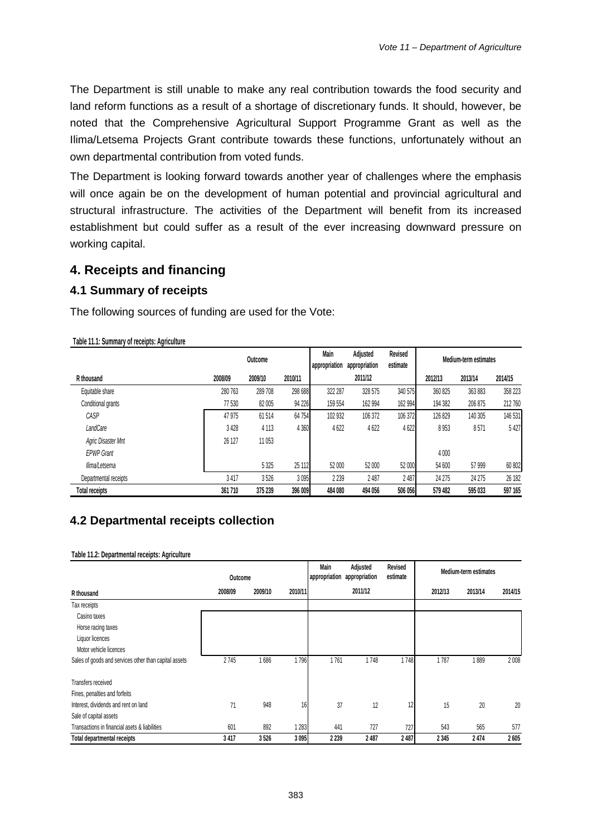The Department is still unable to make any real contribution towards the food security and land reform functions as a result of a shortage of discretionary funds. It should, however, be noted that the Comprehensive Agricultural Support Programme Grant as well as the Ilima/Letsema Projects Grant contribute towards these functions, unfortunately without an own departmental contribution from voted funds.

The Department is looking forward towards another year of challenges where the emphasis will once again be on the development of human potential and provincial agricultural and structural infrastructure. The activities of the Department will benefit from its increased establishment but could suffer as a result of the ever increasing downward pressure on working capital.

## **4. Receipts and financing**

## **4.1 Summary of receipts**

The following sources of funding are used for the Vote:

|                       | Outcome |         |         | Main<br>appropriation | Adjusted<br>appropriation | Revised<br>estimate | Medium-term estimates |         |         |
|-----------------------|---------|---------|---------|-----------------------|---------------------------|---------------------|-----------------------|---------|---------|
| R thousand            | 2008/09 | 2009/10 | 2010/11 |                       | 2011/12                   |                     | 2012/13               | 2013/14 | 2014/15 |
| Equitable share       | 280 763 | 289 708 | 298 688 | 322 287               | 328 575                   | 340 575             | 360 825               | 363 883 | 358 223 |
| Conditional grants    | 77 530  | 82 005  | 94 226  | 159 554               | 162 994                   | 162 994             | 194 382               | 206 875 | 212 760 |
| CASP                  | 47 975  | 61514   | 64 754  | 102 932               | 106 372                   | 106 372             | 126 829               | 140 305 | 146 531 |
| LandCare              | 3 4 28  | 4 1 1 3 | 4 3 6 0 | 4622                  | 4622                      | 4622                | 8953                  | 8571    | 5427    |
| Agric Disaster Mnt    | 26 127  | 11053   |         |                       |                           |                     |                       |         |         |
| <b>EPWP Grant</b>     |         |         |         |                       |                           |                     | 4 0 0 0               |         |         |
| Ilima/Letsema         |         | 5 3 2 5 | 25 112  | 52 000                | 52 000                    | 52 000              | 54 600                | 57 999  | 60 802  |
| Departmental receipts | 3 4 1 7 | 3526    | 3095    | 2239                  | 2487                      | 2487                | 24 275                | 24 275  | 26 182  |
| <b>Total receipts</b> | 361710  | 375 239 | 396 009 | 484 080               | 494 056                   | 506 056             | 579 482               | 595 033 | 597 165 |

**Table 11.1: Summary of receipts: Agriculture**

## **4.2 Departmental receipts collection**

**Table 11.2: Departmental receipts: Agriculture**

|                                                       |         |         |         | Main                                       | Adjusted | Revised | Medium-term estimates |         |         |
|-------------------------------------------------------|---------|---------|---------|--------------------------------------------|----------|---------|-----------------------|---------|---------|
|                                                       | Outcome |         |         | appropriation<br>appropriation<br>estimate |          |         |                       |         |         |
| R thousand                                            | 2008/09 | 2009/10 | 2010/11 |                                            | 2011/12  |         | 2012/13               | 2013/14 | 2014/15 |
| Tax receipts                                          |         |         |         |                                            |          |         |                       |         |         |
| Casino taxes                                          |         |         |         |                                            |          |         |                       |         |         |
| Horse racing taxes                                    |         |         |         |                                            |          |         |                       |         |         |
| Liquor licences                                       |         |         |         |                                            |          |         |                       |         |         |
| Motor vehicle licences                                |         |         |         |                                            |          |         |                       |         |         |
| Sales of goods and services other than capital assets | 2745    | 1686    | 1796    | 1761                                       | 1748     | 1748    | 1787                  | 1889    | 2008    |
| Transfers received                                    |         |         |         |                                            |          |         |                       |         |         |
| Fines, penalties and forfeits                         |         |         |         |                                            |          |         |                       |         |         |
| Interest, dividends and rent on land                  | 71      | 948     | 16      | 37                                         | 12       | 12      | 15                    | 20      | 20      |
| Sale of capital assets                                |         |         |         |                                            |          |         |                       |         |         |
| Transactions in financial asets & liabilities         | 601     | 892     | 1283    | 441                                        | 727      | 727     | 543                   | 565     | 577     |
| <b>Total departmental receipts</b>                    | 3417    | 3526    | 3095    | 2 2 3 9                                    | 2 4 8 7  | 2487    | 2 3 4 5               | 2474    | 2605    |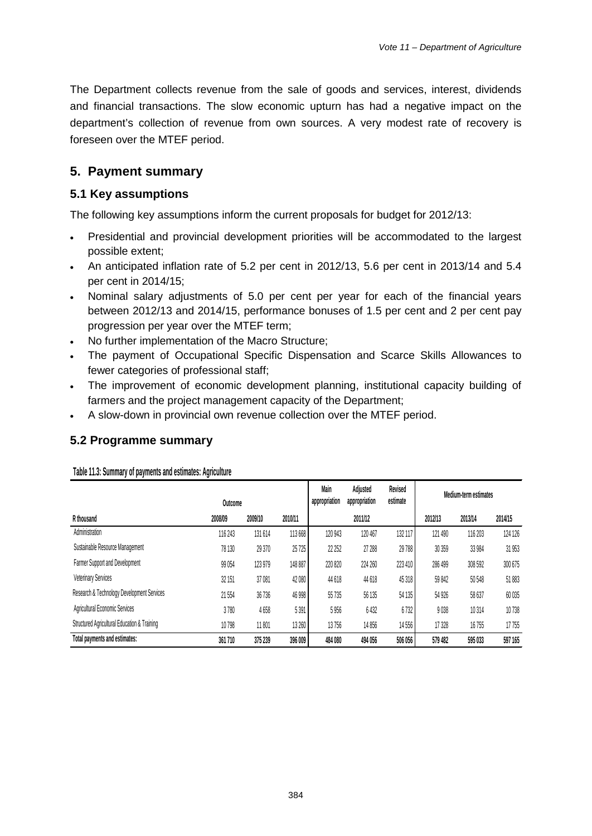The Department collects revenue from the sale of goods and services, interest, dividends and financial transactions. The slow economic upturn has had a negative impact on the department's collection of revenue from own sources. A very modest rate of recovery is foreseen over the MTEF period.

## **5. Payment summary**

#### **5.1 Key assumptions**

The following key assumptions inform the current proposals for budget for 2012/13:

- Presidential and provincial development priorities will be accommodated to the largest possible extent;
- An anticipated inflation rate of 5.2 per cent in 2012/13, 5.6 per cent in 2013/14 and 5.4 per cent in 2014/15;
- Nominal salary adjustments of 5.0 per cent per year for each of the financial years between 2012/13 and 2014/15, performance bonuses of 1.5 per cent and 2 per cent pay progression per year over the MTEF term;
- No further implementation of the Macro Structure;
- The payment of Occupational Specific Dispensation and Scarce Skills Allowances to fewer categories of professional staff;
- The improvement of economic development planning, institutional capacity building of farmers and the project management capacity of the Department;
- A slow-down in provincial own revenue collection over the MTEF period.

## **5.2 Programme summary**

|                                              | Outcome |         |         | Main<br>appropriation | Adjusted<br>appropriation | Revised<br>estimate | Medium-term estimates |         |         |
|----------------------------------------------|---------|---------|---------|-----------------------|---------------------------|---------------------|-----------------------|---------|---------|
| R thousand                                   | 2008/09 | 2009/10 | 2010/11 |                       | 2011/12                   |                     | 2012/13               | 2013/14 | 2014/15 |
| Administration                               | 116 243 | 131614  | 113668  | 120 943               | 120 467                   | 132 117             | 121 490               | 116 203 | 124 126 |
| Sustainable Resource Management              | 78 130  | 29 370  | 25 7 25 | 22 252                | 27 288                    | 29788               | 30 359                | 33 984  | 31 953  |
| Farmer Support and Development               | 99 054  | 123 979 | 148 887 | 220 820               | 224 260                   | 223 410             | 286 499               | 308 592 | 300 675 |
| <b>Veterinary Services</b>                   | 32 151  | 37081   | 42 080  | 44 618                | 44 618                    | 45 318              | 59842                 | 50 548  | 51883   |
| Research & Technology Development Services   | 21 554  | 36 736  | 46 998  | 55 735                | 56 135                    | 54 135              | 54 926                | 58 637  | 60 035  |
| Agricultural Economic Services               | 3780    | 4658    | 5 3 9 1 | 5956                  | 6432                      | 6732                | 9038                  | 10 3 14 | 10738   |
| Structured Agricultural Education & Training | 10798   | 11801   | 13 260  | 13756                 | 14856                     | 14556               | 17 328                | 16 755  | 17755   |
| Total payments and estimates:                | 361710  | 375 239 | 396 009 | 484 080               | 494 056                   | 506 056             | 579 482               | 595 033 | 597 165 |

**Table 11.3: Summary of payments and estimates: Agriculture**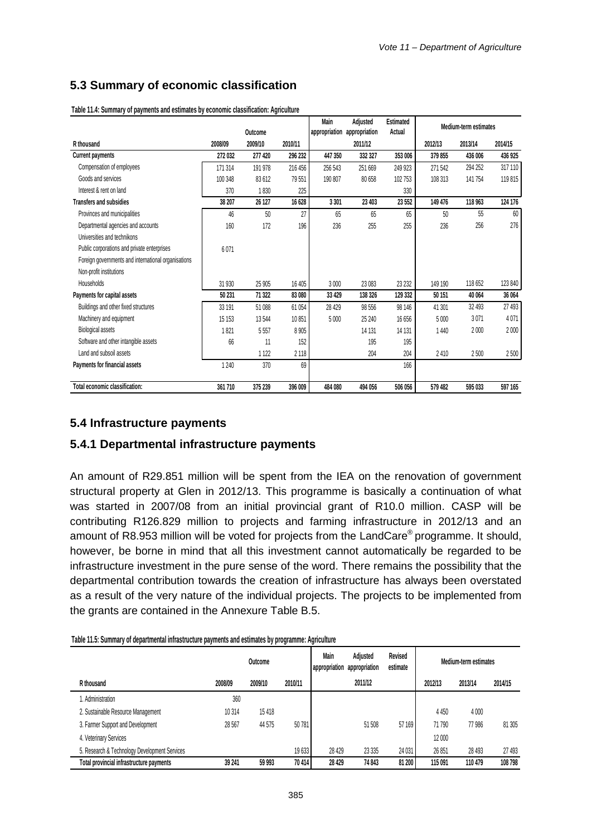## **5.3 Summary of economic classification**

|                                                     |         | Outcome |         | Main<br>appropriation | Adjusted<br>appropriation | Estimated<br>Actual | Medium-term estimates |         |         |
|-----------------------------------------------------|---------|---------|---------|-----------------------|---------------------------|---------------------|-----------------------|---------|---------|
| R thousand                                          | 2008/09 | 2009/10 | 2010/11 |                       | 2011/12                   |                     | 2012/13               | 2013/14 | 2014/15 |
| <b>Current payments</b>                             | 272 032 | 277 420 | 296 232 | 447 350               | 332 327                   | 353 006             | 379 855               | 436 006 | 436 925 |
| Compensation of employees                           | 171 314 | 191 978 | 216 456 | 256 543               | 251 669                   | 249 923             | 271542                | 294 252 | 317 110 |
| Goods and services                                  | 100 348 | 83 612  | 79 551  | 190 807               | 80 658                    | 102 753             | 108 313               | 141 754 | 119815  |
| Interest & rent on land                             | 370     | 1830    | 225     |                       |                           | 330                 |                       |         |         |
| <b>Transfers and subsidies</b>                      | 38 207  | 26 127  | 16 628  | 3 3 0 1               | 23 403                    | 23 552              | 149 476               | 118 963 | 124 176 |
| Provinces and municipalities                        | 46      | 50      | 27      | 65                    | 65                        | 65                  | 50                    | 55      | 60      |
| Departmental agencies and accounts                  | 160     | 172     | 196     | 236                   | 255                       | 255                 | 236                   | 256     | 276     |
| Universities and technikons                         |         |         |         |                       |                           |                     |                       |         |         |
| Public corporations and private enterprises         | 6071    |         |         |                       |                           |                     |                       |         |         |
| Foreign governments and international organisations |         |         |         |                       |                           |                     |                       |         |         |
| Non-profit institutions                             |         |         |         |                       |                           |                     |                       |         |         |
| <b>Households</b>                                   | 31 930  | 25 905  | 16 405  | 3000                  | 23 083                    | 23 232              | 149 190               | 118 652 | 123 840 |
| Payments for capital assets                         | 50 231  | 71 322  | 83 080  | 33 4 29               | 138 326                   | 129 332             | 50 151                | 40 0 64 | 36 064  |
| Buildings and other fixed structures                | 33 191  | 51 088  | 61 054  | 28 4 29               | 98 556                    | 98 146              | 41 301                | 32 493  | 27 493  |
| Machinery and equipment                             | 15 15 3 | 13544   | 10851   | 5 0 0 0               | 25 240                    | 16 656              | 5 0 0 0               | 3071    | 4071    |
| <b>Biological assets</b>                            | 1821    | 5557    | 8 9 0 5 |                       | 14 131                    | 14 131              | 1440                  | 2000    | 2000    |
| Software and other intangible assets                | 66      | 11      | 152     |                       | 195                       | 195                 |                       |         |         |
| Land and subsoil assets                             |         | 1 1 2 2 | 2 1 18  |                       | 204                       | 204                 | 2410                  | 2500    | 2500    |
| Payments for financial assets                       | 1 240   | 370     | 69      |                       |                           | 166                 |                       |         |         |
| Total economic classification:                      | 361 710 | 375 239 | 396 009 | 484 080               | 494 056                   | 506 056             | 579 482               | 595 033 | 597 165 |

**Table 11.4: Summary of payments and estimates by economic classification: Agriculture**

## **5.4 Infrastructure payments**

## **5.4.1 Departmental infrastructure payments**

An amount of R29.851 million will be spent from the IEA on the renovation of government structural property at Glen in 2012/13. This programme is basically a continuation of what was started in 2007/08 from an initial provincial grant of R10.0 million. CASP will be contributing R126.829 million to projects and farming infrastructure in 2012/13 and an amount of R8.953 million will be voted for projects from the LandCare® programme. It should, however, be borne in mind that all this investment cannot automatically be regarded to be infrastructure investment in the pure sense of the word. There remains the possibility that the departmental contribution towards the creation of infrastructure has always been overstated as a result of the very nature of the individual projects. The projects to be implemented from the grants are contained in the Annexure Table B.5.

**Table 11.5: Summary of departmental infrastructure payments and estimates by programme: Agriculture**

|                                               | Outcome |          |         | Main<br>appropriation appropriation | Adjusted | Revised<br>estimate |         | Medium-term estimates |         |
|-----------------------------------------------|---------|----------|---------|-------------------------------------|----------|---------------------|---------|-----------------------|---------|
| R thousand                                    | 2008/09 | 2009/10  | 2010/11 |                                     | 2011/12  |                     | 2012/13 | 2013/14               | 2014/15 |
| . Administration                              | 360     |          |         |                                     |          |                     |         |                       |         |
| 2. Sustainable Resource Management            | 10 3 14 | 15 4 18  |         |                                     |          |                     | 4 4 5 0 | 4 0 0 0               |         |
| 3. Farmer Support and Development             | 28 567  | 44 5 7 5 | 50781   |                                     | 51 508   | 57 169              | 71 790  | 77 986                | 81 30 5 |
| 4. Veterinary Services                        |         |          |         |                                     |          |                     | 12 000  |                       |         |
| 5. Research & Technology Development Services |         |          | 19633   | 28 4 29                             | 23 3 35  | 24 0 31             | 26851   | 28 4 93               | 27 493  |
| Total provincial infrastructure payments      | 39 241  | 59 993   | 70414   | 28 4 29                             | 74 843   | 81 200              | 115 091 | 110 479               | 108 798 |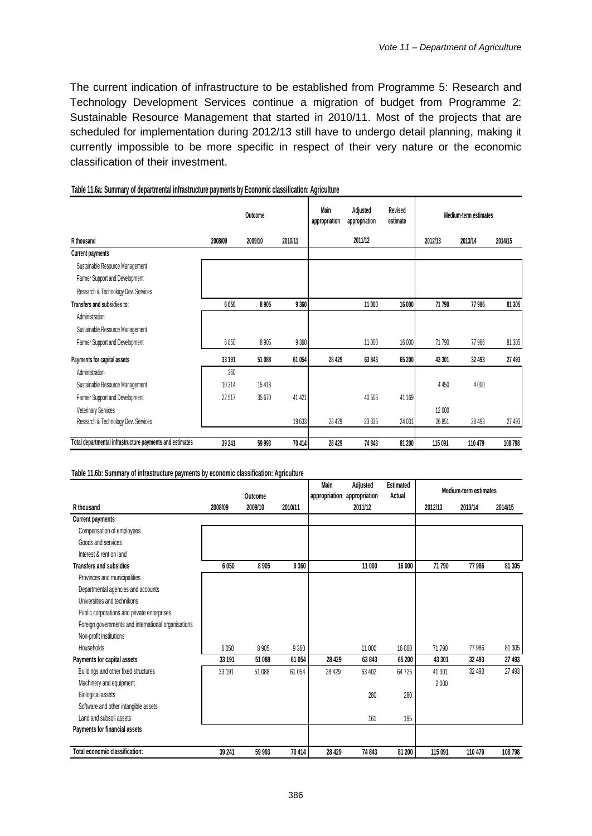The current indication of infrastructure to be established from Programme 5: Research and Technology Development Services continue a migration of budget from Programme 2: Sustainable Resource Management that started in 2010/11. Most of the projects that are scheduled for implementation during 2012/13 still have to undergo detail planning, making it currently impossible to be more specific in respect of their very nature or the economic classification of their investment.

|                                                          |         | Outcome |         | Main<br>appropriation | Adjusted<br>appropriation | Revised<br>estimate | Medium-term estimates |         |         |  |
|----------------------------------------------------------|---------|---------|---------|-----------------------|---------------------------|---------------------|-----------------------|---------|---------|--|
| R thousand                                               | 2008/09 | 2009/10 | 2010/11 |                       | 2011/12                   |                     | 2012/13               | 2013/14 | 2014/15 |  |
| <b>Current payments</b>                                  |         |         |         |                       |                           |                     |                       |         |         |  |
| Sustainable Resource Management                          |         |         |         |                       |                           |                     |                       |         |         |  |
| Farmer Support and Development                           |         |         |         |                       |                           |                     |                       |         |         |  |
| Research & Technology Dev. Services                      |         |         |         |                       |                           |                     |                       |         |         |  |
| Transfers and subsidies to:                              | 6050    | 8 9 0 5 | 9360    |                       | 11 000                    | 16 000              | 71790                 | 77986   | 81 30 5 |  |
| Administration                                           |         |         |         |                       |                           |                     |                       |         |         |  |
| Sustainable Resource Management                          |         |         |         |                       |                           |                     |                       |         |         |  |
| Farmer Support and Development                           | 6050    | 8 9 0 5 | 9360    |                       | 11 000                    | 16 000              | 71790                 | 77986   | 81 30 5 |  |
| Payments for capital assets                              | 33 191  | 51 088  | 61 054  | 28 4 29               | 63 843                    | 65 200              | 43 301                | 32 493  | 27 493  |  |
| Administration                                           | 360     |         |         |                       |                           |                     |                       |         |         |  |
| Sustainable Resource Management                          | 10 3 14 | 15 4 18 |         |                       |                           |                     | 4 4 5 0               | 4000    |         |  |
| Farmer Support and Development                           | 22517   | 35 670  | 41 421  |                       | 40 508                    | 41 169              |                       |         |         |  |
| <b>Veterinary Services</b>                               |         |         |         |                       |                           |                     | 12 000                |         |         |  |
| Research & Technology Dev. Services                      |         |         | 19633   | 28 4 29               | 23 335                    | 24 0 31             | 26851                 | 28 4 93 | 27 493  |  |
| Total departmental infrastructure payments and estimates | 39 241  | 59 993  | 70414   | 28 4 29               | 74 843                    | 81 200              | 115 091               | 110 479 | 108 798 |  |

#### **Table 11.6a: Summary of departmental infrastructure payments by Economic classification: Agriculture**

#### **Table 11.6b: Summary of infrastructure payments by economic classification: Agriculture**

|                                                     |         |         |         | Main          | Adjusted      | Estimated |         | Medium-term estimates |         |
|-----------------------------------------------------|---------|---------|---------|---------------|---------------|-----------|---------|-----------------------|---------|
|                                                     |         | Outcome |         | appropriation | appropriation | Actual    |         |                       |         |
| R thousand                                          | 2008/09 | 2009/10 | 2010/11 |               | 2011/12       |           | 2012/13 | 2013/14               | 2014/15 |
| <b>Current payments</b>                             |         |         |         |               |               |           |         |                       |         |
| Compensation of employees                           |         |         |         |               |               |           |         |                       |         |
| Goods and services                                  |         |         |         |               |               |           |         |                       |         |
| Interest & rent on land                             |         |         |         |               |               |           |         |                       |         |
| <b>Transfers and subsidies</b>                      | 6050    | 8 9 0 5 | 9 3 6 0 |               | 11 000        | 16 000    | 71790   | 77986                 | 81 30 5 |
| Provinces and municipalities                        |         |         |         |               |               |           |         |                       |         |
| Departmental agencies and accounts                  |         |         |         |               |               |           |         |                       |         |
| Universities and technikons                         |         |         |         |               |               |           |         |                       |         |
| Public corporations and private enterprises         |         |         |         |               |               |           |         |                       |         |
| Foreign governments and international organisations |         |         |         |               |               |           |         |                       |         |
| Non-profit institutions                             |         |         |         |               |               |           |         |                       |         |
| Households                                          | 6050    | 8 9 0 5 | 9360    |               | 11 000        | 16 000    | 71 790  | 77 986                | 81 305  |
| Payments for capital assets                         | 33 191  | 51088   | 61 054  | 28 4 29       | 63843         | 65 200    | 43 301  | 32 493                | 27 493  |
| Buildings and other fixed structures                | 33 191  | 51 088  | 61 054  | 28 4 29       | 63 402        | 64 725    | 41 301  | 32 493                | 27 493  |
| Machinery and equipment                             |         |         |         |               |               |           | 2000    |                       |         |
| Biological assets                                   |         |         |         |               | 280           | 280       |         |                       |         |
| Software and other intangible assets                |         |         |         |               |               |           |         |                       |         |
| Land and subsoil assets                             |         |         |         |               | 161           | 195       |         |                       |         |
| Payments for financial assets                       |         |         |         |               |               |           |         |                       |         |
| Total economic classification:                      | 39 241  | 59 993  | 70 414  | 28 4 29       | 74 843        | 81 200    | 115 091 | 110 479               | 108 798 |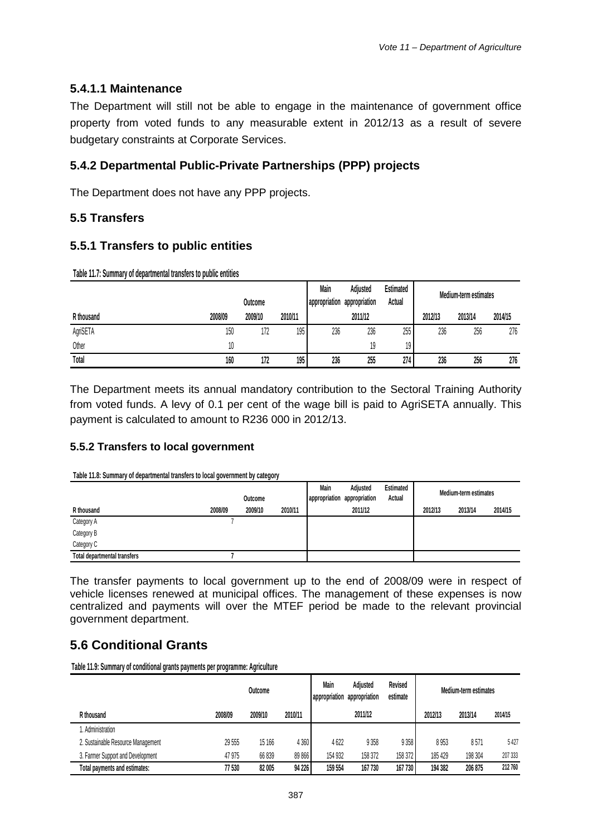## **5.4.1.1 Maintenance**

The Department will still not be able to engage in the maintenance of government office property from voted funds to any measurable extent in 2012/13 as a result of severe budgetary constraints at Corporate Services.

## **5.4.2 Departmental Public-Private Partnerships (PPP) projects**

The Department does not have any PPP projects.

## **5.5 Transfers**

#### **5.5.1 Transfers to public entities**

**Table 11.7: Summary of departmental transfers to public entities**

|            |         | Outcome |         | Main<br>appropriation | Adjusted<br>appropriation | <b>Estimated</b><br>Actual | Medium-term estimates |         |         |
|------------|---------|---------|---------|-----------------------|---------------------------|----------------------------|-----------------------|---------|---------|
| R thousand | 2008/09 | 2009/10 | 2010/11 |                       | 2011/12                   |                            | 2012/13               | 2013/14 | 2014/15 |
| AgriSETA   | 150     | 172     | 195     | 236                   | 236                       | 255                        | 236                   | 256     | 276     |
| Other      | 10      |         |         |                       | 19                        | 19 <sub>1</sub>            |                       |         |         |
| Total      | 160     | 172     | 195     | 236                   | 255                       | 274                        | 236                   | 256     | 276     |

The Department meets its annual mandatory contribution to the Sectoral Training Authority from voted funds. A levy of 0.1 per cent of the wage bill is paid to AgriSETA annually. This payment is calculated to amount to R236 000 in 2012/13.

## **5.5.2 Transfers to local government**

**Table 11.8: Summary of departmental transfers to local government by category**

|                              |         | Outcome |         | Main<br>appropriation appropriation | Adjusted | Estimated<br>Actual | Medium-term estimates |         |         |
|------------------------------|---------|---------|---------|-------------------------------------|----------|---------------------|-----------------------|---------|---------|
| R thousand                   | 2008/09 | 2009/10 | 2010/11 |                                     | 2011/12  |                     | 2012/13               | 2013/14 | 2014/15 |
| Category A                   |         |         |         |                                     |          |                     |                       |         |         |
| Category B                   |         |         |         |                                     |          |                     |                       |         |         |
| Category C                   |         |         |         |                                     |          |                     |                       |         |         |
| Total departmental transfers |         |         |         |                                     |          |                     |                       |         |         |

The transfer payments to local government up to the end of 2008/09 were in respect of vehicle licenses renewed at municipal offices. The management of these expenses is now centralized and payments will over the MTEF period be made to the relevant provincial government department.

## **5.6 Conditional Grants**

**Table 11.9: Summary of conditional grants payments per programme: Agriculture**

|                                    |         | Outcome |         | Main<br>appropriation | Adjusted<br>appropriation | Revised<br>estimate |         | Medium term estimates |         |
|------------------------------------|---------|---------|---------|-----------------------|---------------------------|---------------------|---------|-----------------------|---------|
| R thousand                         | 2008/09 | 2009/10 | 2010/11 |                       | 2011/12                   |                     | 2012/13 | 2013/14               | 2014/15 |
| . Administration                   |         |         |         |                       |                           |                     |         |                       |         |
| 2. Sustainable Resource Management | 29 555  | 15 16 6 | 4 360   | 4622                  | 9 3 5 8                   | 9358                | 8953    | 8571                  | 5427    |
| 3. Farmer Support and Development  | 47 975  | 66839   | 89 866  | 154 932               | 158 372                   | 158 372             | 185 429 | 198 304               | 207 333 |
| Total payments and estimates:      | 77530   | 82 005  | 94 226  | 159 554               | 167 730                   | 167 730             | 194 382 | 206 875               | 212 760 |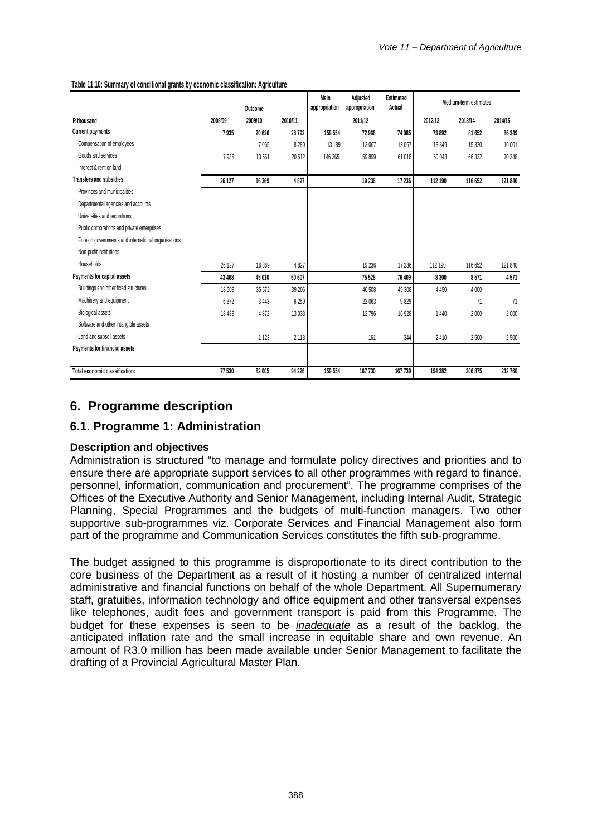|                                                     |          |         |          | Main<br>appropriation | Adjusted<br>appropriation | Estimated<br>Actual |         | Medium-term estimates |         |  |
|-----------------------------------------------------|----------|---------|----------|-----------------------|---------------------------|---------------------|---------|-----------------------|---------|--|
|                                                     |          | Outcome |          |                       |                           |                     |         |                       |         |  |
| R thousand                                          | 2008/09  | 2009/10 | 2010/11  |                       | 2011/12                   |                     | 2012/13 | 2013/14               | 2014/15 |  |
| <b>Current payments</b>                             | 7935     | 20 6 26 | 28 7 9 2 | 159 554               | 72966                     | 74 085              | 73892   | 81 652                | 86 349  |  |
| Compensation of employees                           |          | 7065    | 8 2 8 0  | 13 189                | 13 067                    | 13 067              | 13849   | 15 3 20               | 16 001  |  |
| Goods and services                                  | 7935     | 13561   | 20512    | 146 365               | 59 899                    | 61018               | 60 043  | 66 332                | 70 348  |  |
| Interest & rent on land                             |          |         |          |                       |                           |                     |         |                       |         |  |
| Transfers and subsidies                             | 26 127   | 16 369  | 4827     |                       | 19 236                    | 17 236              | 112 190 | 116 652               | 121 840 |  |
| Provinces and municipalities                        |          |         |          |                       |                           |                     |         |                       |         |  |
| Departmental agencies and accounts                  |          |         |          |                       |                           |                     |         |                       |         |  |
| Universities and technikons                         |          |         |          |                       |                           |                     |         |                       |         |  |
| Public corporations and private enterprises         |          |         |          |                       |                           |                     |         |                       |         |  |
| Foreign governments and international organisations |          |         |          |                       |                           |                     |         |                       |         |  |
| Non-profit institutions                             |          |         |          |                       |                           |                     |         |                       |         |  |
| Households                                          | 26 127   | 16 369  | 4827     |                       | 19 236                    | 17 236              | 112 190 | 116 652               | 121 840 |  |
| Payments for capital assets                         | 43 468   | 45 010  | 60 607   |                       | 75 5 28                   | 76 409              | 8 3 0 0 | 8571                  | 4571    |  |
| Buildings and other fixed structures                | 18 608   | 35 5 72 | 39 20 6  |                       | 40 508                    | 49 30 8             | 4 4 5 0 | 4 0 0 0               |         |  |
| Machinery and equipment                             | 6372     | 3 4 4 3 | 6 2 5 0  |                       | 22 063                    | 9829                |         | 71                    | 71      |  |
| <b>Biological assets</b>                            | 18 4 8 8 | 4872    | 13 0 33  |                       | 12 796                    | 16 928              | 1 4 4 0 | 2000                  | 2000    |  |
| Software and other intangible assets                |          |         |          |                       |                           |                     |         |                       |         |  |
| Land and subsoil assets                             |          | 1123    | 2 1 1 8  |                       | 161                       | 344                 | 2410    | 2500                  | 2500    |  |
| Payments for financial assets                       |          |         |          |                       |                           |                     |         |                       |         |  |
|                                                     |          |         |          |                       |                           |                     |         |                       |         |  |
| Total economic classification:                      | 77530    | 82 005  | 94 226   | 159 554               | 167 730                   | 167 730             | 194 382 | 206 875               | 212 760 |  |

#### **Table 11.10: Summary of conditional grants by economic classification: Agriculture**

## **6. Programme description**

#### **6.1. Programme 1: Administration**

#### **Description and objectives**

Administration is structured "to manage and formulate policy directives and priorities and to ensure there are appropriate support services to all other programmes with regard to finance, personnel, information, communication and procurement". The programme comprises of the Offices of the Executive Authority and Senior Management, including Internal Audit, Strategic Planning, Special Programmes and the budgets of multi-function managers. Two other supportive sub-programmes viz. Corporate Services and Financial Management also form part of the programme and Communication Services constitutes the fifth sub-programme.

The budget assigned to this programme is disproportionate to its direct contribution to the core business of the Department as a result of it hosting a number of centralized internal administrative and financial functions on behalf of the whole Department. All Supernumerary staff, gratuities, information technology and office equipment and other transversal expenses like telephones, audit fees and government transport is paid from this Programme. The budget for these expenses is seen to be *inadequate* as a result of the backlog, the anticipated inflation rate and the small increase in equitable share and own revenue. An amount of R3.0 million has been made available under Senior Management to facilitate the drafting of a Provincial Agricultural Master Plan.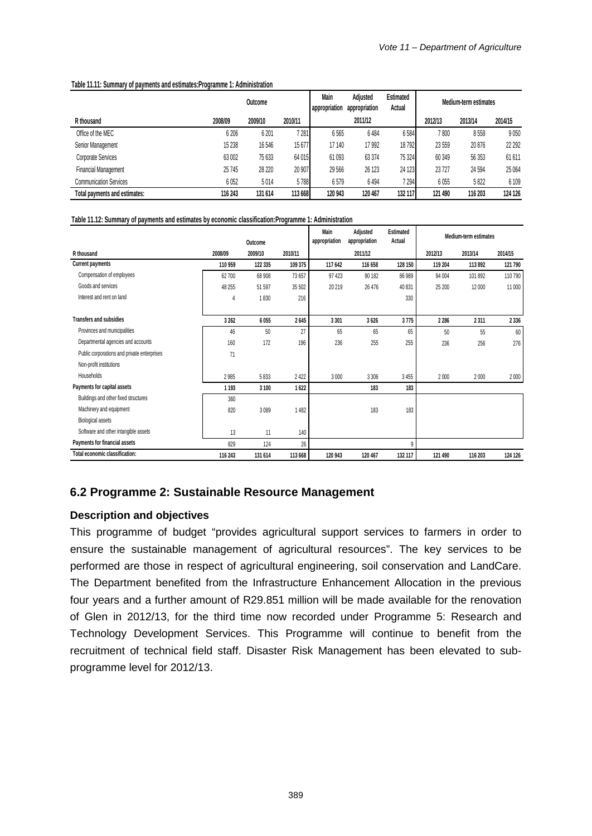#### **Table 11.11: Summary of payments and estimates:Programme 1: Administration**

|                               | Outcome |         |         | Main<br>appropriation | Adjusted<br>appropriation | Estimated<br>Actual | Medium-term estimates |         |         |
|-------------------------------|---------|---------|---------|-----------------------|---------------------------|---------------------|-----------------------|---------|---------|
| R thousand                    | 2008/09 | 2009/10 | 2010/11 |                       | 2011/12                   |                     | 2012/13               | 2013/14 | 2014/15 |
| Office of the MEC             | 6 20 6  | 6 201   | 7 281   | 6565                  | 6484                      | 6584                | 7800                  | 8558    | 9050    |
| Senior Management             | 15 238  | 16546   | 15677   | 17 140                | 17 992                    | 18792               | 23 559                | 20876   | 22 29 2 |
| <b>Corporate Services</b>     | 63 002  | 75 633  | 64 015  | 61093                 | 63 374                    | 75 324              | 60 349                | 56 353  | 61 611  |
| <b>Financial Management</b>   | 25 745  | 28 2 20 | 20 907  | 29566                 | 26 123                    | 24 123              | 23727                 | 24 5 94 | 25 064  |
| <b>Communication Services</b> | 6052    | 5014    | 5788    | 6579                  | 6494                      | 7294                | 6055                  | 5822    | 6109    |
| Total payments and estimates: | 116 243 | 131 614 | 113 668 | 120 943               | 120 467                   | 132 117             | 121 490               | 116 203 | 124 126 |

#### **Table 11.12: Summary of payments and estimates by economic classification:Programme 1: Administration**

|                                             |         | Outcome |         | Main<br>appropriation | Adjusted<br>appropriation | Estimated<br>Actual | Medium-term estimates |         |         |
|---------------------------------------------|---------|---------|---------|-----------------------|---------------------------|---------------------|-----------------------|---------|---------|
| R thousand                                  | 2008/09 | 2009/10 | 2010/11 |                       | 2011/12                   |                     | 2012/13               | 2013/14 | 2014/15 |
| <b>Current payments</b>                     | 110 959 | 122 335 | 109 375 | 117 642               | 116 658                   | 128 150             | 119 204               | 113 892 | 121 790 |
| Compensation of employees                   | 62 700  | 68 908  | 73 657  | 97 423                | 90 182                    | 86 989              | 94 004                | 101 892 | 110 790 |
| Goods and services                          | 48 255  | 51 597  | 35 502  | 20 219                | 26 476                    | 40 831              | 25 200                | 12 000  | 11 000  |
| Interest and rent on land                   |         | 1830    | 216     |                       |                           | 330                 |                       |         |         |
| <b>Transfers and subsidies</b>              | 3 2 6 2 | 6055    | 2645    | 3 3 0 1               | 3626                      | 3775                | 2 2 8 6               | 2 3 1 1 | 2 3 3 6 |
| Provinces and municipalities                | 46      | 50      | 27      | 65                    | 65                        | 65                  | 50                    | 55      | 60      |
| Departmental agencies and accounts          | 160     | 172     | 196     | 236                   | 255                       | 255                 | 236                   | 256     | 276     |
| Public corporations and private enterprises | 71      |         |         |                       |                           |                     |                       |         |         |
| Non-profit institutions                     |         |         |         |                       |                           |                     |                       |         |         |
| Households                                  | 2985    | 5833    | 2 4 2 2 | 3 0 0 0               | 3 3 0 6                   | 3 4 5 5             | 2000                  | 2 0 0 0 | 2000    |
| Payments for capital assets                 | 1 1 9 3 | 3 100   | 1622    |                       | 183                       | 183                 |                       |         |         |
| Buildings and other fixed structures        | 360     |         |         |                       |                           |                     |                       |         |         |
| Machinery and equipment                     | 820     | 3089    | 1482    |                       | 183                       | 183                 |                       |         |         |
| <b>Biological assets</b>                    |         |         |         |                       |                           |                     |                       |         |         |
| Software and other intangible assets        | 13      | 11      | 140     |                       |                           |                     |                       |         |         |
| Payments for financial assets               | 829     | 124     | 26      |                       |                           | 9                   |                       |         |         |
| Total economic classification:              | 116 243 | 131 614 | 113 668 | 120 943               | 120 467                   | 132 117             | 121 490               | 116 203 | 124 126 |

#### **6.2 Programme 2: Sustainable Resource Management**

#### **Description and objectives**

This programme of budget "provides agricultural support services to farmers in order to ensure the sustainable management of agricultural resources". The key services to be performed are those in respect of agricultural engineering, soil conservation and LandCare. The Department benefited from the Infrastructure Enhancement Allocation in the previous four years and a further amount of R29.851 million will be made available for the renovation of Glen in 2012/13, for the third time now recorded under Programme 5: Research and Technology Development Services. This Programme will continue to benefit from the recruitment of technical field staff. Disaster Risk Management has been elevated to subprogramme level for 2012/13.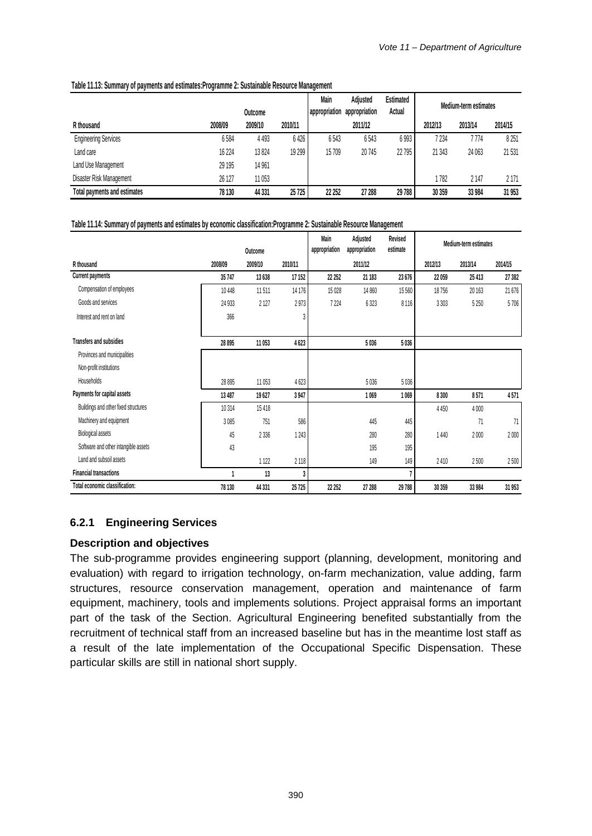#### **Table 11.13: Summary of payments and estimates:Programme 2: Sustainable Resource Management**

|                              |         |         |         | Main          | Adjusted      | Estimated | Medium-term estimates |         |         |
|------------------------------|---------|---------|---------|---------------|---------------|-----------|-----------------------|---------|---------|
|                              |         | Outcome |         | appropriation | appropriation | Actual    |                       |         |         |
| R thousand                   | 2008/09 | 2009/10 | 2010/11 |               | 2011/12       |           | 2012/13               | 2013/14 | 2014/15 |
| <b>Engineering Services</b>  | 6584    | 4 4 9 3 | 6426    | 6543          | 6543          | 6993      | 7 234                 | 774     | 8 2 5 1 |
| Land care                    | 16 224  | 13824   | 19 299  | 15709         | 20745         | 22 795    | 21 343                | 24 0 63 | 21 531  |
| Land Use Management          | 29 195  | 14 961  |         |               |               |           |                       |         |         |
| Disaster Risk Management     | 26 127  | 11053   |         |               |               |           | 1782                  | 2147    | 2 1 7 1 |
| Total payments and estimates | 78 130  | 44 331  | 25 7 25 | 22 25 2       | 27 288        | 29 788    | 30 359                | 33 984  | 31 953  |

#### **Table 11.14: Summary of payments and estimates by economic classification:Programme 2: Sustainable Resource Management**

|                                      |         |         |         | Main          | Adjusted      | Revised  | Medium-term estimates |         |         |
|--------------------------------------|---------|---------|---------|---------------|---------------|----------|-----------------------|---------|---------|
|                                      |         | Outcome |         | appropriation | appropriation | estimate |                       |         |         |
| R thousand                           | 2008/09 | 2009/10 | 2010/11 |               | 2011/12       |          | 2012/13               | 2013/14 | 2014/15 |
| <b>Current payments</b>              | 35 747  | 13638   | 17 152  | 22 25 2       | 21 183        | 23 6 7 6 | 22 059                | 25 4 13 | 27 382  |
| Compensation of employees            | 10 448  | 11511   | 14 17 6 | 15 0 28       | 14 8 6 0      | 15 560   | 18 756                | 20 16 3 | 21 676  |
| Goods and services                   | 24 933  | 2127    | 2973    | 7 2 2 4       | 6 3 2 3       | 8116     | 3 3 0 3               | 5 2 5 0 | 5706    |
| Interest and rent on land            | 366     |         | 3       |               |               |          |                       |         |         |
| <b>Transfers and subsidies</b>       | 28 8 95 | 11 0 53 | 4623    |               | 5036          | 5036     |                       |         |         |
| Provinces and municipalities         |         |         |         |               |               |          |                       |         |         |
| Non-profit institutions              |         |         |         |               |               |          |                       |         |         |
| Households                           | 28 895  | 11053   | 4623    |               | 5036          | 5036     |                       |         |         |
| Payments for capital assets          | 13 487  | 19627   | 3947    |               | 1069          | 1069     | 8 3 0 0               | 8571    | 4571    |
| Buildings and other fixed structures | 10 3 14 | 15418   |         |               |               |          | 4 4 5 0               | 4000    |         |
| Machinery and equipment              | 3085    | 751     | 586     |               | 445           | 445      |                       | 71      | 71      |
| <b>Biological assets</b>             | 45      | 2 3 3 6 | 1 2 4 3 |               | 280           | 280      | 1 4 4 0               | 2000    | 2000    |
| Software and other intangible assets | 43      |         |         |               | 195           | 195      |                       |         |         |
| Land and subsoil assets              |         | 1122    | 2 1 18  |               | 149           | 149      | 2410                  | 2500    | 2500    |
| <b>Financial transactions</b>        |         | 13      | 3       |               |               |          |                       |         |         |
| Total economic classification:       | 78 130  | 44 331  | 25 7 25 | 22 25 2       | 27 288        | 29 788   | 30 359                | 33 984  | 31 953  |

#### **6.2.1 Engineering Services**

#### **Description and objectives**

The sub-programme provides engineering support (planning, development, monitoring and evaluation) with regard to irrigation technology, on-farm mechanization, value adding, farm structures, resource conservation management, operation and maintenance of farm equipment, machinery, tools and implements solutions. Project appraisal forms an important part of the task of the Section. Agricultural Engineering benefited substantially from the recruitment of technical staff from an increased baseline but has in the meantime lost staff as a result of the late implementation of the Occupational Specific Dispensation. These particular skills are still in national short supply.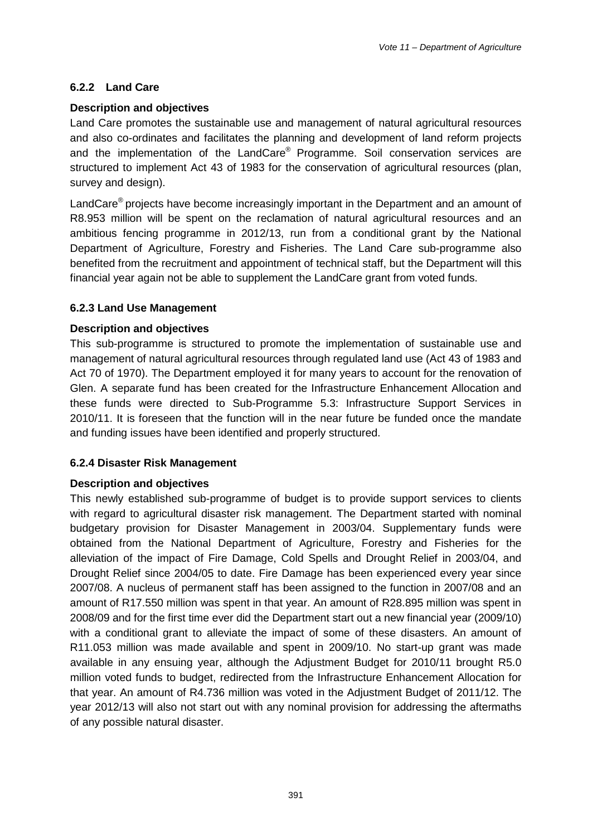#### **6.2.2 Land Care**

#### **Description and objectives**

Land Care promotes the sustainable use and management of natural agricultural resources and also co-ordinates and facilitates the planning and development of land reform projects and the implementation of the LandCare® Programme. Soil conservation services are structured to implement Act 43 of 1983 for the conservation of agricultural resources (plan, survey and design).

LandCare<sup>®</sup> projects have become increasingly important in the Department and an amount of R8.953 million will be spent on the reclamation of natural agricultural resources and an ambitious fencing programme in 2012/13, run from a conditional grant by the National Department of Agriculture, Forestry and Fisheries. The Land Care sub-programme also benefited from the recruitment and appointment of technical staff, but the Department will this financial year again not be able to supplement the LandCare grant from voted funds.

#### **6.2.3 Land Use Management**

#### **Description and objectives**

This sub-programme is structured to promote the implementation of sustainable use and management of natural agricultural resources through regulated land use (Act 43 of 1983 and Act 70 of 1970). The Department employed it for many years to account for the renovation of Glen. A separate fund has been created for the Infrastructure Enhancement Allocation and these funds were directed to Sub-Programme 5.3: Infrastructure Support Services in 2010/11. It is foreseen that the function will in the near future be funded once the mandate and funding issues have been identified and properly structured.

#### **6.2.4 Disaster Risk Management**

#### **Description and objectives**

This newly established sub-programme of budget is to provide support services to clients with regard to agricultural disaster risk management. The Department started with nominal budgetary provision for Disaster Management in 2003/04. Supplementary funds were obtained from the National Department of Agriculture, Forestry and Fisheries for the alleviation of the impact of Fire Damage, Cold Spells and Drought Relief in 2003/04, and Drought Relief since 2004/05 to date. Fire Damage has been experienced every year since 2007/08. A nucleus of permanent staff has been assigned to the function in 2007/08 and an amount of R17.550 million was spent in that year. An amount of R28.895 million was spent in 2008/09 and for the first time ever did the Department start out a new financial year (2009/10) with a conditional grant to alleviate the impact of some of these disasters. An amount of R11.053 million was made available and spent in 2009/10. No start-up grant was made available in any ensuing year, although the Adjustment Budget for 2010/11 brought R5.0 million voted funds to budget, redirected from the Infrastructure Enhancement Allocation for that year. An amount of R4.736 million was voted in the Adjustment Budget of 2011/12. The year 2012/13 will also not start out with any nominal provision for addressing the aftermaths of any possible natural disaster.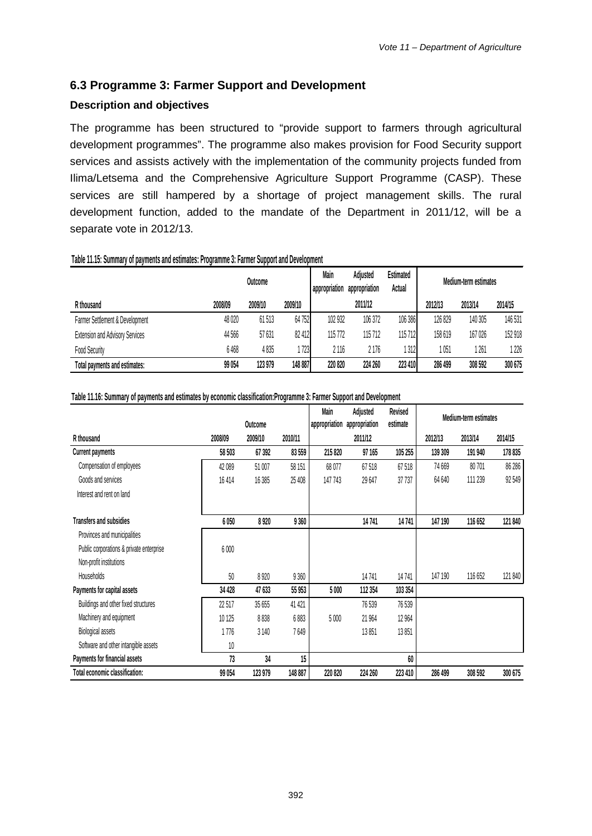## **6.3 Programme 3: Farmer Support and Development**

#### **Description and objectives**

The programme has been structured to "provide support to farmers through agricultural development programmes". The programme also makes provision for Food Security support services and assists actively with the implementation of the community projects funded from Ilima/Letsema and the Comprehensive Agriculture Support Programme (CASP). These services are still hampered by a shortage of project management skills. The rural development function, added to the mandate of the Department in 2011/12, will be a separate vote in 2012/13.

#### **Table 11.15: Summary of payments and estimates: Programme 3: Farmer Support and Development**

|                                        |         | Outcome<br>appropriation |         |         | Adjusted<br>appropriation | Estimated<br>Actual |         | Medium-term estimates |         |
|----------------------------------------|---------|--------------------------|---------|---------|---------------------------|---------------------|---------|-----------------------|---------|
| R thousand                             | 2008/09 | 2009/10                  | 2009/10 |         | 2011/12                   |                     | 2012/13 | 2013/14               | 2014/15 |
| Farmer Settlement & Development        | 48 020  | 61513                    | 64 752  | 102 932 | 106 372                   | 106 386             | 126829  | 140 305               | 146 531 |
| <b>Extension and Advisory Services</b> | 44 566  | 57 631                   | 82 412  | 115 772 | 115 712                   | 115 712             | 158 619 | 167 026               | 152 918 |
| <b>Food Security</b>                   | 6468    | 4835                     | 723     | 2116    | 2176                      | 1312                | 1 051   | 1 261                 | 1 2 2 6 |
| Total payments and estimates:          | 99 054  | 123 979                  | 148 887 | 220 820 | 224 260                   | 223 410             | 286 499 | 308 592               | 300 675 |

#### **Table 11.16: Summary of payments and estimates by economic classification:Programme 3: Farmer Support and Development**

|                                          |         |         |         | Main          | Adjusted      | Revised  | Medium-term estimates |         |         |
|------------------------------------------|---------|---------|---------|---------------|---------------|----------|-----------------------|---------|---------|
|                                          |         | Outcome |         | appropriation | appropriation | estimate |                       |         |         |
| R thousand                               | 2008/09 | 2009/10 | 2010/11 |               | 2011/12       |          | 2012/13               | 2013/14 | 2014/15 |
| <b>Current payments</b>                  | 58 503  | 67 392  | 83 559  | 215 820       | 97 165        | 105 255  | 139 309               | 191 940 | 178 835 |
| Compensation of employees                | 42 089  | 51 007  | 58 151  | 68077         | 67518         | 67518    | 74 669                | 80 701  | 86 286  |
| Goods and services                       | 16 4 14 | 16 385  | 25 408  | 147 743       | 29 647        | 37 737   | 64 640                | 111 239 | 92 549  |
| Interest and rent on land                |         |         |         |               |               |          |                       |         |         |
| <b>Transfers and subsidies</b>           | 6050    | 8 9 2 0 | 9 3 6 0 |               | 14 741        | 14 741   | 147 190               | 116 652 | 121 840 |
| Provinces and municipalities             |         |         |         |               |               |          |                       |         |         |
| Public corporations & private enterprise | 6000    |         |         |               |               |          |                       |         |         |
| Non-profit institutions                  |         |         |         |               |               |          |                       |         |         |
| <b>Households</b>                        | 50      | 8 9 20  | 9360    |               | 14 741        | 14741    | 147 190               | 116 652 | 121 840 |
| Payments for capital assets              | 34 428  | 47 633  | 55 953  | 5 0 0 0       | 112 354       | 103 354  |                       |         |         |
| Buildings and other fixed structures     | 22517   | 35 655  | 41 421  |               | 76539         | 76539    |                       |         |         |
| Machinery and equipment                  | 10 1 25 | 8838    | 6883    | 5 0 0 0       | 21 9 64       | 12964    |                       |         |         |
| <b>Biological assets</b>                 | 1776    | 3 1 4 0 | 7649    |               | 13851         | 13851    |                       |         |         |
| Software and other intangible assets     | 10      |         |         |               |               |          |                       |         |         |
| Payments for financial assets            | 73      | 34      | 15      |               |               | 60       |                       |         |         |
| Total economic classification:           | 99 054  | 123 979 | 148 887 | 220 820       | 224 260       | 223 410  | 286 499               | 308 592 | 300 675 |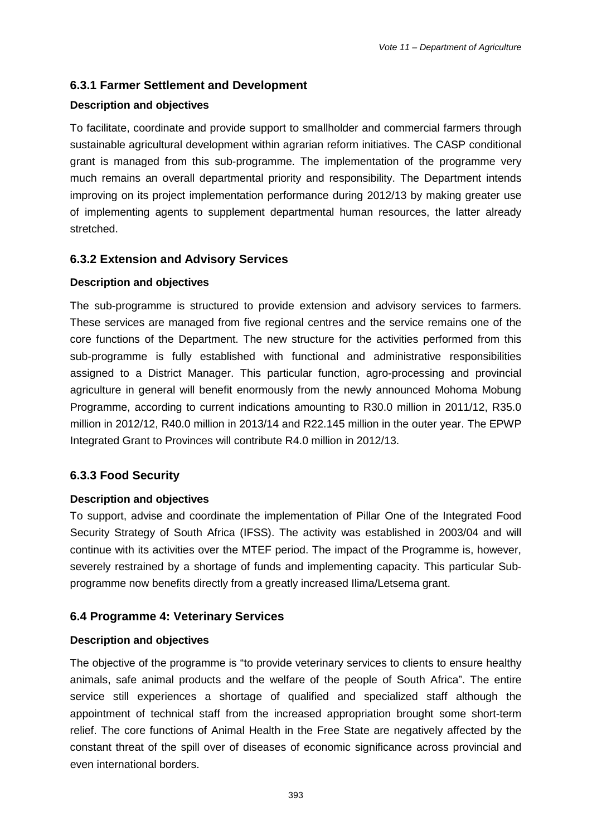## **6.3.1 Farmer Settlement and Development**

#### **Description and objectives**

To facilitate, coordinate and provide support to smallholder and commercial farmers through sustainable agricultural development within agrarian reform initiatives. The CASP conditional grant is managed from this sub-programme. The implementation of the programme very much remains an overall departmental priority and responsibility. The Department intends improving on its project implementation performance during 2012/13 by making greater use of implementing agents to supplement departmental human resources, the latter already stretched.

## **6.3.2 Extension and Advisory Services**

#### **Description and objectives**

The sub-programme is structured to provide extension and advisory services to farmers. These services are managed from five regional centres and the service remains one of the core functions of the Department. The new structure for the activities performed from this sub-programme is fully established with functional and administrative responsibilities assigned to a District Manager. This particular function, agro-processing and provincial agriculture in general will benefit enormously from the newly announced Mohoma Mobung Programme, according to current indications amounting to R30.0 million in 2011/12, R35.0 million in 2012/12, R40.0 million in 2013/14 and R22.145 million in the outer year. The EPWP Integrated Grant to Provinces will contribute R4.0 million in 2012/13.

## **6.3.3 Food Security**

#### **Description and objectives**

To support, advise and coordinate the implementation of Pillar One of the Integrated Food Security Strategy of South Africa (IFSS). The activity was established in 2003/04 and will continue with its activities over the MTEF period. The impact of the Programme is, however, severely restrained by a shortage of funds and implementing capacity. This particular Subprogramme now benefits directly from a greatly increased Ilima/Letsema grant.

## **6.4 Programme 4: Veterinary Services**

#### **Description and objectives**

The objective of the programme is "to provide veterinary services to clients to ensure healthy animals, safe animal products and the welfare of the people of South Africa". The entire service still experiences a shortage of qualified and specialized staff although the appointment of technical staff from the increased appropriation brought some short-term relief. The core functions of Animal Health in the Free State are negatively affected by the constant threat of the spill over of diseases of economic significance across provincial and even international borders.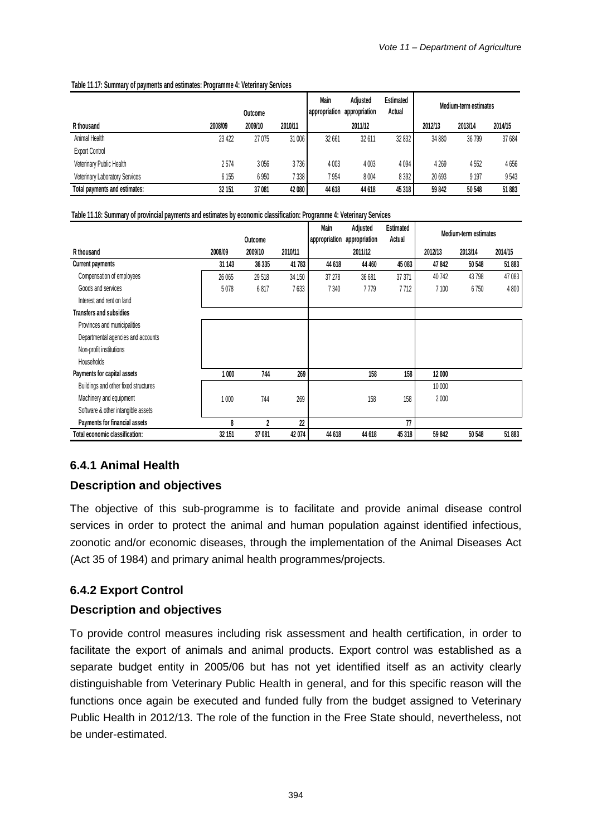#### **Table 11.17: Summary of payments and estimates: Programme 4: Veterinary Services**

|                                |         | Outcome |         | Main<br>appropriation | Adjusted<br>appropriation | Estimated<br>Actual |         | Medium-term estimates |         |
|--------------------------------|---------|---------|---------|-----------------------|---------------------------|---------------------|---------|-----------------------|---------|
| R thousand                     | 2008/09 | 2009/10 | 2010/11 |                       | 2011/12                   |                     | 2012/13 | 2013/14               | 2014/15 |
| Animal Health                  | 23 4 22 | 27 075  | 31 006  | 32 661                | 32611                     | 32 832              | 34 880  | 36 799                | 37 684  |
| <b>Export Control</b>          |         |         |         |                       |                           |                     |         |                       |         |
| Veterinary Public Health       | 2574    | 3056    | 3736    | 4 0 0 3               | 4003                      | 4094                | 4269    | 4552                  | 4656    |
| Veterinary Laboratory Services | 6155    | 6 950   | 7338    | 7 954                 | 8004                      | 8 3 9 2             | 20 693  | 9 1 9 7               | 9543    |
| Total payments and estimates:  | 32 151  | 37 081  | 42 080  | 44 618                | 44 618                    | 45 318              | 59842   | 50 548                | 51883   |

#### **Table 11.18: Summary of provincial payments and estimates by economic classification: Programme 4: Veterinary Services**

|                                      |         |         |         | Main          | Adjusted      | Estimated | Medium-term estimates |         |         |
|--------------------------------------|---------|---------|---------|---------------|---------------|-----------|-----------------------|---------|---------|
|                                      |         | Outcome |         | appropriation | appropriation | Actual    |                       |         |         |
| R thousand                           | 2008/09 | 2009/10 | 2010/11 |               | 2011/12       |           | 2012/13               | 2013/14 | 2014/15 |
| <b>Current payments</b>              | 31 143  | 36 335  | 41 783  | 44 618        | 44 4 60       | 45 083    | 47842                 | 50 548  | 51883   |
| Compensation of employees            | 26 065  | 29 5 18 | 34 150  | 37 278        | 36 681        | 37 371    | 40 742                | 43 798  | 47 083  |
| Goods and services                   | 5078    | 6817    | 7633    | 7340          | 7779          | 7712      | 7100                  | 6750    | 4800    |
| Interest and rent on land            |         |         |         |               |               |           |                       |         |         |
| <b>Transfers and subsidies</b>       |         |         |         |               |               |           |                       |         |         |
| Provinces and municipalities         |         |         |         |               |               |           |                       |         |         |
| Departmental agencies and accounts   |         |         |         |               |               |           |                       |         |         |
| Non-profit institutions              |         |         |         |               |               |           |                       |         |         |
| <b>Households</b>                    |         |         |         |               |               |           |                       |         |         |
| Payments for capital assets          | 1000    | 744     | 269     |               | 158           | 158       | 12 000                |         |         |
| Buildings and other fixed structures |         |         |         |               |               |           | 10 000                |         |         |
| Machinery and equipment              | 1000    | 744     | 269     |               | 158           | 158       | 2000                  |         |         |
| Software & other intangible assets   |         |         |         |               |               |           |                       |         |         |
| Payments for financial assets        | 8       | 2       | 22      |               |               | 77        |                       |         |         |
| Total economic classification:       | 32 151  | 37 081  | 42 074  | 44 618        | 44 618        | 45 318    | 59 842                | 50 548  | 51883   |

## **6.4.1 Animal Health**

## **Description and objectives**

The objective of this sub-programme is to facilitate and provide animal disease control services in order to protect the animal and human population against identified infectious, zoonotic and/or economic diseases, through the implementation of the Animal Diseases Act (Act 35 of 1984) and primary animal health programmes/projects.

## **6.4.2 Export Control**

## **Description and objectives**

To provide control measures including risk assessment and health certification, in order to facilitate the export of animals and animal products. Export control was established as a separate budget entity in 2005/06 but has not yet identified itself as an activity clearly distinguishable from Veterinary Public Health in general, and for this specific reason will the functions once again be executed and funded fully from the budget assigned to Veterinary Public Health in 2012/13. The role of the function in the Free State should, nevertheless, not be under-estimated.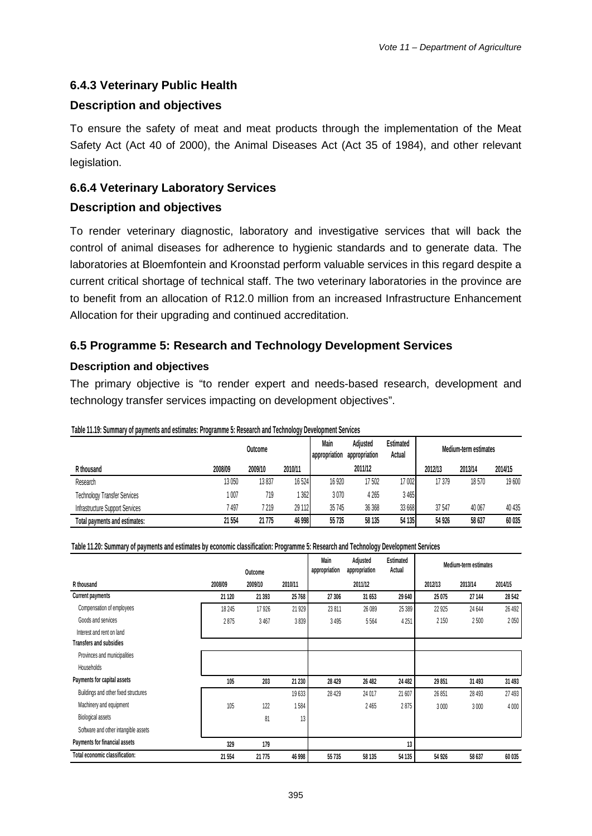## **6.4.3 Veterinary Public Health**

#### **Description and objectives**

To ensure the safety of meat and meat products through the implementation of the Meat Safety Act (Act 40 of 2000), the Animal Diseases Act (Act 35 of 1984), and other relevant legislation.

## **6.6.4 Veterinary Laboratory Services**

#### **Description and objectives**

To render veterinary diagnostic, laboratory and investigative services that will back the control of animal diseases for adherence to hygienic standards and to generate data. The laboratories at Bloemfontein and Kroonstad perform valuable services in this regard despite a current critical shortage of technical staff. The two veterinary laboratories in the province are to benefit from an allocation of R12.0 million from an increased Infrastructure Enhancement Allocation for their upgrading and continued accreditation.

## **6.5 Programme 5: Research and Technology Development Services**

#### **Description and objectives**

The primary objective is "to render expert and needs-based research, development and technology transfer services impacting on development objectives".

|                                     |         | Outcome<br>appropriation |         |        | Adiusted<br>appropriation | Estimated<br>Actual | Medium term estimates |         |         |
|-------------------------------------|---------|--------------------------|---------|--------|---------------------------|---------------------|-----------------------|---------|---------|
| R thousand                          | 2008/09 | 2009/10                  | 2010/11 |        | 2011/12                   |                     | 2012/13               | 2013/14 | 2014/15 |
| Research                            | 13 050  | 13 837                   | 16524   | 16 920 | 17502                     | 17 002              | 17 379                | 18570   | 19600   |
| <b>Technology Transfer Services</b> | 1 007   | 719                      | 13621   | 3070   | 4 2 6 5                   | 3 4 6 5             |                       |         |         |
| Infrastructure Support Services     | 1 497   | 7 219                    | 29 112  | 35 745 | 36 368                    | 33 668              | 37 547                | 40 067  | 40 435  |
| Total payments and estimates:       | 21 554  | 21 775                   | 46 998  | 55 735 | 58 135                    | 54 135              | 54 926                | 58 637  | 60 035  |

#### **Table 11.19: Summary of payments and estimates: Programme 5: Research and Technology Development Services**

#### **Table 11.20: Summary of payments and estimates by economic classification: Programme 5: Research and Technology Development Services**

|                                      |         | Outcome |         | Main<br>appropriation | Adjusted<br>appropriation | Estimated<br>Actual | Medium-term estimates |         |         |
|--------------------------------------|---------|---------|---------|-----------------------|---------------------------|---------------------|-----------------------|---------|---------|
| R thousand                           | 2008/09 | 2009/10 | 2010/11 |                       | 2011/12                   |                     | 2012/13               | 2013/14 | 2014/15 |
| <b>Current payments</b>              | 21 1 20 | 21 393  | 25 768  | 27 30 6               | 31 653                    | 29 640              | 25 075                | 27 144  | 28 542  |
| Compensation of employees            | 18 245  | 17926   | 21 9 29 | 23 811                | 26 089                    | 25 389              | 22 9 25               | 24 644  | 26 492  |
| Goods and services                   | 2875    | 3 4 6 7 | 3839    | 3 4 9 5               | 5564                      | 4 2 5 1             | 2 1 5 0               | 2500    | 2050    |
| Interest and rent on land            |         |         |         |                       |                           |                     |                       |         |         |
| <b>Transfers and subsidies</b>       |         |         |         |                       |                           |                     |                       |         |         |
| Provinces and municipalities         |         |         |         |                       |                           |                     |                       |         |         |
| <b>Households</b>                    |         |         |         |                       |                           |                     |                       |         |         |
| Payments for capital assets          | 105     | 203     | 21 230  | 28 4 29               | 26 482                    | 24 482              | 29 851                | 31 493  | 31 493  |
| Buildings and other fixed structures |         |         | 19 633  | 28 4 29               | 24 017                    | 21 607              | 26851                 | 28 493  | 27 493  |
| Machinery and equipment              | 105     | 122     | 1584    |                       | 2465                      | 2875                | 3000                  | 3 0 0 0 | 4000    |
| <b>Biological assets</b>             |         | 81      | 13      |                       |                           |                     |                       |         |         |
| Software and other intangible assets |         |         |         |                       |                           |                     |                       |         |         |
| Payments for financial assets        | 329     | 179     |         |                       |                           | 13                  |                       |         |         |
| Total economic classification:       | 21 5 54 | 21 775  | 46 998  | 55 735                | 58 135                    | 54 135              | 54 926                | 58 637  | 60 035  |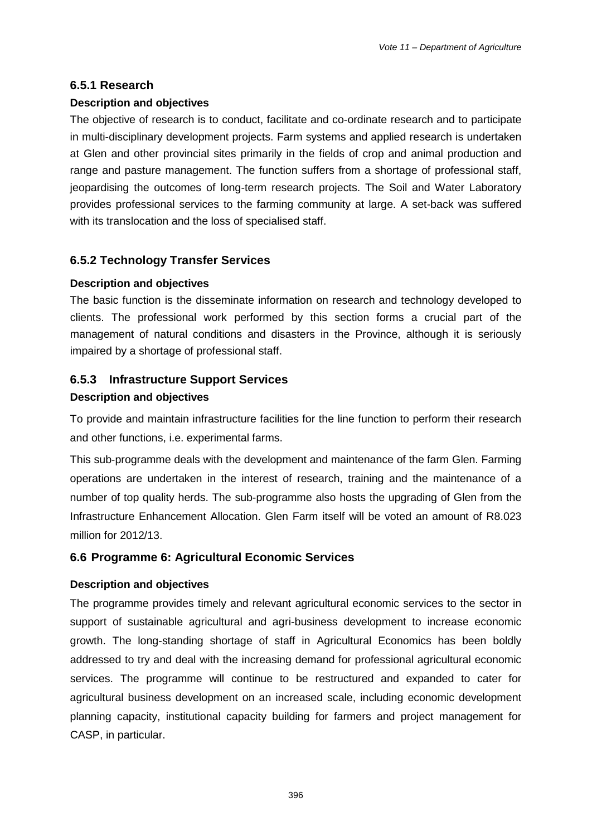## **6.5.1 Research**

#### **Description and objectives**

The objective of research is to conduct, facilitate and co-ordinate research and to participate in multi-disciplinary development projects. Farm systems and applied research is undertaken at Glen and other provincial sites primarily in the fields of crop and animal production and range and pasture management. The function suffers from a shortage of professional staff, jeopardising the outcomes of long-term research projects. The Soil and Water Laboratory provides professional services to the farming community at large. A set-back was suffered with its translocation and the loss of specialised staff.

## **6.5.2 Technology Transfer Services**

#### **Description and objectives**

The basic function is the disseminate information on research and technology developed to clients. The professional work performed by this section forms a crucial part of the management of natural conditions and disasters in the Province, although it is seriously impaired by a shortage of professional staff.

## **6.5.3 Infrastructure Support Services**

#### **Description and objectives**

To provide and maintain infrastructure facilities for the line function to perform their research and other functions, i.e. experimental farms.

This sub-programme deals with the development and maintenance of the farm Glen. Farming operations are undertaken in the interest of research, training and the maintenance of a number of top quality herds. The sub-programme also hosts the upgrading of Glen from the Infrastructure Enhancement Allocation. Glen Farm itself will be voted an amount of R8.023 million for 2012/13.

## **6.6 Programme 6: Agricultural Economic Services**

#### **Description and objectives**

The programme provides timely and relevant agricultural economic services to the sector in support of sustainable agricultural and agri-business development to increase economic growth. The long-standing shortage of staff in Agricultural Economics has been boldly addressed to try and deal with the increasing demand for professional agricultural economic services. The programme will continue to be restructured and expanded to cater for agricultural business development on an increased scale, including economic development planning capacity, institutional capacity building for farmers and project management for CASP, in particular.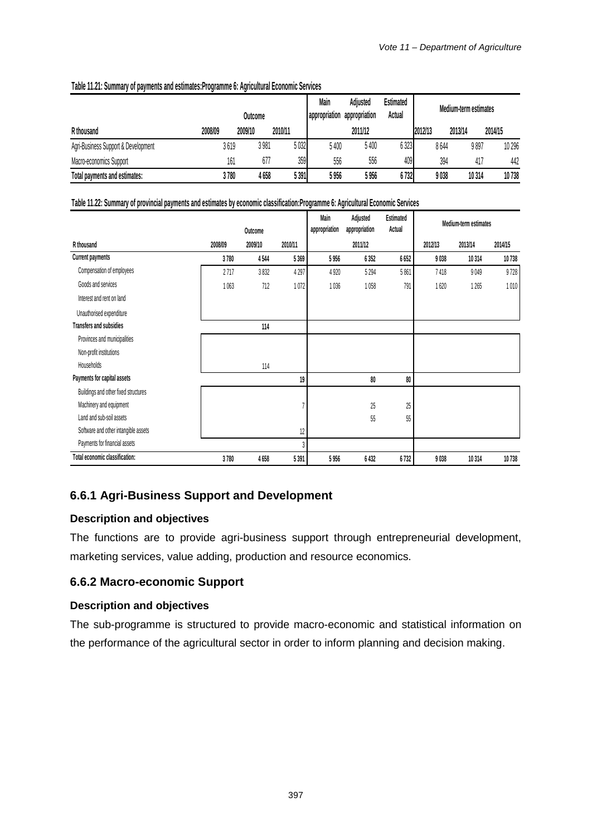#### **Table 11.21: Summary of payments and estimates:Programme 6: Agricultural Economic Services**

|                                     |         | Outcome         |       |         | Main<br>appropriation | Adjusted<br>appropriation | <b>Estimated</b><br>Actual |         | Medium-term estimates |                  |     |
|-------------------------------------|---------|-----------------|-------|---------|-----------------------|---------------------------|----------------------------|---------|-----------------------|------------------|-----|
| R thousand                          | 2008/09 | 2009/10         |       | 2010/11 |                       | 2011/12                   |                            | 2012/13 | 2013/14               | 2014/15          |     |
| Agri-Business Support & Development |         | 3619            | 3 981 | 5032    | 5400                  | 5400                      | 6 3 2 3                    | 8644    |                       | 9897<br>10 29 6  |     |
| Macro-economics Support             |         | 16 <sup>1</sup> | 677   | 359     | 556                   | 556                       | 409                        | 394     |                       | 417              | 442 |
| Total payments and estimates:       |         | 3 780           | 4658  | 5391    | 5 956                 | 5956                      | 6732                       | 9038    |                       | 10738<br>10 3 14 |     |

#### **Table 11.22: Summary of provincial payments and estimates by economic classification:Programme 6: Agricultural Economic Services**

|                                      |         |         | Main    | Adjusted      |               | Estimated<br>Medium-term estimates |         |         |         |
|--------------------------------------|---------|---------|---------|---------------|---------------|------------------------------------|---------|---------|---------|
|                                      |         | Outcome |         | appropriation | appropriation | Actual                             |         |         |         |
| R thousand                           | 2008/09 | 2009/10 | 2010/11 |               | 2011/12       |                                    | 2012/13 | 2013/14 | 2014/15 |
| <b>Current payments</b>              | 3780    | 4544    | 5369    | 5956          | 6352          | 6652                               | 9038    | 10 314  | 10738   |
| Compensation of employees            | 2717    | 3832    | 4 2 9 7 | 4 9 20        | 5 2 9 4       | 5861                               | 7418    | 9049    | 9728    |
| Goods and services                   | 1063    | 712     | 1072    | 1036          | 1058          | 791                                | 1620    | 1 2 6 5 | 1010    |
| Interest and rent on land            |         |         |         |               |               |                                    |         |         |         |
| Unauthorised expenditure             |         |         |         |               |               |                                    |         |         |         |
| Transfers and subsidies              |         | 114     |         |               |               |                                    |         |         |         |
| Provinces and municipalities         |         |         |         |               |               |                                    |         |         |         |
| Non-profit institutions              |         |         |         |               |               |                                    |         |         |         |
| Households                           |         | 114     |         |               |               |                                    |         |         |         |
| Payments for capital assets          |         |         | 19      |               | $80\,$        | 80                                 |         |         |         |
| Buildings and other fixed structures |         |         |         |               |               |                                    |         |         |         |
| Machinery and equipment              |         |         |         |               | 25            | 25                                 |         |         |         |
| Land and sub-soil assets             |         |         |         |               | 55            | 55                                 |         |         |         |
| Software and other intangible assets |         |         | 12      |               |               |                                    |         |         |         |
| Payments for financial assets        |         |         | 3       |               |               |                                    |         |         |         |
| Total economic classification:       | 3780    | 4658    | 5391    | 5956          | 6432          | 6732                               | 9038    | 10 3 14 | 10738   |

## **6.6.1 Agri-Business Support and Development**

#### **Description and objectives**

The functions are to provide agri-business support through entrepreneurial development, marketing services, value adding, production and resource economics.

#### **6.6.2 Macro-economic Support**

#### **Description and objectives**

The sub-programme is structured to provide macro-economic and statistical information on the performance of the agricultural sector in order to inform planning and decision making.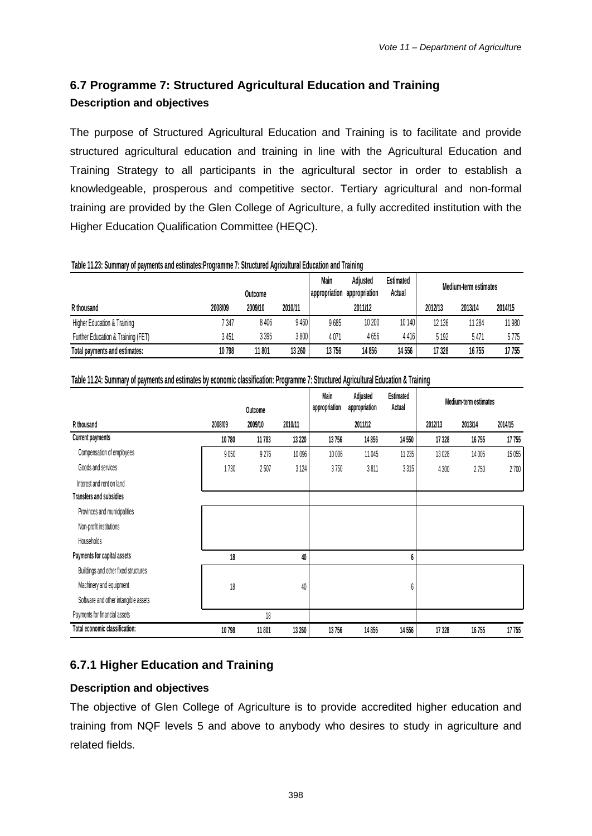## **6.7 Programme 7: Structured Agricultural Education and Training Description and objectives**

The purpose of Structured Agricultural Education and Training is to facilitate and provide structured agricultural education and training in line with the Agricultural Education and Training Strategy to all participants in the agricultural sector in order to establish a knowledgeable, prosperous and competitive sector. Tertiary agricultural and non-formal training are provided by the Glen College of Agriculture, a fully accredited institution with the Higher Education Qualification Committee (HEQC).

#### **Table 11.23: Summary of payments and estimates:Programme 7: Structured Agricultural Education and Training**

|                                    |         | Outcome |         | Main<br>appropriation | Adjusted<br>appropriation | Estimated<br>Actual | Medium-term estimates |         |         |
|------------------------------------|---------|---------|---------|-----------------------|---------------------------|---------------------|-----------------------|---------|---------|
| R thousand                         | 2008/09 | 2009/10 | 2010/11 |                       | 2011/12                   |                     | 2012/13               | 2013/14 | 2014/15 |
| Higher Education & Training        | 347 י   | 8 406   | 9460    | 9685                  | 10 200                    | 10 140              | 12 136                | 11 284  | 11 980  |
| Further Education & Training (FET) | 3 451   | 3 395   | 3800    | 4071                  | 4656                      | 4416                | 5 1 9 2               | 5471    | 5775    |
| Total payments and estimates:      | 10798   | 11 801  | 13 260  | 13 756                | 14856                     | 14 5 5 6            | 17 328                | 16755   | 17755   |

| Table 11.24: Summary of payments and estimates by economic classification: Programme 7: Structured Agricultural Education & Training |  |
|--------------------------------------------------------------------------------------------------------------------------------------|--|
|                                                                                                                                      |  |

|                                      |         | Outcome |         | Main<br>appropriation | Adjusted<br>appropriation | Estimated<br>Actual | Medium-term estimates |         |         |
|--------------------------------------|---------|---------|---------|-----------------------|---------------------------|---------------------|-----------------------|---------|---------|
| R thousand                           | 2008/09 | 2009/10 | 2010/11 |                       | 2011/12                   |                     | 2012/13               | 2013/14 | 2014/15 |
| <b>Current payments</b>              | 10780   | 11783   | 13 2 20 | 13756                 | 14 856                    | 14550               | 17 328                | 16 755  | 17755   |
| Compensation of employees            | 9 0 5 0 | 9276    | 10 0 96 | 10 006                | 11 045                    | 11 235              | 13028                 | 14 005  | 15 0 55 |
| Goods and services                   | 1730    | 2507    | 3 1 2 4 | 3750                  | 3811                      | 3315                | 4 3 0 0               | 2750    | 2700    |
| Interest and rent on land            |         |         |         |                       |                           |                     |                       |         |         |
| <b>Transfers and subsidies</b>       |         |         |         |                       |                           |                     |                       |         |         |
| Provinces and municipalities         |         |         |         |                       |                           |                     |                       |         |         |
| Non-profit institutions              |         |         |         |                       |                           |                     |                       |         |         |
| Households                           |         |         |         |                       |                           |                     |                       |         |         |
| Payments for capital assets          | $18\,$  |         | 40      |                       |                           | 6                   |                       |         |         |
| Buildings and other fixed structures |         |         |         |                       |                           |                     |                       |         |         |
| Machinery and equipment              | 18      |         | 40      |                       |                           | b                   |                       |         |         |
| Software and other intangible assets |         |         |         |                       |                           |                     |                       |         |         |
| Payments for financial assets        |         | 18      |         |                       |                           |                     |                       |         |         |
| Total economic classification:       | 10798   | 11801   | 13 260  | 13756                 | 14 856                    | 14556               | 17 328                | 16 755  | 17755   |

## **6.7.1 Higher Education and Training**

#### **Description and objectives**

The objective of Glen College of Agriculture is to provide accredited higher education and training from NQF levels 5 and above to anybody who desires to study in agriculture and related fields.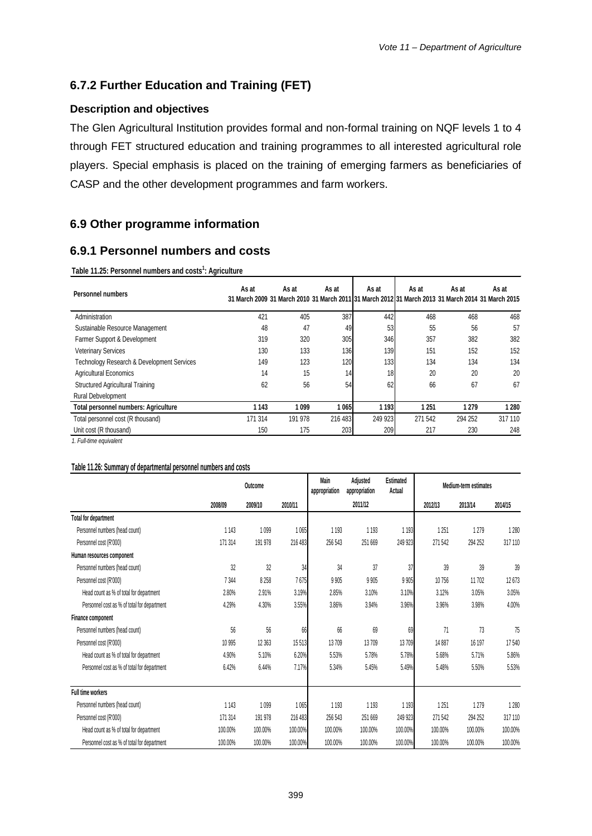## **6.7.2 Further Education and Training (FET)**

#### **Description and objectives**

The Glen Agricultural Institution provides formal and non-formal training on NQF levels 1 to 4 through FET structured education and training programmes to all interested agricultural role players. Special emphasis is placed on the training of emerging farmers as beneficiaries of CASP and the other development programmes and farm workers.

## **6.9 Other programme information**

## **6.9.1 Personnel numbers and costs**

Table 11.25: Personnel numbers and costs<sup>1</sup>: Agriculture

| Personnel numbers                          | As at<br>31 March 2009 31 March 2010 31 March 2011 31 March 2012 31 March 2013 31 March 2014 31 March 2015 | As at   | As at           | As at   | As at   | As at   | As at   |
|--------------------------------------------|------------------------------------------------------------------------------------------------------------|---------|-----------------|---------|---------|---------|---------|
| Administration                             | 421                                                                                                        | 405     | 387             | 442     | 468     | 468     | 468     |
| Sustainable Resource Management            | 48                                                                                                         | 47      | 49              | 53      | 55      | 56      | 57      |
| Farmer Support & Development               | 319                                                                                                        | 320     | 305             | 346     | 357     | 382     | 382     |
| <b>Veterinary Services</b>                 | 130                                                                                                        | 133     | 136             | 139     | 151     | 152     | 152     |
| Technology Research & Development Services | 149                                                                                                        | 123     | 120             | 133     | 134     | 134     | 134     |
| <b>Agricultural Economics</b>              | 14                                                                                                         | 15      | 14 <sub>1</sub> | 18      | 20      | 20      | 20      |
| Structured Agricultural Training           | 62                                                                                                         | 56      | 54              | 62      | 66      | 67      | 67      |
| Rural Debvelopment                         |                                                                                                            |         |                 |         |         |         |         |
| Total personnel numbers: Agriculture       | 1 1 4 3                                                                                                    | 1099    | 1065            | 1 1 9 3 | 1 2 5 1 | 1 2 7 9 | 1 2 8 0 |
| Total personnel cost (R thousand)          | 171 314                                                                                                    | 191 978 | 216 483         | 249 923 | 271542  | 294 252 | 317 110 |
| Unit cost (R thousand)                     | 150                                                                                                        | 175     | 203             | 209     | 217     | 230     | 248     |

*1. Full-time equivalent*

#### **Table 11.26: Summary of departmental personnel numbers and costs**

|                                             |         | Outcome |         | Main<br>appropriation | Adjusted<br>appropriation | Estimated<br>Actual |         | Medium-term estimates |         |
|---------------------------------------------|---------|---------|---------|-----------------------|---------------------------|---------------------|---------|-----------------------|---------|
|                                             | 2008/09 | 2009/10 | 2010/11 |                       | 2011/12                   |                     | 2012/13 | 2013/14               | 2014/15 |
| Total for department                        |         |         |         |                       |                           |                     |         |                       |         |
| Personnel numbers (head count)              | 1143    | 1099    | 1065    | 1193                  | 1193                      | 1193                | 1251    | 1 2 7 9               | 1 2 8 0 |
| Personnel cost (R'000)                      | 171 314 | 191 978 | 216 483 | 256 543               | 251 669                   | 249 923             | 271542  | 294 252               | 317 110 |
| Human resources component                   |         |         |         |                       |                           |                     |         |                       |         |
| Personnel numbers (head count)              | 32      | 32      | 34      | 34                    | 37                        | 37                  | 39      | 39                    | 39      |
| Personnel cost (R'000)                      | 7344    | 8 2 5 8 | 7675    | 9905                  | 9905                      | 9 9 0 5             | 10756   | 11 702                | 12673   |
| Head count as % of total for department     | 2.80%   | 2.91%   | 3.19%   | 2.85%                 | 3.10%                     | 3.10%               | 3.12%   | 3.05%                 | 3.05%   |
| Personnel cost as % of total for department | 4.29%   | 4.30%   | 3.55%   | 3.86%                 | 3.94%                     | 3.96%               | 3.96%   | 3.98%                 | 4.00%   |
| Finance component                           |         |         |         |                       |                           |                     |         |                       |         |
| Personnel numbers (head count)              | 56      | 56      | 66      | 66                    | 69                        | 69                  | 71      | 73                    | 75      |
| Personnel cost (R'000)                      | 10 9 95 | 12 3 63 | 15513   | 13709                 | 13709                     | 13709               | 14887   | 16 197                | 17540   |
| Head count as % of total for department     | 4.90%   | 5.10%   | 6.20%   | 5.53%                 | 5.78%                     | 5.78%               | 5.68%   | 5.71%                 | 5.86%   |
| Personnel cost as % of total for department | 6.42%   | 6.44%   | 7.17%   | 5.34%                 | 5.45%                     | 5.49%               | 5.48%   | 5.50%                 | 5.53%   |
| Full time workers                           |         |         |         |                       |                           |                     |         |                       |         |
| Personnel numbers (head count)              | 1143    | 1099    | 1065    | 1193                  | 1193                      | 1 1 9 3             | 1251    | 1 2 7 9               | 1 2 8 0 |
| Personnel cost (R'000)                      | 171 314 | 191 978 | 216 483 | 256 543               | 251 669                   | 249 923             | 271542  | 294 252               | 317 110 |
| Head count as % of total for department     | 100.00% | 100.00% | 100.00% | 100.00%               | 100.00%                   | 100.00%             | 100.00% | 100.00%               | 100.00% |
| Personnel cost as % of total for department | 100.00% | 100.00% | 100.00% | 100.00%               | 100.00%                   | 100.00%             | 100.00% | 100.00%               | 100.00% |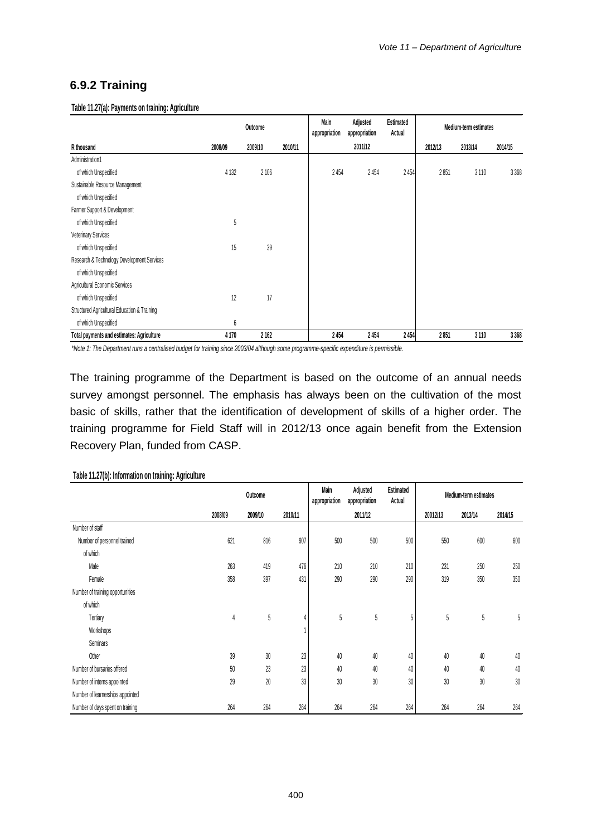## **6.9.2 Training**

#### **Table 11.27(a): Payments on training: Agriculture**

|                                              | Outcome |         |         | Main<br>appropriation | Adjusted<br>Estimated<br>Actual<br>appropriation |         | Medium-term estimates |         |         |
|----------------------------------------------|---------|---------|---------|-----------------------|--------------------------------------------------|---------|-----------------------|---------|---------|
| R thousand                                   | 2008/09 | 2009/10 | 2010/11 |                       | 2011/12                                          |         | 2012/13               | 2013/14 | 2014/15 |
| Administration1                              |         |         |         |                       |                                                  |         |                       |         |         |
| of which Unspecified                         | 4 1 3 2 | 2 1 0 6 |         | 2454                  | 2454                                             | 2454    | 2851                  | 3110    | 3 3 6 8 |
| Sustainable Resource Management              |         |         |         |                       |                                                  |         |                       |         |         |
| of which Unspecified                         |         |         |         |                       |                                                  |         |                       |         |         |
| Farmer Support & Development                 |         |         |         |                       |                                                  |         |                       |         |         |
| of which Unspecified                         | 5       |         |         |                       |                                                  |         |                       |         |         |
| <b>Veterinary Services</b>                   |         |         |         |                       |                                                  |         |                       |         |         |
| of which Unspecified                         | 15      | 39      |         |                       |                                                  |         |                       |         |         |
| Research & Technology Development Services   |         |         |         |                       |                                                  |         |                       |         |         |
| of which Unspecified                         |         |         |         |                       |                                                  |         |                       |         |         |
| Agricultural Economic Services               |         |         |         |                       |                                                  |         |                       |         |         |
| of which Unspecified                         | 12      | 17      |         |                       |                                                  |         |                       |         |         |
| Structured Agricultural Education & Training |         |         |         |                       |                                                  |         |                       |         |         |
| of which Unspecified                         | b       |         |         |                       |                                                  |         |                       |         |         |
| Total payments and estimates: Agriculture    | 4 1 7 0 | 2 1 6 2 |         | 2454                  | 2454                                             | 2 4 5 4 | 2851                  | 3 1 1 0 | 3 3 6 8 |

*\*Note 1: The Department runs a centralised budget for training since 2003/04 although some programme-specific expenditure is permissible.*

The training programme of the Department is based on the outcome of an annual needs survey amongst personnel. The emphasis has always been on the cultivation of the most basic of skills, rather that the identification of development of skills of a higher order. The training programme for Field Staff will in 2012/13 once again benefit from the Extension Recovery Plan, funded from CASP.

|                                  |         | Outcome |         | Main<br>appropriation | Adjusted<br>appropriation | Estimated<br>Actual | Medium-term estimates |         |         |
|----------------------------------|---------|---------|---------|-----------------------|---------------------------|---------------------|-----------------------|---------|---------|
|                                  | 2008/09 | 2009/10 | 2010/11 |                       | 2011/12                   |                     | 20012/13              | 2013/14 | 2014/15 |
| Number of staff                  |         |         |         |                       |                           |                     |                       |         |         |
| Number of personnel trained      | 621     | 816     | 907     | 500                   | 500                       | 500                 | 550                   | 600     | 600     |
| of which                         |         |         |         |                       |                           |                     |                       |         |         |
| Male                             | 263     | 419     | 476     | 210                   | 210                       | 210                 | 231                   | 250     | 250     |
| Female                           | 358     | 397     | 431     | 290                   | 290                       | 290                 | 319                   | 350     | 350     |
| Number of training opportunities |         |         |         |                       |                           |                     |                       |         |         |
| of which                         |         |         |         |                       |                           |                     |                       |         |         |
| Tertiary                         | 4       | 5       | 4       | 5                     | 5                         | 5                   | 5                     | 5       | 5       |
| Workshops                        |         |         | 1       |                       |                           |                     |                       |         |         |
| Seminars                         |         |         |         |                       |                           |                     |                       |         |         |
| Other                            | 39      | 30      | 23      | 40                    | $40\,$                    | 40                  | 40                    | 40      | 40      |
| Number of bursaries offered      | 50      | 23      | 23      | 40                    | 40                        | 40                  | 40                    | 40      | 40      |
| Number of interns appointed      | 29      | 20      | 33      | 30                    | 30                        | 30                  | 30                    | 30      | 30      |
| Number of learnerships appointed |         |         |         |                       |                           |                     |                       |         |         |
| Number of days spent on training | 264     | 264     | 264     | 264                   | 264                       | 264                 | 264                   | 264     | 264     |

#### **Table 11.27(b): Information on training: Agriculture**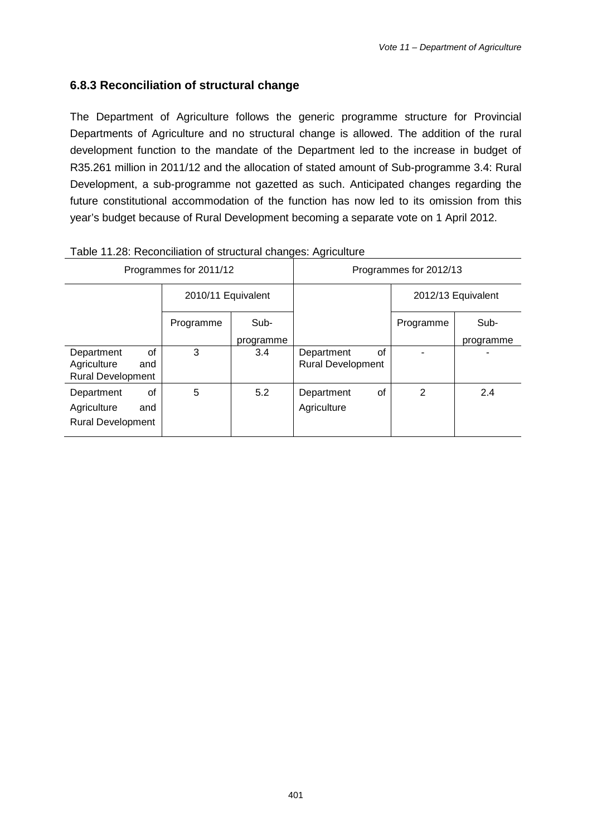## **6.8.3 Reconciliation of structural change**

The Department of Agriculture follows the generic programme structure for Provincial Departments of Agriculture and no structural change is allowed. The addition of the rural development function to the mandate of the Department led to the increase in budget of R35.261 million in 2011/12 and the allocation of stated amount of Sub-programme 3.4: Rural Development, a sub-programme not gazetted as such. Anticipated changes regarding the future constitutional accommodation of the function has now led to its omission from this year's budget because of Rural Development becoming a separate vote on 1 April 2012.

|                                                                    | Programmes for 2011/12 |           | Programmes for 2012/13                       |                |                    |  |  |  |  |  |
|--------------------------------------------------------------------|------------------------|-----------|----------------------------------------------|----------------|--------------------|--|--|--|--|--|
|                                                                    | 2010/11 Equivalent     |           |                                              |                | 2012/13 Equivalent |  |  |  |  |  |
|                                                                    | Programme              | Sub-      |                                              | Programme      | Sub-               |  |  |  |  |  |
|                                                                    |                        | programme |                                              |                | programme          |  |  |  |  |  |
| of<br>Department<br>Agriculture<br>and<br><b>Rural Development</b> | 3                      | 3.4       | 0f<br>Department<br><b>Rural Development</b> |                |                    |  |  |  |  |  |
| οf<br>Department<br>Agriculture<br>and<br><b>Rural Development</b> | 5                      | 5.2       | of<br>Department<br>Agriculture              | $\overline{2}$ | 2.4                |  |  |  |  |  |

#### Table 11.28: Reconciliation of structural changes: Agriculture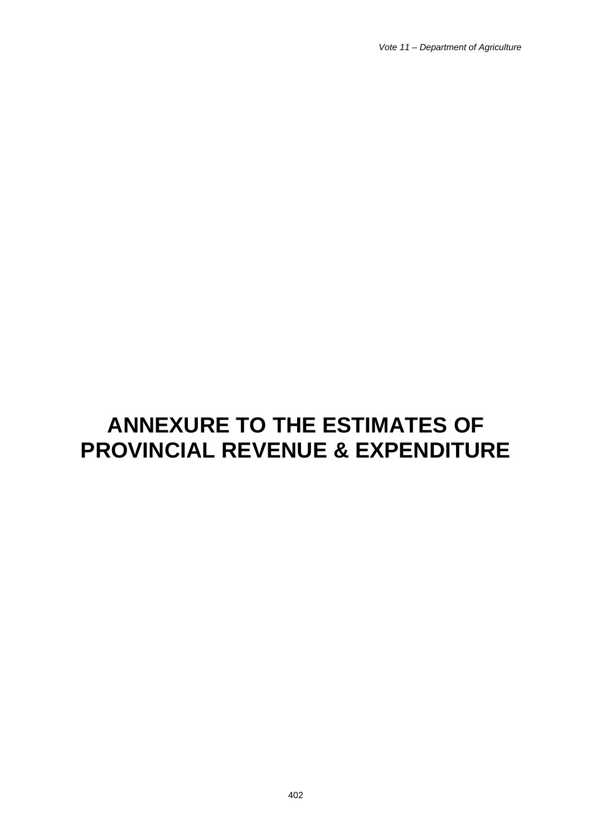# **ANNEXURE TO THE ESTIMATES OF PROVINCIAL REVENUE & EXPENDITURE**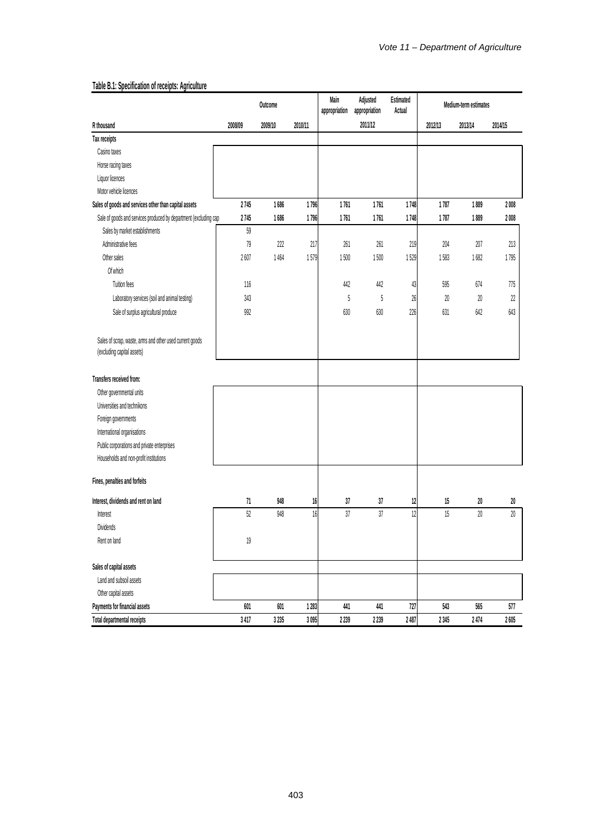#### **Table B.1: Specification of receipts: Agriculture**

|                                                                                        |         | Outcome |         | Main<br>appropriation | Adjusted<br>appropriation | Estimated<br>Actual |         | Medium-term estimates |         |
|----------------------------------------------------------------------------------------|---------|---------|---------|-----------------------|---------------------------|---------------------|---------|-----------------------|---------|
| R thousand                                                                             | 2008/09 | 2009/10 | 2010/11 |                       | 2011/12                   |                     | 2012/13 | 2013/14               | 2014/15 |
| Tax receipts                                                                           |         |         |         |                       |                           |                     |         |                       |         |
| Casino taxes                                                                           |         |         |         |                       |                           |                     |         |                       |         |
| Horse racing taxes                                                                     |         |         |         |                       |                           |                     |         |                       |         |
| Liquor licences                                                                        |         |         |         |                       |                           |                     |         |                       |         |
| Motor vehicle licences                                                                 |         |         |         |                       |                           |                     |         |                       |         |
| Sales of goods and services other than capital assets                                  | 2745    | 1686    | 1796    | 1761                  | 1761                      | 1748                | 1787    | 1889                  | 2008    |
| Sale of goods and services produced by department (excluding cap                       | 2745    | 1686    | 1796    | 1761                  | 1761                      | 1748                | 1787    | 1889                  | 2008    |
| Sales by market establishments                                                         | 59      |         |         |                       |                           |                     |         |                       |         |
| Administrative fees                                                                    | 79      | 222     | 217     | 261                   | 261                       | 219                 | 204     | 207                   | 213     |
| Other sales                                                                            | 2607    | 1464    | 1579    | 1500                  | 1500                      | 1529                | 1583    | 1682                  | 1795    |
| Of which                                                                               |         |         |         |                       |                           |                     |         |                       |         |
| Tuition fees                                                                           | 116     |         |         | 442                   | 442                       | 43                  | 595     | 674                   | 775     |
| Laboratory services (soil and animal testing)                                          | 343     |         |         | 5                     | 5                         | 26                  | 20      | $20\,$                | $22\,$  |
| Sale of surplus agricultural produce                                                   | 992     |         |         | 630                   | 630                       | 226                 | 631     | 642                   | 643     |
| Sales of scrap, waste, arms and other used current goods<br>(excluding capital assets) |         |         |         |                       |                           |                     |         |                       |         |
| Transfers received from:                                                               |         |         |         |                       |                           |                     |         |                       |         |
| Other governmental units                                                               |         |         |         |                       |                           |                     |         |                       |         |
| Universities and technikons                                                            |         |         |         |                       |                           |                     |         |                       |         |
| Foreign governments                                                                    |         |         |         |                       |                           |                     |         |                       |         |
| International organisations                                                            |         |         |         |                       |                           |                     |         |                       |         |
| Public corporations and private enterprises                                            |         |         |         |                       |                           |                     |         |                       |         |
| Households and non-profit institutions                                                 |         |         |         |                       |                           |                     |         |                       |         |
| Fines, penalties and forfeits                                                          |         |         |         |                       |                           |                     |         |                       |         |
| Interest, dividends and rent on land                                                   | 71      | 948     | $16\,$  | 37                    | $37\,$                    | 12                  | 15      | $20\,$                | $20\,$  |
| Interest                                                                               | 52      | 948     | 16      | 37                    | 37                        | 12                  | 15      | $20\,$                | 20      |
| <b>Dividends</b>                                                                       |         |         |         |                       |                           |                     |         |                       |         |
| Rent on land                                                                           | 19      |         |         |                       |                           |                     |         |                       |         |
| Sales of capital assets                                                                |         |         |         |                       |                           |                     |         |                       |         |
| Land and subsoil assets                                                                |         |         |         |                       |                           |                     |         |                       |         |
| Other capital assets                                                                   |         |         |         |                       |                           |                     |         |                       |         |
| Payments for financial assets                                                          | 601     | 601     | 1283    | 441                   | 441                       | 727                 | 543     | 565                   | 577     |
| Total departmental receipts                                                            | 3 4 1 7 | 3 2 3 5 | 3095    | 2239                  | 2 2 3 9                   | 2 487               | 2345    | 2474                  | 2605    |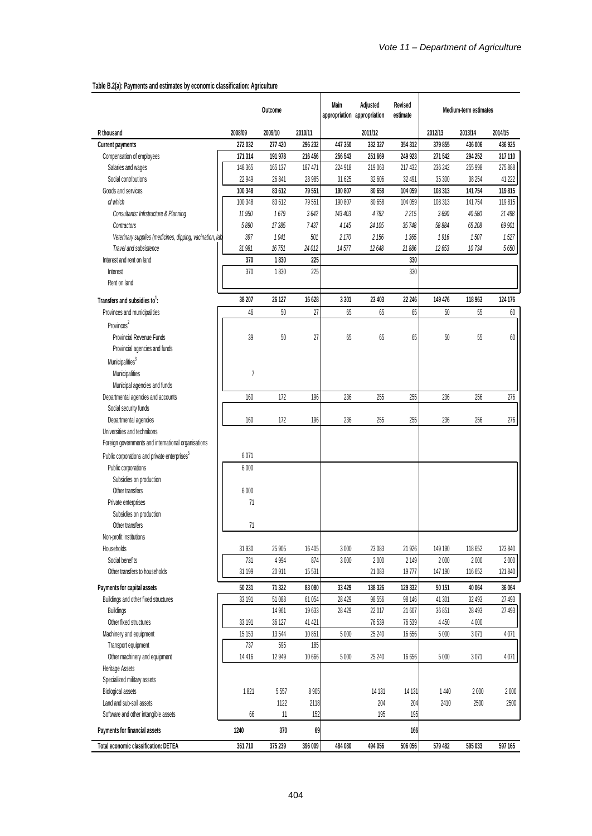#### **Table B.2(a): Payments and estimates by economic classification: Agriculture**

|                                                          | Outcome |         |          | Main<br>appropriation appropriation | Adjusted | Revised<br>estimate | Medium-term estimates |          |         |  |
|----------------------------------------------------------|---------|---------|----------|-------------------------------------|----------|---------------------|-----------------------|----------|---------|--|
| R thousand                                               | 2008/09 | 2009/10 | 2010/11  |                                     | 2011/12  |                     | 2012/13               | 2013/14  | 2014/15 |  |
| <b>Current payments</b>                                  | 272 032 | 277 420 | 296 232  | 447 350                             | 332 327  | 354 312             | 379 855               | 436 006  | 436 925 |  |
| Compensation of employees                                | 171 314 | 191 978 | 216 456  | 256 543                             | 251 669  | 249 923             | 271542                | 294 252  | 317 110 |  |
| Salaries and wages                                       | 148 365 | 165 137 | 187 471  | 224 918                             | 219 063  | 217 432             | 236 242               | 255 998  | 275 888 |  |
| Social contributions                                     | 22 949  | 26 841  | 28 985   | 31 625                              | 32 606   | 32 491              | 35 300                | 38 254   | 41 222  |  |
| Goods and services                                       | 100 348 | 83 612  | 79551    | 190 807                             | 80 658   | 104 059             | 108 313               | 141 754  | 119815  |  |
| of which                                                 | 100 348 | 83 612  | 79551    | 190 807                             | 80 658   | 104 059             | 108 313               | 141 754  | 119815  |  |
| Consultants: Infrstructure & Planning                    | 11 950  | 1679    | 3642     | 143 403                             | 4782     | 2215                | 3690                  | 40 580   | 21 498  |  |
| Contractors                                              | 5890    | 17 385  | 7437     | 4 1 4 5                             | 24 105   | 35 748              | 58 884                | 65 208   | 69 901  |  |
| Veterinary supplies (medicines, dipping, vacination, lab | 397     | 1941    | 501      | 2170                                | 2 1 5 6  | 1 3 6 5             | 1916                  | 1507     | 1527    |  |
| Travel and subsistence                                   | 31 981  | 16 751  | 24 012   | 14577                               | 12648    | 21886               | 12653                 | 10734    | 5650    |  |
| Interest and rent on land                                | 370     | 1830    | 225      |                                     |          | 330                 |                       |          |         |  |
| Interest                                                 | 370     | 1830    | 225      |                                     |          | 330                 |                       |          |         |  |
| Rent on land                                             |         |         |          |                                     |          |                     |                       |          |         |  |
| Transfers and subsidies to <sup>1</sup> :                | 38 207  | 26 127  | 16 628   | 3 3 0 1                             | 23 403   | 22 246              | 149 476               | 118 963  | 124 176 |  |
| Provinces and municipalities                             | 46      | 50      | 27       | 65                                  | 65       | 65                  | 50                    | 55       | 60      |  |
| Provinces <sup>2</sup>                                   |         |         |          |                                     |          |                     |                       |          |         |  |
| Provincial Revenue Funds                                 | 39      | 50      | 27       | 65                                  | 65       | 65                  | 50                    | 55       | 60      |  |
| Provincial agencies and funds                            |         |         |          |                                     |          |                     |                       |          |         |  |
| Municipalities <sup>3</sup>                              |         |         |          |                                     |          |                     |                       |          |         |  |
| Municipalities                                           | 7       |         |          |                                     |          |                     |                       |          |         |  |
| Municipal agencies and funds                             |         |         |          |                                     |          |                     |                       |          |         |  |
| Departmental agencies and accounts                       | 160     | 172     | 196      | 236                                 | 255      | 255                 | 236                   | 256      | 276     |  |
| Social security funds                                    |         |         |          |                                     |          |                     |                       |          |         |  |
| Departmental agencies                                    | 160     | 172     | 196      | 236                                 | 255      | 255                 | 236                   | 256      | 276     |  |
| Universities and technikons                              |         |         |          |                                     |          |                     |                       |          |         |  |
|                                                          |         |         |          |                                     |          |                     |                       |          |         |  |
| Foreign governments and international organisations      |         |         |          |                                     |          |                     |                       |          |         |  |
| Public corporations and private enterprises <sup>5</sup> | 6071    |         |          |                                     |          |                     |                       |          |         |  |
| Public corporations                                      | 6000    |         |          |                                     |          |                     |                       |          |         |  |
| Subsidies on production                                  |         |         |          |                                     |          |                     |                       |          |         |  |
| Other transfers                                          | 6000    |         |          |                                     |          |                     |                       |          |         |  |
| Private enterprises                                      | 71      |         |          |                                     |          |                     |                       |          |         |  |
| Subsidies on production                                  |         |         |          |                                     |          |                     |                       |          |         |  |
| Other transfers                                          | 71      |         |          |                                     |          |                     |                       |          |         |  |
| Non-profit institutions                                  |         |         |          |                                     |          |                     |                       |          |         |  |
| Households                                               | 31 930  | 25 905  | 16 405   | 3 0 0 0                             | 23 08 3  | 21 926              | 149 190               | 118 652  | 123 840 |  |
| Social benefits                                          | 731     | 4 9 9 4 | 874      | 3 0 0 0                             | 2000     | 2 1 4 9             | 2000                  | $2000$   | 2000    |  |
| Other transfers to households                            | 31 199  | 20 911  | 15 5 31  |                                     | 21 083   | 19777               | 147 190               | 116 652  | 121 840 |  |
| Payments for capital assets                              | 50 231  | 71 322  | 83 080   | 33 429                              | 138 326  | 129 332             | 50 151                | 40 0 64  | 36 064  |  |
| Buildings and other fixed structures                     | 33 191  | 51 088  | 61 054   | 28 4 29                             | 98 556   | 98 146              | 41 301                | 32 493   | 27 493  |  |
| <b>Buildings</b>                                         |         | 14 9 61 | 19633    | 28 4 29                             | 22017    | 21 607              | 36 851                | 28 4 9 3 | 27 493  |  |
| Other fixed structures                                   | 33 191  | 36 127  | 41 421   |                                     | 76539    | 76539               | 4 4 5 0               | 4 0 0 0  |         |  |
| Machinery and equipment                                  | 15 15 3 | 13544   | 10851    | 5 0 0 0                             | 25 240   | 16 656              | 5 0 0 0               | 3071     | 4071    |  |
| Transport equipment                                      | 737     | 595     | 185      |                                     |          |                     |                       |          |         |  |
| Other machinery and equipment                            | 14 4 16 | 12 949  | 10 6 6 6 | 5 0 0 0                             | 25 240   | 16 656              | 5 0 0 0               | 3071     | 4071    |  |
| Heritage Assets                                          |         |         |          |                                     |          |                     |                       |          |         |  |
| Specialized military assets                              |         |         |          |                                     |          |                     |                       |          |         |  |
| <b>Biological assets</b>                                 | 1821    | 5557    | 8 9 0 5  |                                     | 14 131   | 14 131              | 1 4 4 0               | 2000     | 2000    |  |
| Land and sub-soil assets                                 |         | 1122    | 2118     |                                     | 204      | 204                 | 2410                  | 2500     | 2500    |  |
| Software and other intangible assets                     | 66      | 11      | 152      |                                     | 195      | 195                 |                       |          |         |  |
| Payments for financial assets                            | 1240    | 370     | 69       |                                     |          | 166                 |                       |          |         |  |
| Total economic classification: DETEA                     | 361710  | 375 239 | 396 009  | 484 080                             | 494 056  | 506 056             | 579 482               | 595 033  | 597 165 |  |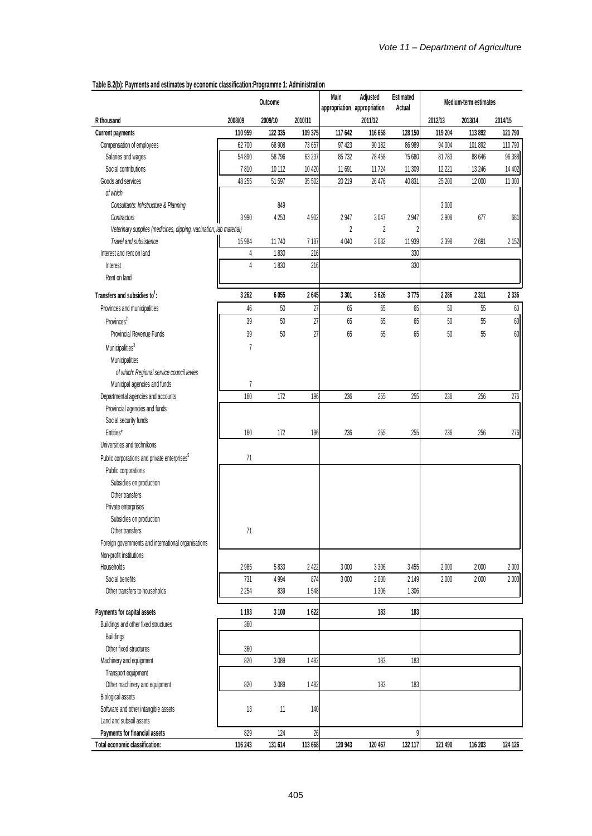#### **Table B.2(b): Payments and estimates by economic classification:Programme 1: Administration**

|                                                                    |                | Outcome |         | Main<br>appropriation appropriation | Adjusted       | Estimated<br>Actual |         | Medium-term estimates |         |
|--------------------------------------------------------------------|----------------|---------|---------|-------------------------------------|----------------|---------------------|---------|-----------------------|---------|
| R thousand                                                         | 2008/09        | 2009/10 | 2010/11 |                                     | 2011/12        |                     | 2012/13 | 2013/14               | 2014/15 |
| <b>Current payments</b>                                            | 110 959        | 122 335 | 109 375 | 117 642                             | 116 658        | 128 150             | 119 204 | 113 892               | 121 790 |
| Compensation of employees                                          | 62700          | 68 908  | 73 657  | 97 423                              | 90 182         | 86 989              | 94 004  | 101 892               | 110 790 |
| Salaries and wages                                                 | 54 890         | 58 796  | 63 237  | 85 732                              | 78 458         | 75 680              | 81 783  | 88 646                | 96 388  |
| Social contributions                                               | 7810           | 10 112  | 10 4 20 | 11 691                              | 11 724         | 11 309              | 12 221  | 13 24 6               | 14 402  |
| Goods and services                                                 | 48 255         | 51 597  | 35 502  | 20 219                              | 26 476         | 40 831              | 25 200  | 12 000                | 11 000  |
| of which                                                           |                |         |         |                                     |                |                     |         |                       |         |
| Consultants: Infrstructure & Planning                              |                | 849     |         |                                     |                |                     | 3 0 0 0 |                       |         |
| Contractors                                                        | 3 9 9 0        | 4 2 5 3 | 4 9 0 2 | 2947                                | 3047           | 2947                | 2 9 0 8 | 677                   | 681     |
| Veterinary supplies (medicines, dipping, vacination, lab material) |                |         |         | $\overline{2}$                      | $\overline{2}$ |                     |         |                       |         |
| Travel and subsistence                                             | 15 9 84        | 11740   | 7 187   | 4 0 4 0                             | 3082           | 11 939              | 2 3 9 8 | 2691                  | 2 1 5 2 |
| Interest and rent on land                                          | 4              | 1830    | 216     |                                     |                | 330                 |         |                       |         |
| Interest                                                           | 4              | 1830    | 216     |                                     |                | 330                 |         |                       |         |
| Rent on land                                                       |                |         |         |                                     |                |                     |         |                       |         |
| Transfers and subsidies to <sup>1</sup> :                          | 3 2 6 2        | 6055    | 2645    | 3 3 0 1                             | 3626           | 3775                | 2 2 8 6 | 2311                  | 2 3 3 6 |
| Provinces and municipalities                                       | 46             | 50      | 27      | 65                                  | 65             | 65                  | $50\,$  | 55                    | 60      |
| Provinces <sup>2</sup>                                             | 39             | 50      | 27      | 65                                  | 65             | 65                  | 50      | 55                    | $60\,$  |
| Provincial Revenue Funds                                           | 39             | 50      | 27      | 65                                  | 65             | 65                  | 50      | 55                    | $60\,$  |
| Municipalities <sup>3</sup>                                        | $\overline{1}$ |         |         |                                     |                |                     |         |                       |         |
| Municipalities                                                     |                |         |         |                                     |                |                     |         |                       |         |
| of which: Regional service council levies                          |                |         |         |                                     |                |                     |         |                       |         |
| Municipal agencies and funds                                       | $\overline{1}$ |         |         |                                     |                |                     |         |                       |         |
| Departmental agencies and accounts                                 | 160            | 172     | 196     | 236                                 | 255            | 255                 | 236     | 256                   | 276     |
| Provincial agencies and funds                                      |                |         |         |                                     |                |                     |         |                       |         |
| Social security funds                                              |                |         |         |                                     |                |                     |         |                       |         |
| Entities*                                                          | 160            | 172     | 196     | 236                                 | 255            | 255                 | 236     | 256                   | 276     |
| Universities and technikons                                        |                |         |         |                                     |                |                     |         |                       |         |
|                                                                    | 71             |         |         |                                     |                |                     |         |                       |         |
| Public corporations and private enterprises <sup>5</sup>           |                |         |         |                                     |                |                     |         |                       |         |
| Public corporations<br>Subsidies on production                     |                |         |         |                                     |                |                     |         |                       |         |
| Other transfers                                                    |                |         |         |                                     |                |                     |         |                       |         |
|                                                                    |                |         |         |                                     |                |                     |         |                       |         |
| Private enterprises<br>Subsidies on production                     |                |         |         |                                     |                |                     |         |                       |         |
| Other transfers                                                    | 71             |         |         |                                     |                |                     |         |                       |         |
| Foreign governments and international organisations                |                |         |         |                                     |                |                     |         |                       |         |
| Non-profit institutions                                            |                |         |         |                                     |                |                     |         |                       |         |
| Households                                                         | 2985           | 5833    | 2 4 2 2 | 3 0 0 0                             | 3 3 0 6        | 3 4 5 5             | 2000    | 2000                  | 2000    |
| Social benefits                                                    | 731            | 4 9 9 4 | 874     | $3000$                              | 2000           | 2149                | 2000    | 2000                  | 2000    |
| Other transfers to households                                      | 2 2 5 4        | 839     | 1548    |                                     | 1 3 0 6        | 1 3 0 6             |         |                       |         |
|                                                                    |                |         |         |                                     |                |                     |         |                       |         |
| Payments for capital assets                                        | 1193           | 3 100   | 1622    |                                     | 183            | 183                 |         |                       |         |
| Buildings and other fixed structures                               | 360            |         |         |                                     |                |                     |         |                       |         |
| Buildings                                                          |                |         |         |                                     |                |                     |         |                       |         |
| Other fixed structures                                             | 360            |         |         |                                     |                |                     |         |                       |         |
| Machinery and equipment                                            | 820            | 3089    | 1482    |                                     | 183            | 183                 |         |                       |         |
| Transport equipment                                                |                |         |         |                                     |                |                     |         |                       |         |
| Other machinery and equipment                                      | 820            | 3 0 8 9 | 1482    |                                     | 183            | 183                 |         |                       |         |
| Biological assets                                                  |                |         |         |                                     |                |                     |         |                       |         |
| Software and other intangible assets                               | $13\,$         | 11      | 140     |                                     |                |                     |         |                       |         |
| Land and subsoil assets                                            |                |         |         |                                     |                |                     |         |                       |         |
| Payments for financial assets                                      | 829            | 124     | 26      |                                     |                | 9                   |         |                       |         |
| Total economic classification:                                     | 116 243        | 131 614 | 113 668 | 120 943                             | 120 467        | 132 117             | 121 490 | 116 203               | 124 126 |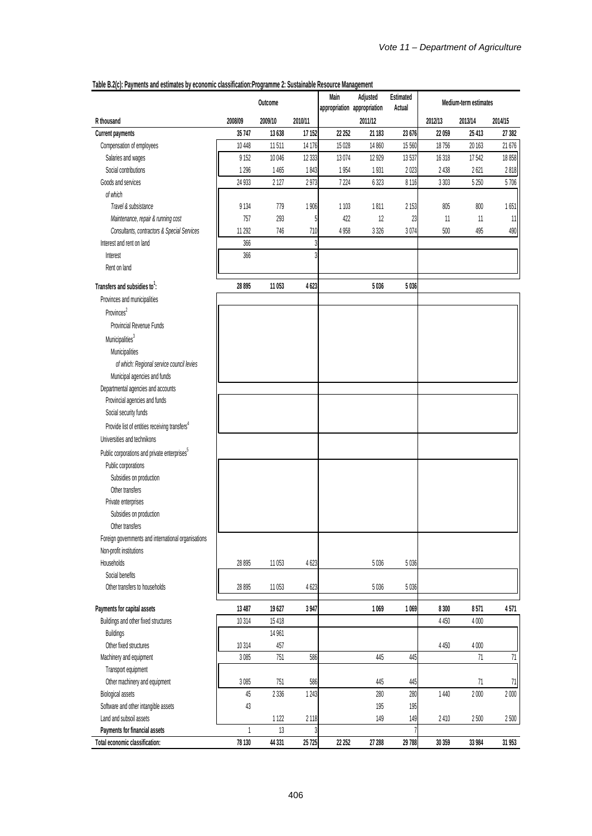#### **Table B.2(c): Payments and estimates by economic classification:Programme 2: Sustainable Resource Management**

|                                                                     |                   | Outcome |                | Main<br>appropriation appropriation | Adjusted | <b>Estimated</b><br>Actual |         | Medium-term estimates |            |
|---------------------------------------------------------------------|-------------------|---------|----------------|-------------------------------------|----------|----------------------------|---------|-----------------------|------------|
| R thousand                                                          | 2008/09           | 2009/10 | 2010/11        |                                     | 2011/12  |                            | 2012/13 | 2013/14               | 2014/15    |
| <b>Current payments</b>                                             | 35 747            | 13638   | 17 152         | 22 25 2                             | 21 183   | 23 676                     | 22 059  | 25 413                | 27 382     |
| Compensation of employees                                           | 10 448            | 11511   | 14 176         | 15 0 28                             | 14 860   | 15 560                     | 18756   | 20 16 3               | 21 6 7 6   |
| Salaries and wages                                                  | 9 1 5 2           | 10046   | 12 3 33        | 13074                               | 12 9 29  | 13537                      | 16318   | 17542                 | 18858      |
| Social contributions                                                | 1 2 9 6           | 1465    | 1843           | 1954                                | 1931     | 2023                       | 2438    | 2621                  | 2818       |
| Goods and services                                                  | 24 933            | 2127    | 2973           | 7224                                | 6 3 2 3  | 8 1 1 6                    | 3 3 0 3 | 5 2 5 0               | 5706       |
| of which                                                            |                   |         |                |                                     |          |                            |         |                       |            |
| Travel & subsistance                                                | 9 1 3 4           | 779     | 1906           | 1 1 0 3                             | 1811     | 2 1 5 3                    | 805     | 800                   | 1651       |
| Maintenance, repair & running cost                                  | 757               | 293     | 5              | 422                                 | 12       | 23                         | 11      | 11                    | 11         |
| Consultants, contractors & Special Services                         | 11 292            | 746     | 710            | 4958                                | 3 3 2 6  | 3074                       | 500     | 495                   | 490        |
| Interest and rent on land                                           | 366               |         | 3              |                                     |          |                            |         |                       |            |
| Interest                                                            | 366               |         |                |                                     |          |                            |         |                       |            |
| Rent on land                                                        |                   |         |                |                                     |          |                            |         |                       |            |
| Transfers and subsidies to <sup>1</sup> :                           | 28 895            | 11053   | 4 6 23         |                                     | 5036     | 5036                       |         |                       |            |
| Provinces and municipalities                                        |                   |         |                |                                     |          |                            |         |                       |            |
| Provinces <sup>2</sup>                                              |                   |         |                |                                     |          |                            |         |                       |            |
| Provincial Revenue Funds                                            |                   |         |                |                                     |          |                            |         |                       |            |
| Municipalities <sup>3</sup>                                         |                   |         |                |                                     |          |                            |         |                       |            |
| Municipalities                                                      |                   |         |                |                                     |          |                            |         |                       |            |
| of which: Regional service council levies                           |                   |         |                |                                     |          |                            |         |                       |            |
| Municipal agencies and funds                                        |                   |         |                |                                     |          |                            |         |                       |            |
| Departmental agencies and accounts                                  |                   |         |                |                                     |          |                            |         |                       |            |
| Provincial agencies and funds                                       |                   |         |                |                                     |          |                            |         |                       |            |
| Social security funds                                               |                   |         |                |                                     |          |                            |         |                       |            |
| Provide list of entities receiving transfers <sup>4</sup>           |                   |         |                |                                     |          |                            |         |                       |            |
| Universities and technikons                                         |                   |         |                |                                     |          |                            |         |                       |            |
| Public corporations and private enterprises <sup>5</sup>            |                   |         |                |                                     |          |                            |         |                       |            |
| Public corporations                                                 |                   |         |                |                                     |          |                            |         |                       |            |
| Subsidies on production                                             |                   |         |                |                                     |          |                            |         |                       |            |
| Other transfers                                                     |                   |         |                |                                     |          |                            |         |                       |            |
| Private enterprises                                                 |                   |         |                |                                     |          |                            |         |                       |            |
| Subsidies on production                                             |                   |         |                |                                     |          |                            |         |                       |            |
| Other transfers                                                     |                   |         |                |                                     |          |                            |         |                       |            |
| Foreign governments and international organisations                 |                   |         |                |                                     |          |                            |         |                       |            |
| Non-profit institutions                                             |                   |         |                |                                     |          |                            |         |                       |            |
| Households                                                          | 28 895            | 11 053  | 4 6 23         |                                     | 5036     | 5036                       |         |                       |            |
| Social benefits                                                     |                   |         |                |                                     |          |                            |         |                       |            |
| Other transfers to households                                       | 28 895            | 11 053  | 4 6 23         |                                     | 5036     | 5 0 3 6                    |         |                       |            |
|                                                                     |                   |         |                |                                     |          |                            |         |                       |            |
| Payments for capital assets<br>Buildings and other fixed structures | 13 487            | 19627   | 3 9 4 7        |                                     | 1069     | 1069                       | 8 3 0 0 | 8571                  | 4571       |
|                                                                     | 10 3 14           | 15418   |                |                                     |          |                            | 4 4 5 0 | 4 0 0 0               |            |
| Buildings                                                           |                   | 14 9 61 |                |                                     |          |                            |         |                       |            |
| Other fixed structures<br>Machinery and equipment                   | 10 3 14           | 457     |                |                                     |          |                            | 4 4 5 0 | 4 0 0 0               |            |
|                                                                     | 3 0 8 5           | 751     | 586            |                                     | 445      | 445                        |         | 71                    | 71         |
| Transport equipment                                                 |                   | 751     |                |                                     | 445      |                            |         |                       |            |
| Other machinery and equipment<br><b>Biological assets</b>           | 3 0 8 5<br>$45\,$ | 2 3 3 6 | 586<br>1 2 4 3 |                                     | 280      | 445<br>280                 | 1440    | 71<br>2000            | 71<br>2000 |
| Software and other intangible assets                                | 43                |         |                |                                     | 195      | 195                        |         |                       |            |
| Land and subsoil assets                                             |                   | 1122    | 2 1 18         |                                     | 149      | 149                        | 2410    | 2500                  | 2500       |
| Payments for financial assets                                       | $\mathbf{1}$      | 13      | 3              |                                     |          |                            |         |                       |            |
| Total economic classification:                                      | 78 130            | 44 331  | 25 7 25        | 22 25 2                             | 27 288   | 29 788                     | 30 359  | 33 984                | 31 953     |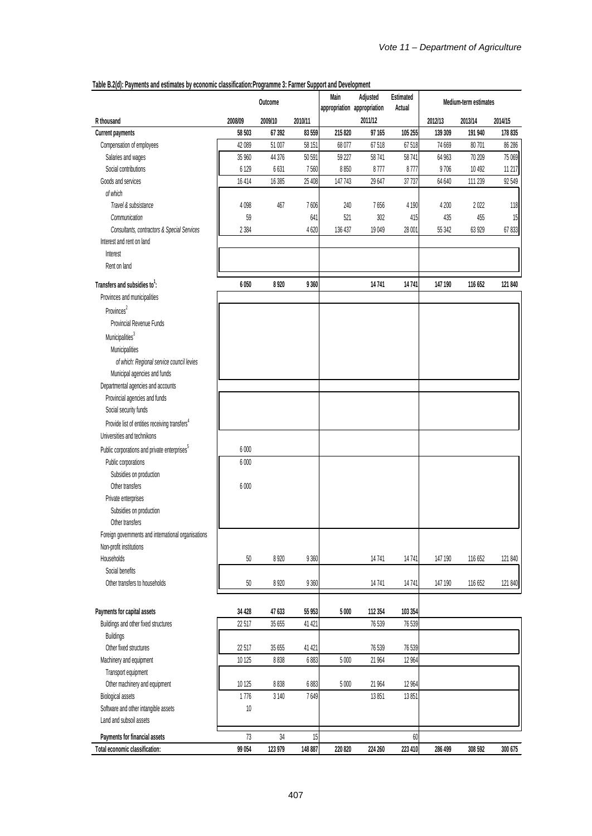#### **Table B.2(d): Payments and estimates by economic classification:Programme 3: Farmer Support and Development**

|                                                           |         | Outcome |         | Main<br>appropriation appropriation | Adjusted | Estimated<br>Actual |         | Medium-term estimates |         |
|-----------------------------------------------------------|---------|---------|---------|-------------------------------------|----------|---------------------|---------|-----------------------|---------|
| R thousand                                                | 2008/09 | 2009/10 | 2010/11 |                                     | 2011/12  |                     | 2012/13 | 2013/14               | 2014/15 |
| <b>Current payments</b>                                   | 58 503  | 67392   | 83 559  | 215 820                             | 97 165   | 105 255             | 139 309 | 191 940               | 178 835 |
| Compensation of employees                                 | 42 089  | 51007   | 58 151  | 68 077                              | 67518    | 67518               | 74 669  | 80701                 | 86 286  |
| Salaries and wages                                        | 35 960  | 44 376  | 50 591  | 59 227                              | 58741    | 58 741              | 64 963  | 70 209                | 75 069  |
| Social contributions                                      | 6 1 2 9 | 6631    | 7560    | 8850                                | 8777     | 8777                | 9706    | 10 4 92               | 11 217  |
| Goods and services                                        | 16 414  | 16 385  | 25 408  | 147 743                             | 29 647   | 37 737              | 64 640  | 111 239               | 92 549  |
| of which                                                  |         |         |         |                                     |          |                     |         |                       |         |
| Travel & subsistance                                      | 4 0 9 8 | 467     | 7606    | 240                                 | 7656     | 4 1 9 0             | 4 200   | 2022                  | 118     |
| Communication                                             | 59      |         | 641     | 521                                 | 302      | 415                 | 435     | 455                   | 15      |
| Consultants, contractors & Special Services               | 2 3 8 4 |         | 4 620   | 136 437                             | 19049    | 28 001              | 55 342  | 63 929                | 67 833  |
| Interest and rent on land                                 |         |         |         |                                     |          |                     |         |                       |         |
| Interest                                                  |         |         |         |                                     |          |                     |         |                       |         |
| Rent on land                                              |         |         |         |                                     |          |                     |         |                       |         |
| Transfers and subsidies to <sup>1</sup> :                 | 6050    | 8920    | 9 3 6 0 |                                     | 14 741   | 14 741              | 147 190 | 116 652               | 121 840 |
| Provinces and municipalities                              |         |         |         |                                     |          |                     |         |                       |         |
| Provinces <sup>2</sup>                                    |         |         |         |                                     |          |                     |         |                       |         |
| Provincial Revenue Funds                                  |         |         |         |                                     |          |                     |         |                       |         |
| Municipalities <sup>3</sup>                               |         |         |         |                                     |          |                     |         |                       |         |
|                                                           |         |         |         |                                     |          |                     |         |                       |         |
| Municipalities                                            |         |         |         |                                     |          |                     |         |                       |         |
| of which: Regional service council levies                 |         |         |         |                                     |          |                     |         |                       |         |
| Municipal agencies and funds                              |         |         |         |                                     |          |                     |         |                       |         |
| Departmental agencies and accounts                        |         |         |         |                                     |          |                     |         |                       |         |
| Provincial agencies and funds                             |         |         |         |                                     |          |                     |         |                       |         |
| Social security funds                                     |         |         |         |                                     |          |                     |         |                       |         |
| Provide list of entities receiving transfers <sup>4</sup> |         |         |         |                                     |          |                     |         |                       |         |
| Universities and technikons                               |         |         |         |                                     |          |                     |         |                       |         |
| Public corporations and private enterprises <sup>5</sup>  | 6 0 0 0 |         |         |                                     |          |                     |         |                       |         |
| Public corporations                                       | 6 0 0 0 |         |         |                                     |          |                     |         |                       |         |
| Subsidies on production                                   |         |         |         |                                     |          |                     |         |                       |         |
| Other transfers                                           | 6 0 0 0 |         |         |                                     |          |                     |         |                       |         |
| Private enterprises                                       |         |         |         |                                     |          |                     |         |                       |         |
| Subsidies on production                                   |         |         |         |                                     |          |                     |         |                       |         |
| Other transfers                                           |         |         |         |                                     |          |                     |         |                       |         |
| Foreign governments and international organisations       |         |         |         |                                     |          |                     |         |                       |         |
| Non-profit institutions                                   |         |         |         |                                     |          |                     |         |                       |         |
| Households                                                | $50\,$  | 8 9 20  | 9 3 6 0 |                                     | 14 741   | 14 741              | 147 190 | 116 652               | 121 840 |
| Social benefits                                           |         |         |         |                                     |          |                     |         |                       |         |
| Other transfers to households                             | $50\,$  | 8 9 20  | 9 3 6 0 |                                     | 14741    | 14 741              | 147 190 | 116 652               | 121 840 |
|                                                           |         |         |         |                                     |          |                     |         |                       |         |
| Payments for capital assets                               | 34 428  | 47 633  | 55 953  | $5000$                              | 112 354  | 103 354             |         |                       |         |
| Buildings and other fixed structures                      | 22517   | 35 655  | 41 421  |                                     | 76539    | 76 539              |         |                       |         |
| <b>Buildings</b>                                          |         |         |         |                                     |          |                     |         |                       |         |
| Other fixed structures                                    | 22 517  | 35 655  | 41 421  |                                     | 76539    | 76 539              |         |                       |         |
| Machinery and equipment                                   | 10 125  | 8838    | 6883    | 5 000                               | 21 9 64  | 12 9 64             |         |                       |         |
| Transport equipment                                       |         |         |         |                                     |          |                     |         |                       |         |
| Other machinery and equipment                             | 10 125  | 8838    | 6883    | 5 000                               | 21 9 64  | 12 9 64             |         |                       |         |
| <b>Biological assets</b>                                  | 1776    | 3 1 4 0 | 7649    |                                     | 13851    | 13 851              |         |                       |         |
| Software and other intangible assets                      | $10\,$  |         |         |                                     |          |                     |         |                       |         |
| Land and subsoil assets                                   |         |         |         |                                     |          |                     |         |                       |         |
| Payments for financial assets                             | $73\,$  | 34      | 15      |                                     |          | $60\,$              |         |                       |         |
| Total economic classification:                            | 99 054  | 123 979 | 148 887 | 220 820                             | 224 260  | 223 410             | 286 499 | 308 592               | 300 675 |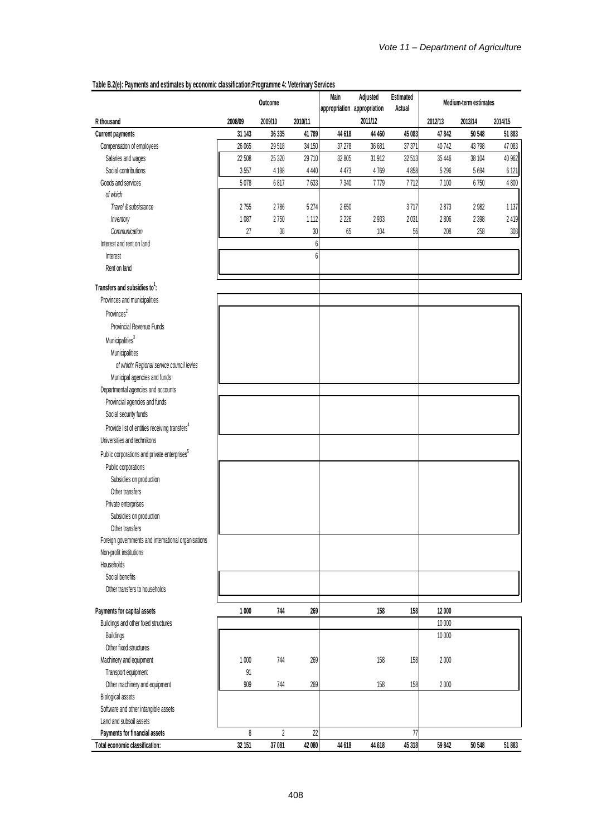#### **Table B.2(e): Payments and estimates by economic classification:Programme 4: Veterinary Services**

|                                                           |         | Outcome    |         | Main<br>appropriation appropriation | Adjusted | Estimated<br>Actual |         | Medium-term estimates |         |
|-----------------------------------------------------------|---------|------------|---------|-------------------------------------|----------|---------------------|---------|-----------------------|---------|
| R thousand                                                | 2008/09 | 2009/10    | 2010/11 |                                     | 2011/12  |                     | 2012/13 | 2013/14               | 2014/15 |
| <b>Current payments</b>                                   | 31 143  | 36 335     | 41 789  | 44 618                              | 44 4 60  | 45 083              | 47 842  | 50 548                | 51883   |
| Compensation of employees                                 | 26 065  | 29518      | 34 150  | 37 278                              | 36 681   | 37 371              | 40742   | 43798                 | 47 083  |
| Salaries and wages                                        | 22 508  | 25 3 20    | 29 710  | 32 805                              | 31 912   | 32 513              | 35 4 46 | 38 104                | 40 962  |
| Social contributions                                      | 3557    | 4 1 9 8    | 4 4 4 0 | 4 4 7 3                             | 4769     | 4858                | 5 2 9 6 | 5694                  | 6 1 2 1 |
| Goods and services                                        | 5078    | 6817       | 7633    | 7 3 4 0                             | 7779     | 7712                | 7 100   | 6750                  | 4800    |
| of which                                                  |         |            |         |                                     |          |                     |         |                       |         |
| Travel & subsistance                                      | 2755    | 2786       | 5 2 7 4 | 2650                                |          | 3717                | 2873    | 2982                  | 1 1 3 7 |
| Inventory                                                 | 1087    | 2750       | 1 1 1 2 | 2 2 2 6                             | 2933     | 2031                | 2806    | 2398                  | 2 4 1 9 |
| Communication                                             | 27      | 38         | 30      | 65                                  | 104      | 56                  | 208     | 258                   | 308     |
| Interest and rent on land                                 |         |            | 6       |                                     |          |                     |         |                       |         |
| Interest                                                  |         |            | 6       |                                     |          |                     |         |                       |         |
| Rent on land                                              |         |            |         |                                     |          |                     |         |                       |         |
| Transfers and subsidies to:                               |         |            |         |                                     |          |                     |         |                       |         |
| Provinces and municipalities                              |         |            |         |                                     |          |                     |         |                       |         |
| Provinces <sup>2</sup>                                    |         |            |         |                                     |          |                     |         |                       |         |
| Provincial Revenue Funds                                  |         |            |         |                                     |          |                     |         |                       |         |
| Municipalities <sup>3</sup>                               |         |            |         |                                     |          |                     |         |                       |         |
| Municipalities                                            |         |            |         |                                     |          |                     |         |                       |         |
| of which: Regional service council levies                 |         |            |         |                                     |          |                     |         |                       |         |
| Municipal agencies and funds                              |         |            |         |                                     |          |                     |         |                       |         |
| Departmental agencies and accounts                        |         |            |         |                                     |          |                     |         |                       |         |
| Provincial agencies and funds                             |         |            |         |                                     |          |                     |         |                       |         |
| Social security funds                                     |         |            |         |                                     |          |                     |         |                       |         |
| Provide list of entities receiving transfers <sup>4</sup> |         |            |         |                                     |          |                     |         |                       |         |
| Universities and technikons                               |         |            |         |                                     |          |                     |         |                       |         |
| Public corporations and private enterprises <sup>5</sup>  |         |            |         |                                     |          |                     |         |                       |         |
| Public corporations                                       |         |            |         |                                     |          |                     |         |                       |         |
| Subsidies on production                                   |         |            |         |                                     |          |                     |         |                       |         |
| Other transfers                                           |         |            |         |                                     |          |                     |         |                       |         |
| Private enterprises                                       |         |            |         |                                     |          |                     |         |                       |         |
| Subsidies on production                                   |         |            |         |                                     |          |                     |         |                       |         |
| Other transfers                                           |         |            |         |                                     |          |                     |         |                       |         |
| Foreign governments and international organisations       |         |            |         |                                     |          |                     |         |                       |         |
| Non-profit institutions                                   |         |            |         |                                     |          |                     |         |                       |         |
| Households                                                |         |            |         |                                     |          |                     |         |                       |         |
| Social benefits                                           |         |            |         |                                     |          |                     |         |                       |         |
| Other transfers to households                             |         |            |         |                                     |          |                     |         |                       |         |
| Payments for capital assets                               | 1 0 0 0 | 744        | 269     |                                     | 158      | 158                 | 12 000  |                       |         |
| Buildings and other fixed structures                      |         |            |         |                                     |          |                     | 10 000  |                       |         |
| Buildings                                                 |         |            |         |                                     |          |                     | 10 000  |                       |         |
| Other fixed structures                                    |         |            |         |                                     |          |                     |         |                       |         |
| Machinery and equipment                                   | 1 0 0 0 | 744        | 269     |                                     | 158      | 158                 | 2000    |                       |         |
| Transport equipment                                       | 91      |            |         |                                     |          |                     |         |                       |         |
| Other machinery and equipment                             | 909     | 744        | 269     |                                     | 158      | 158                 | 2000    |                       |         |
| <b>Biological assets</b>                                  |         |            |         |                                     |          |                     |         |                       |         |
| Software and other intangible assets                      |         |            |         |                                     |          |                     |         |                       |         |
| Land and subsoil assets                                   |         |            |         |                                     |          |                     |         |                       |         |
| Payments for financial assets                             | 8       | $\sqrt{2}$ | 22      |                                     |          | $77\,$              |         |                       |         |
| Total economic classification:                            | 32 151  | 37 081     | 42 080  | 44 618                              | 44 618   | 45 318              | 59 842  | 50 548                | 51 883  |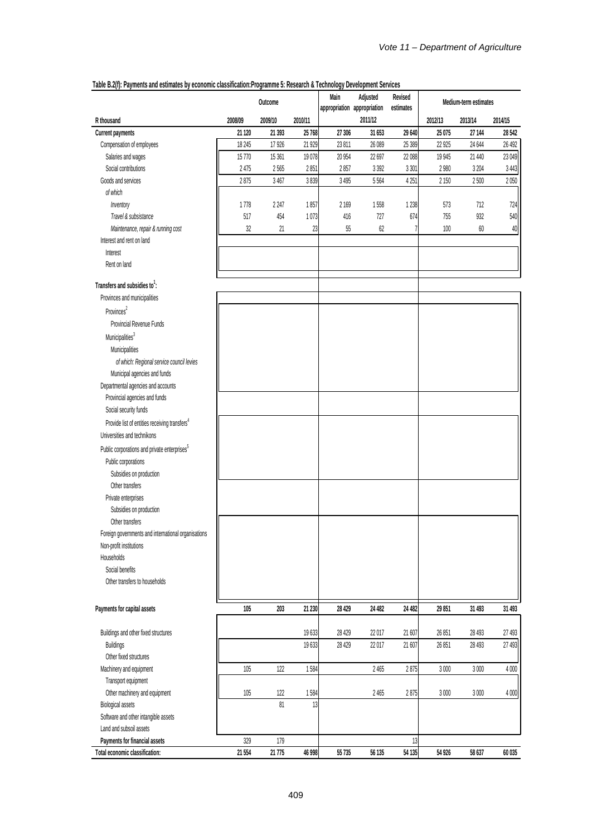#### **Table B.2(f): Payments and estimates by economic classification:Programme 5: Research & Technology Development Services**

|                                                           |         | Outcome |         | Main<br>appropriation appropriation | Adjusted | Revised<br>estimates |         | Medium-term estimates |         |
|-----------------------------------------------------------|---------|---------|---------|-------------------------------------|----------|----------------------|---------|-----------------------|---------|
| R thousand                                                | 2008/09 | 2009/10 | 2010/11 |                                     | 2011/12  |                      | 2012/13 | 2013/14               | 2014/15 |
| <b>Current payments</b>                                   | 21 120  | 21 393  | 25 768  | 27 30 6                             | 31 653   | 29 640               | 25 075  | 27 144                | 28 542  |
| Compensation of employees                                 | 18 245  | 17 926  | 21 929  | 23 811                              | 26 089   | 25 389               | 22 9 25 | 24 644                | 26 4 92 |
| Salaries and wages                                        | 15 770  | 15 3 61 | 19 078  | 20 954                              | 22 697   | 22 088               | 19 945  | 21 440                | 23049   |
| Social contributions                                      | 2 4 7 5 | 2565    | 2851    | 2857                                | 3 3 9 2  | 3 3 0 1              | 2980    | 3 2 0 4               | 3 4 4 3 |
| Goods and services                                        | 2875    | 3 4 6 7 | 3 8 3 9 | 3 4 9 5                             | 5 5 6 4  | 4 2 5 1              | 2150    | 2500                  | 2050    |
| of which                                                  |         |         |         |                                     |          |                      |         |                       |         |
| Inventory                                                 | 1778    | 2 2 4 7 | 1857    | 2 1 6 9                             | 1558     | 1238                 | 573     | 712                   | 724     |
| Travel & subsistance                                      | 517     | 454     | 1073    | 416                                 | 727      | 674                  | 755     | 932                   | 540     |
| Maintenance, repair & running cost                        | 32      | 21      | 23      | 55                                  | 62       | 7                    | 100     | 60                    | $40\,$  |
| Interest and rent on land                                 |         |         |         |                                     |          |                      |         |                       |         |
| Interest                                                  |         |         |         |                                     |          |                      |         |                       |         |
| Rent on land                                              |         |         |         |                                     |          |                      |         |                       |         |
| Transfers and subsidies to <sup>1</sup> :                 |         |         |         |                                     |          |                      |         |                       |         |
| Provinces and municipalities                              |         |         |         |                                     |          |                      |         |                       |         |
| Provinces <sup>2</sup>                                    |         |         |         |                                     |          |                      |         |                       |         |
| <b>Provincial Revenue Funds</b>                           |         |         |         |                                     |          |                      |         |                       |         |
| Municipalities <sup>3</sup>                               |         |         |         |                                     |          |                      |         |                       |         |
| Municipalities                                            |         |         |         |                                     |          |                      |         |                       |         |
| of which: Regional service council levies                 |         |         |         |                                     |          |                      |         |                       |         |
| Municipal agencies and funds                              |         |         |         |                                     |          |                      |         |                       |         |
| Departmental agencies and accounts                        |         |         |         |                                     |          |                      |         |                       |         |
| Provincial agencies and funds                             |         |         |         |                                     |          |                      |         |                       |         |
| Social security funds                                     |         |         |         |                                     |          |                      |         |                       |         |
|                                                           |         |         |         |                                     |          |                      |         |                       |         |
| Provide list of entities receiving transfers <sup>4</sup> |         |         |         |                                     |          |                      |         |                       |         |
| Universities and technikons                               |         |         |         |                                     |          |                      |         |                       |         |
| Public corporations and private enterprises <sup>5</sup>  |         |         |         |                                     |          |                      |         |                       |         |
| Public corporations                                       |         |         |         |                                     |          |                      |         |                       |         |
| Subsidies on production                                   |         |         |         |                                     |          |                      |         |                       |         |
| Other transfers                                           |         |         |         |                                     |          |                      |         |                       |         |
| Private enterprises                                       |         |         |         |                                     |          |                      |         |                       |         |
| Subsidies on production                                   |         |         |         |                                     |          |                      |         |                       |         |
| Other transfers                                           |         |         |         |                                     |          |                      |         |                       |         |
| Foreign governments and international organisations       |         |         |         |                                     |          |                      |         |                       |         |
| Non-profit institutions                                   |         |         |         |                                     |          |                      |         |                       |         |
| Households                                                |         |         |         |                                     |          |                      |         |                       |         |
| Social benefits                                           |         |         |         |                                     |          |                      |         |                       |         |
| Other transfers to households                             |         |         |         |                                     |          |                      |         |                       |         |
| Payments for capital assets                               | 105     | 203     | 21 230  | 28 4 29                             | 24 482   | 24 482               | 29851   | 31 493                | 31 4 93 |
|                                                           |         |         |         |                                     |          |                      |         |                       |         |
| Buildings and other fixed structures                      |         |         | 19 633  | 28 4 29                             | 22017    | 21 607               | 26851   | 28 4 93               | 27 493  |
| <b>Buildings</b>                                          |         |         | 19 633  | 28 4 29                             | 22017    | 21 607               | 26 851  | 28 4 93               | 27 493  |
| Other fixed structures                                    |         |         |         |                                     |          |                      |         |                       |         |
| Machinery and equipment                                   | 105     | 122     | 1584    |                                     | 2 4 6 5  | 2875                 | 3000    | 3000                  | 4 0 0 0 |
| Transport equipment                                       |         |         |         |                                     |          |                      |         |                       |         |
| Other machinery and equipment                             | 105     | 122     | 1584    |                                     | 2 4 6 5  | 2875                 | 3000    | 3 0 0 0               | 4 0 0 0 |
| <b>Biological assets</b>                                  |         | $81\,$  | 13      |                                     |          |                      |         |                       |         |
| Software and other intangible assets                      |         |         |         |                                     |          |                      |         |                       |         |
| Land and subsoil assets                                   |         |         |         |                                     |          |                      |         |                       |         |
| Payments for financial assets                             | 329     | 179     |         |                                     |          | 13                   |         |                       |         |
| Total economic classification:                            | 21 554  | 21 775  | 46 998  | 55 735                              | 56 135   | 54 135               | 54 926  | 58 637                | 60 035  |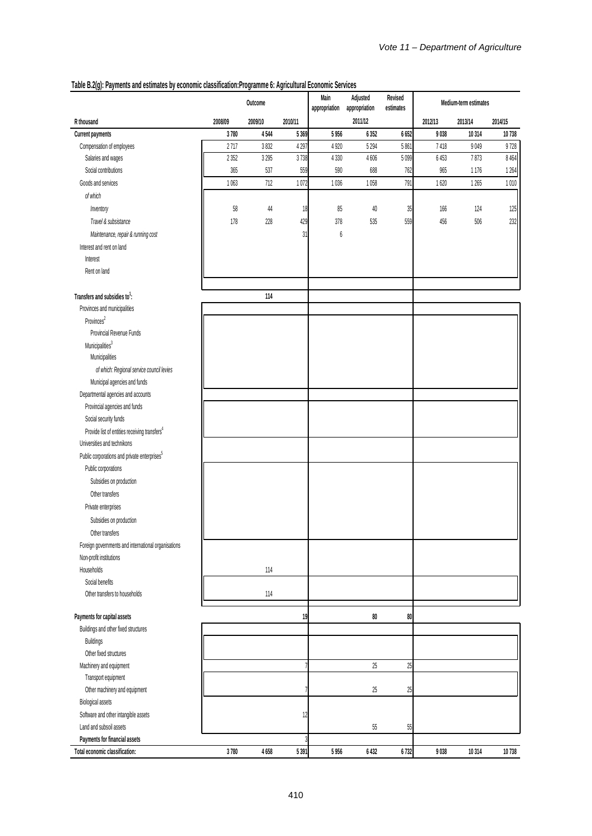#### **Table B.2(g): Payments and estimates by economic classification:Programme 6: Agricultural Economic Services**

|                                                           |         | Outcome |                    | Main<br>appropriation | Adjusted<br>appropriation | Revised<br>estimates |         | Medium-term estimates |         |
|-----------------------------------------------------------|---------|---------|--------------------|-----------------------|---------------------------|----------------------|---------|-----------------------|---------|
| R thousand                                                | 2008/09 | 2009/10 | 2010/11            |                       | 2011/12                   |                      | 2012/13 | 2013/14               | 2014/15 |
| <b>Current payments</b>                                   | 3780    | 4544    | 5 3 6 9            | 5 9 5 6               | 6352                      | 6652                 | 9038    | 10 3 14               | 10738   |
| Compensation of employees                                 | 2717    | 3832    | 4 2 9 7            | 4 9 20                | 5 2 9 4                   | 5861                 | 7418    | 9049                  | 9728    |
| Salaries and wages                                        | 2 3 5 2 | 3 2 9 5 | 3738               | 4 3 3 0               | 4 6 0 6                   | 5099                 | 6453    | 7873                  | 8 4 6 4 |
| Social contributions                                      | 365     | 537     | 559                | 590                   | 688                       | 762                  | 965     | 1176                  | 1264    |
| Goods and services                                        | 1063    | 712     | 1072               | 1036                  | 1058                      | 791                  | 1620    | 1265                  | 1010    |
| of which                                                  |         |         |                    |                       |                           |                      |         |                       |         |
| Inventory                                                 | 58      | 44      | 18                 | 85                    | 40                        | 35                   | 166     | 124                   | 125     |
| Travel & subsistance                                      | 178     | 228     | 429                | 378                   | 535                       | 559                  | 456     | 506                   | 232     |
| Maintenance, repair & running cost                        |         |         | 31                 | 6                     |                           |                      |         |                       |         |
| Interest and rent on land                                 |         |         |                    |                       |                           |                      |         |                       |         |
| Interest                                                  |         |         |                    |                       |                           |                      |         |                       |         |
| Rent on land                                              |         |         |                    |                       |                           |                      |         |                       |         |
|                                                           |         |         |                    |                       |                           |                      |         |                       |         |
| Transfers and subsidies to <sup>1</sup> :                 |         | 114     |                    |                       |                           |                      |         |                       |         |
| Provinces and municipalities                              |         |         |                    |                       |                           |                      |         |                       |         |
| Provinces <sup>2</sup>                                    |         |         |                    |                       |                           |                      |         |                       |         |
| Provincial Revenue Funds                                  |         |         |                    |                       |                           |                      |         |                       |         |
| Municipalities <sup>3</sup>                               |         |         |                    |                       |                           |                      |         |                       |         |
| Municipalities                                            |         |         |                    |                       |                           |                      |         |                       |         |
| of which: Regional service council levies                 |         |         |                    |                       |                           |                      |         |                       |         |
| Municipal agencies and funds                              |         |         |                    |                       |                           |                      |         |                       |         |
| Departmental agencies and accounts                        |         |         |                    |                       |                           |                      |         |                       |         |
| Provincial agencies and funds                             |         |         |                    |                       |                           |                      |         |                       |         |
| Social security funds                                     |         |         |                    |                       |                           |                      |         |                       |         |
| Provide list of entities receiving transfers <sup>4</sup> |         |         |                    |                       |                           |                      |         |                       |         |
| Universities and technikons                               |         |         |                    |                       |                           |                      |         |                       |         |
| Public corporations and private enterprises <sup>5</sup>  |         |         |                    |                       |                           |                      |         |                       |         |
| Public corporations                                       |         |         |                    |                       |                           |                      |         |                       |         |
| Subsidies on production                                   |         |         |                    |                       |                           |                      |         |                       |         |
| Other transfers                                           |         |         |                    |                       |                           |                      |         |                       |         |
| Private enterprises                                       |         |         |                    |                       |                           |                      |         |                       |         |
| Subsidies on production                                   |         |         |                    |                       |                           |                      |         |                       |         |
| Other transfers                                           |         |         |                    |                       |                           |                      |         |                       |         |
| Foreign governments and international organisations       |         |         |                    |                       |                           |                      |         |                       |         |
| Non-profit institutions                                   |         |         |                    |                       |                           |                      |         |                       |         |
| Households                                                |         | 114     |                    |                       |                           |                      |         |                       |         |
| Social benefits                                           |         |         |                    |                       |                           |                      |         |                       |         |
| Other transfers to households                             |         | 114     |                    |                       |                           |                      |         |                       |         |
|                                                           |         |         |                    |                       |                           |                      |         |                       |         |
| Payments for capital assets                               |         |         | 19                 |                       | $80\,$                    | 80                   |         |                       |         |
| Buildings and other fixed structures                      |         |         |                    |                       |                           |                      |         |                       |         |
| Buildings                                                 |         |         |                    |                       |                           |                      |         |                       |         |
| Other fixed structures                                    |         |         |                    |                       |                           |                      |         |                       |         |
| Machinery and equipment                                   |         |         | J                  |                       | $25\,$                    | 25                   |         |                       |         |
| Transport equipment                                       |         |         |                    |                       |                           |                      |         |                       |         |
| Other machinery and equipment                             |         |         |                    |                       | 25                        | 25                   |         |                       |         |
| <b>Biological assets</b>                                  |         |         |                    |                       |                           |                      |         |                       |         |
| Software and other intangible assets                      |         |         | 12                 |                       |                           |                      |         |                       |         |
| Land and subsoil assets                                   |         |         |                    |                       | $55\,$                    | 55                   |         |                       |         |
| Payments for financial assets                             |         |         | $\mathbf{\hat{z}}$ |                       |                           |                      |         |                       |         |
| Total economic classification:                            | 3780    | 4658    | 5 3 9 1            | 5 9 5 6               | 6 4 3 2                   | 6732                 | 9038    | 10 3 14               | 10738   |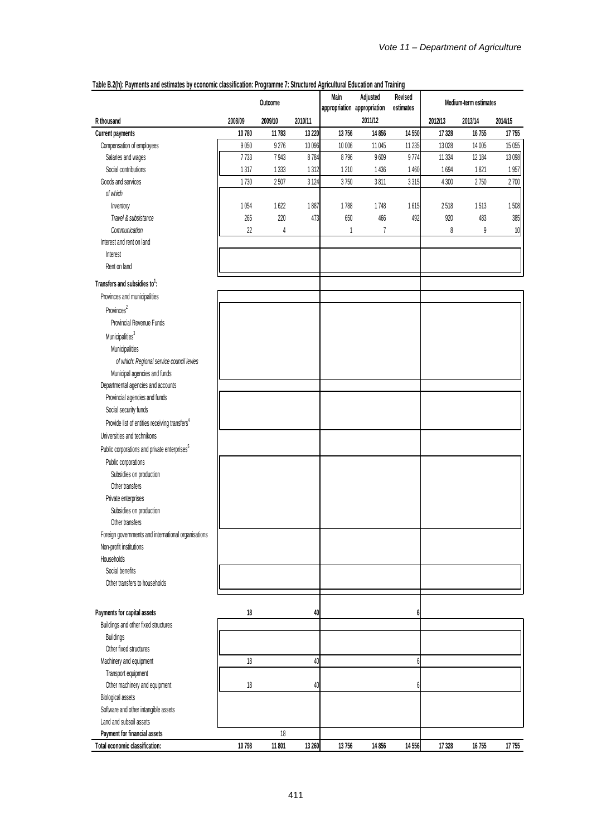| Table B.2(h): Payments and estimates by economic classification: Programme 7: Structured Agricultural Education and Training |  |  |
|------------------------------------------------------------------------------------------------------------------------------|--|--|
|                                                                                                                              |  |  |

| 2011/12<br>2010/11<br>R thousand<br>2008/09<br>2009/10<br>2012/13<br>2013/14<br>2014/15<br>10780<br>13 220<br>13 756<br>14 8 56<br>14 550<br>17 328<br>16 755<br>11 783<br>17 755<br><b>Current payments</b><br>Compensation of employees<br>9050<br>9276<br>10 0 96<br>10 006<br>11 045<br>11 235<br>13028<br>14 005<br>15 0 55<br>8796<br>Salaries and wages<br>7733<br>7943<br>8784<br>9609<br>9774<br>11 3 34<br>12 184<br>13 0 98<br>Social contributions<br>1317<br>1 3 3 3<br>1 3 1 2<br>1 2 1 0<br>1436<br>1694<br>1821<br>1957<br>1460<br>Goods and services<br>1730<br>2507<br>3750<br>3811<br>3 3 1 5<br>4 3 0 0<br>2750<br>3 1 2 4<br>2700<br>of which<br>1054<br>1622<br>1887<br>1788<br>2518<br>1513<br>1508<br>Inventory<br>1748<br>1615<br>265<br>220<br>473<br>650<br>466<br>492<br>920<br>483<br>385<br>Travel & subsistance<br>Communication<br>22<br>$\overline{1}$<br>8<br>9<br>$10\,$<br>4<br>1<br>Interest and rent on land<br>Interest<br>Rent on land<br>Transfers and subsidies to <sup>1</sup> :<br>Provinces and municipalities<br>Provinces <sup>2</sup><br>Provincial Revenue Funds<br>Municipalities <sup>3</sup><br>Municipalities<br>of which: Regional service council levies<br>Municipal agencies and funds<br>Departmental agencies and accounts<br>Provincial agencies and funds<br>Social security funds<br>Provide list of entities receiving transfers <sup>4</sup><br>Universities and technikons<br>Public corporations and private enterprises <sup>5</sup><br>Public corporations<br>Subsidies on production<br>Other transfers<br>Private enterprises<br>Subsidies on production<br>Other transfers<br>Foreign governments and international organisations<br>Non-profit institutions |            | Outcome | Main<br>appropriation appropriation | Adjusted | Revised<br>estimates | Medium-term estimates |  |
|-------------------------------------------------------------------------------------------------------------------------------------------------------------------------------------------------------------------------------------------------------------------------------------------------------------------------------------------------------------------------------------------------------------------------------------------------------------------------------------------------------------------------------------------------------------------------------------------------------------------------------------------------------------------------------------------------------------------------------------------------------------------------------------------------------------------------------------------------------------------------------------------------------------------------------------------------------------------------------------------------------------------------------------------------------------------------------------------------------------------------------------------------------------------------------------------------------------------------------------------------------------------------------------------------------------------------------------------------------------------------------------------------------------------------------------------------------------------------------------------------------------------------------------------------------------------------------------------------------------------------------------------------------------------------------------------------------------------------------------|------------|---------|-------------------------------------|----------|----------------------|-----------------------|--|
|                                                                                                                                                                                                                                                                                                                                                                                                                                                                                                                                                                                                                                                                                                                                                                                                                                                                                                                                                                                                                                                                                                                                                                                                                                                                                                                                                                                                                                                                                                                                                                                                                                                                                                                                     |            |         |                                     |          |                      |                       |  |
|                                                                                                                                                                                                                                                                                                                                                                                                                                                                                                                                                                                                                                                                                                                                                                                                                                                                                                                                                                                                                                                                                                                                                                                                                                                                                                                                                                                                                                                                                                                                                                                                                                                                                                                                     |            |         |                                     |          |                      |                       |  |
|                                                                                                                                                                                                                                                                                                                                                                                                                                                                                                                                                                                                                                                                                                                                                                                                                                                                                                                                                                                                                                                                                                                                                                                                                                                                                                                                                                                                                                                                                                                                                                                                                                                                                                                                     |            |         |                                     |          |                      |                       |  |
|                                                                                                                                                                                                                                                                                                                                                                                                                                                                                                                                                                                                                                                                                                                                                                                                                                                                                                                                                                                                                                                                                                                                                                                                                                                                                                                                                                                                                                                                                                                                                                                                                                                                                                                                     |            |         |                                     |          |                      |                       |  |
|                                                                                                                                                                                                                                                                                                                                                                                                                                                                                                                                                                                                                                                                                                                                                                                                                                                                                                                                                                                                                                                                                                                                                                                                                                                                                                                                                                                                                                                                                                                                                                                                                                                                                                                                     |            |         |                                     |          |                      |                       |  |
|                                                                                                                                                                                                                                                                                                                                                                                                                                                                                                                                                                                                                                                                                                                                                                                                                                                                                                                                                                                                                                                                                                                                                                                                                                                                                                                                                                                                                                                                                                                                                                                                                                                                                                                                     |            |         |                                     |          |                      |                       |  |
|                                                                                                                                                                                                                                                                                                                                                                                                                                                                                                                                                                                                                                                                                                                                                                                                                                                                                                                                                                                                                                                                                                                                                                                                                                                                                                                                                                                                                                                                                                                                                                                                                                                                                                                                     |            |         |                                     |          |                      |                       |  |
|                                                                                                                                                                                                                                                                                                                                                                                                                                                                                                                                                                                                                                                                                                                                                                                                                                                                                                                                                                                                                                                                                                                                                                                                                                                                                                                                                                                                                                                                                                                                                                                                                                                                                                                                     |            |         |                                     |          |                      |                       |  |
|                                                                                                                                                                                                                                                                                                                                                                                                                                                                                                                                                                                                                                                                                                                                                                                                                                                                                                                                                                                                                                                                                                                                                                                                                                                                                                                                                                                                                                                                                                                                                                                                                                                                                                                                     |            |         |                                     |          |                      |                       |  |
|                                                                                                                                                                                                                                                                                                                                                                                                                                                                                                                                                                                                                                                                                                                                                                                                                                                                                                                                                                                                                                                                                                                                                                                                                                                                                                                                                                                                                                                                                                                                                                                                                                                                                                                                     |            |         |                                     |          |                      |                       |  |
|                                                                                                                                                                                                                                                                                                                                                                                                                                                                                                                                                                                                                                                                                                                                                                                                                                                                                                                                                                                                                                                                                                                                                                                                                                                                                                                                                                                                                                                                                                                                                                                                                                                                                                                                     |            |         |                                     |          |                      |                       |  |
|                                                                                                                                                                                                                                                                                                                                                                                                                                                                                                                                                                                                                                                                                                                                                                                                                                                                                                                                                                                                                                                                                                                                                                                                                                                                                                                                                                                                                                                                                                                                                                                                                                                                                                                                     |            |         |                                     |          |                      |                       |  |
|                                                                                                                                                                                                                                                                                                                                                                                                                                                                                                                                                                                                                                                                                                                                                                                                                                                                                                                                                                                                                                                                                                                                                                                                                                                                                                                                                                                                                                                                                                                                                                                                                                                                                                                                     |            |         |                                     |          |                      |                       |  |
|                                                                                                                                                                                                                                                                                                                                                                                                                                                                                                                                                                                                                                                                                                                                                                                                                                                                                                                                                                                                                                                                                                                                                                                                                                                                                                                                                                                                                                                                                                                                                                                                                                                                                                                                     |            |         |                                     |          |                      |                       |  |
|                                                                                                                                                                                                                                                                                                                                                                                                                                                                                                                                                                                                                                                                                                                                                                                                                                                                                                                                                                                                                                                                                                                                                                                                                                                                                                                                                                                                                                                                                                                                                                                                                                                                                                                                     |            |         |                                     |          |                      |                       |  |
|                                                                                                                                                                                                                                                                                                                                                                                                                                                                                                                                                                                                                                                                                                                                                                                                                                                                                                                                                                                                                                                                                                                                                                                                                                                                                                                                                                                                                                                                                                                                                                                                                                                                                                                                     |            |         |                                     |          |                      |                       |  |
|                                                                                                                                                                                                                                                                                                                                                                                                                                                                                                                                                                                                                                                                                                                                                                                                                                                                                                                                                                                                                                                                                                                                                                                                                                                                                                                                                                                                                                                                                                                                                                                                                                                                                                                                     |            |         |                                     |          |                      |                       |  |
|                                                                                                                                                                                                                                                                                                                                                                                                                                                                                                                                                                                                                                                                                                                                                                                                                                                                                                                                                                                                                                                                                                                                                                                                                                                                                                                                                                                                                                                                                                                                                                                                                                                                                                                                     |            |         |                                     |          |                      |                       |  |
|                                                                                                                                                                                                                                                                                                                                                                                                                                                                                                                                                                                                                                                                                                                                                                                                                                                                                                                                                                                                                                                                                                                                                                                                                                                                                                                                                                                                                                                                                                                                                                                                                                                                                                                                     |            |         |                                     |          |                      |                       |  |
|                                                                                                                                                                                                                                                                                                                                                                                                                                                                                                                                                                                                                                                                                                                                                                                                                                                                                                                                                                                                                                                                                                                                                                                                                                                                                                                                                                                                                                                                                                                                                                                                                                                                                                                                     |            |         |                                     |          |                      |                       |  |
|                                                                                                                                                                                                                                                                                                                                                                                                                                                                                                                                                                                                                                                                                                                                                                                                                                                                                                                                                                                                                                                                                                                                                                                                                                                                                                                                                                                                                                                                                                                                                                                                                                                                                                                                     |            |         |                                     |          |                      |                       |  |
|                                                                                                                                                                                                                                                                                                                                                                                                                                                                                                                                                                                                                                                                                                                                                                                                                                                                                                                                                                                                                                                                                                                                                                                                                                                                                                                                                                                                                                                                                                                                                                                                                                                                                                                                     |            |         |                                     |          |                      |                       |  |
|                                                                                                                                                                                                                                                                                                                                                                                                                                                                                                                                                                                                                                                                                                                                                                                                                                                                                                                                                                                                                                                                                                                                                                                                                                                                                                                                                                                                                                                                                                                                                                                                                                                                                                                                     |            |         |                                     |          |                      |                       |  |
|                                                                                                                                                                                                                                                                                                                                                                                                                                                                                                                                                                                                                                                                                                                                                                                                                                                                                                                                                                                                                                                                                                                                                                                                                                                                                                                                                                                                                                                                                                                                                                                                                                                                                                                                     |            |         |                                     |          |                      |                       |  |
|                                                                                                                                                                                                                                                                                                                                                                                                                                                                                                                                                                                                                                                                                                                                                                                                                                                                                                                                                                                                                                                                                                                                                                                                                                                                                                                                                                                                                                                                                                                                                                                                                                                                                                                                     |            |         |                                     |          |                      |                       |  |
|                                                                                                                                                                                                                                                                                                                                                                                                                                                                                                                                                                                                                                                                                                                                                                                                                                                                                                                                                                                                                                                                                                                                                                                                                                                                                                                                                                                                                                                                                                                                                                                                                                                                                                                                     |            |         |                                     |          |                      |                       |  |
|                                                                                                                                                                                                                                                                                                                                                                                                                                                                                                                                                                                                                                                                                                                                                                                                                                                                                                                                                                                                                                                                                                                                                                                                                                                                                                                                                                                                                                                                                                                                                                                                                                                                                                                                     |            |         |                                     |          |                      |                       |  |
|                                                                                                                                                                                                                                                                                                                                                                                                                                                                                                                                                                                                                                                                                                                                                                                                                                                                                                                                                                                                                                                                                                                                                                                                                                                                                                                                                                                                                                                                                                                                                                                                                                                                                                                                     |            |         |                                     |          |                      |                       |  |
|                                                                                                                                                                                                                                                                                                                                                                                                                                                                                                                                                                                                                                                                                                                                                                                                                                                                                                                                                                                                                                                                                                                                                                                                                                                                                                                                                                                                                                                                                                                                                                                                                                                                                                                                     |            |         |                                     |          |                      |                       |  |
|                                                                                                                                                                                                                                                                                                                                                                                                                                                                                                                                                                                                                                                                                                                                                                                                                                                                                                                                                                                                                                                                                                                                                                                                                                                                                                                                                                                                                                                                                                                                                                                                                                                                                                                                     |            |         |                                     |          |                      |                       |  |
|                                                                                                                                                                                                                                                                                                                                                                                                                                                                                                                                                                                                                                                                                                                                                                                                                                                                                                                                                                                                                                                                                                                                                                                                                                                                                                                                                                                                                                                                                                                                                                                                                                                                                                                                     |            |         |                                     |          |                      |                       |  |
|                                                                                                                                                                                                                                                                                                                                                                                                                                                                                                                                                                                                                                                                                                                                                                                                                                                                                                                                                                                                                                                                                                                                                                                                                                                                                                                                                                                                                                                                                                                                                                                                                                                                                                                                     |            |         |                                     |          |                      |                       |  |
|                                                                                                                                                                                                                                                                                                                                                                                                                                                                                                                                                                                                                                                                                                                                                                                                                                                                                                                                                                                                                                                                                                                                                                                                                                                                                                                                                                                                                                                                                                                                                                                                                                                                                                                                     |            |         |                                     |          |                      |                       |  |
|                                                                                                                                                                                                                                                                                                                                                                                                                                                                                                                                                                                                                                                                                                                                                                                                                                                                                                                                                                                                                                                                                                                                                                                                                                                                                                                                                                                                                                                                                                                                                                                                                                                                                                                                     |            |         |                                     |          |                      |                       |  |
|                                                                                                                                                                                                                                                                                                                                                                                                                                                                                                                                                                                                                                                                                                                                                                                                                                                                                                                                                                                                                                                                                                                                                                                                                                                                                                                                                                                                                                                                                                                                                                                                                                                                                                                                     |            |         |                                     |          |                      |                       |  |
|                                                                                                                                                                                                                                                                                                                                                                                                                                                                                                                                                                                                                                                                                                                                                                                                                                                                                                                                                                                                                                                                                                                                                                                                                                                                                                                                                                                                                                                                                                                                                                                                                                                                                                                                     |            |         |                                     |          |                      |                       |  |
|                                                                                                                                                                                                                                                                                                                                                                                                                                                                                                                                                                                                                                                                                                                                                                                                                                                                                                                                                                                                                                                                                                                                                                                                                                                                                                                                                                                                                                                                                                                                                                                                                                                                                                                                     | Households |         |                                     |          |                      |                       |  |
| Social benefits                                                                                                                                                                                                                                                                                                                                                                                                                                                                                                                                                                                                                                                                                                                                                                                                                                                                                                                                                                                                                                                                                                                                                                                                                                                                                                                                                                                                                                                                                                                                                                                                                                                                                                                     |            |         |                                     |          |                      |                       |  |
| Other transfers to households                                                                                                                                                                                                                                                                                                                                                                                                                                                                                                                                                                                                                                                                                                                                                                                                                                                                                                                                                                                                                                                                                                                                                                                                                                                                                                                                                                                                                                                                                                                                                                                                                                                                                                       |            |         |                                     |          |                      |                       |  |
|                                                                                                                                                                                                                                                                                                                                                                                                                                                                                                                                                                                                                                                                                                                                                                                                                                                                                                                                                                                                                                                                                                                                                                                                                                                                                                                                                                                                                                                                                                                                                                                                                                                                                                                                     |            |         |                                     |          |                      |                       |  |
| Payments for capital assets<br>18<br>40<br>6                                                                                                                                                                                                                                                                                                                                                                                                                                                                                                                                                                                                                                                                                                                                                                                                                                                                                                                                                                                                                                                                                                                                                                                                                                                                                                                                                                                                                                                                                                                                                                                                                                                                                        |            |         |                                     |          |                      |                       |  |
| Buildings and other fixed structures                                                                                                                                                                                                                                                                                                                                                                                                                                                                                                                                                                                                                                                                                                                                                                                                                                                                                                                                                                                                                                                                                                                                                                                                                                                                                                                                                                                                                                                                                                                                                                                                                                                                                                |            |         |                                     |          |                      |                       |  |
| <b>Buildings</b>                                                                                                                                                                                                                                                                                                                                                                                                                                                                                                                                                                                                                                                                                                                                                                                                                                                                                                                                                                                                                                                                                                                                                                                                                                                                                                                                                                                                                                                                                                                                                                                                                                                                                                                    |            |         |                                     |          |                      |                       |  |
| Other fixed structures                                                                                                                                                                                                                                                                                                                                                                                                                                                                                                                                                                                                                                                                                                                                                                                                                                                                                                                                                                                                                                                                                                                                                                                                                                                                                                                                                                                                                                                                                                                                                                                                                                                                                                              |            |         |                                     |          |                      |                       |  |
| 40<br>18<br>Machinery and equipment<br>6                                                                                                                                                                                                                                                                                                                                                                                                                                                                                                                                                                                                                                                                                                                                                                                                                                                                                                                                                                                                                                                                                                                                                                                                                                                                                                                                                                                                                                                                                                                                                                                                                                                                                            |            |         |                                     |          |                      |                       |  |
| Transport equipment                                                                                                                                                                                                                                                                                                                                                                                                                                                                                                                                                                                                                                                                                                                                                                                                                                                                                                                                                                                                                                                                                                                                                                                                                                                                                                                                                                                                                                                                                                                                                                                                                                                                                                                 |            |         |                                     |          |                      |                       |  |
| Other machinery and equipment<br>18<br>40<br>6                                                                                                                                                                                                                                                                                                                                                                                                                                                                                                                                                                                                                                                                                                                                                                                                                                                                                                                                                                                                                                                                                                                                                                                                                                                                                                                                                                                                                                                                                                                                                                                                                                                                                      |            |         |                                     |          |                      |                       |  |
| Biological assets                                                                                                                                                                                                                                                                                                                                                                                                                                                                                                                                                                                                                                                                                                                                                                                                                                                                                                                                                                                                                                                                                                                                                                                                                                                                                                                                                                                                                                                                                                                                                                                                                                                                                                                   |            |         |                                     |          |                      |                       |  |
| Software and other intangible assets                                                                                                                                                                                                                                                                                                                                                                                                                                                                                                                                                                                                                                                                                                                                                                                                                                                                                                                                                                                                                                                                                                                                                                                                                                                                                                                                                                                                                                                                                                                                                                                                                                                                                                |            |         |                                     |          |                      |                       |  |
| Land and subsoil assets<br>$18\,$                                                                                                                                                                                                                                                                                                                                                                                                                                                                                                                                                                                                                                                                                                                                                                                                                                                                                                                                                                                                                                                                                                                                                                                                                                                                                                                                                                                                                                                                                                                                                                                                                                                                                                   |            |         |                                     |          |                      |                       |  |
| Payment for financial assets<br>Total economic classification:<br>10798<br>11 801<br>13 260<br>13 756<br>14 8 5 6<br>16 755<br>14 5 5 6<br>17 328<br>17755                                                                                                                                                                                                                                                                                                                                                                                                                                                                                                                                                                                                                                                                                                                                                                                                                                                                                                                                                                                                                                                                                                                                                                                                                                                                                                                                                                                                                                                                                                                                                                          |            |         |                                     |          |                      |                       |  |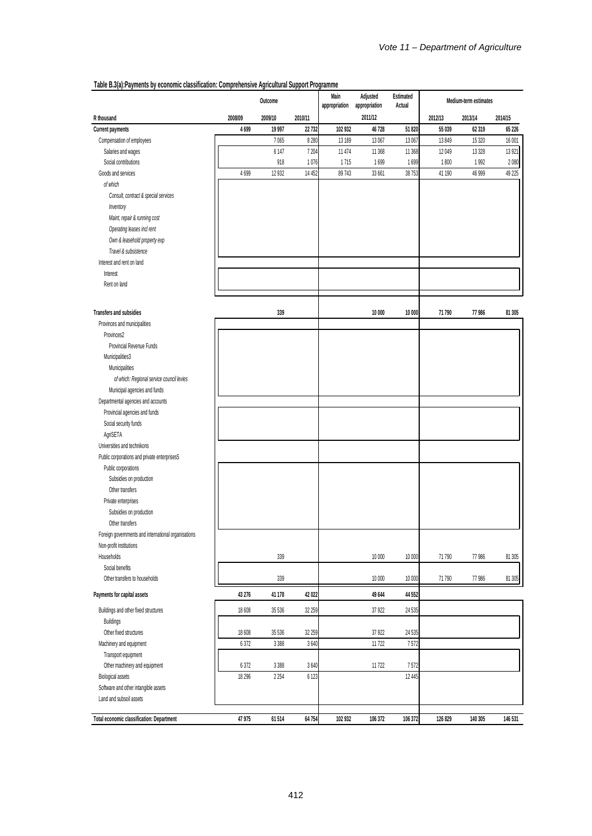#### **Table B.3(a):Payments by economic classification: Comprehensive Agricultural Support Programme**

|                                                     |          | Outcome |         | Main<br>appropriation | Adjusted<br>appropriation | Estimated<br>Actual |         | Medium-term estimates |         |
|-----------------------------------------------------|----------|---------|---------|-----------------------|---------------------------|---------------------|---------|-----------------------|---------|
| R thousand                                          | 2008/09  | 2009/10 | 2010/11 |                       | 2011/12                   |                     | 2012/13 | 2013/14               | 2014/15 |
| <b>Current payments</b>                             | 4699     | 19 997  | 22732   | 102 932               | 46 728                    | 51820               | 55 039  | 62 319                | 65 226  |
| Compensation of employees                           |          | 7065    | 8 2 8 0 | 13 189                | 13 067                    | 13067               | 13849   | 15 3 20               | 16 001  |
| Salaries and wages                                  |          | 6 1 4 7 | 7 2 0 4 | 11 4 7 4              | 11 368                    | 11 3 68             | 12 049  | 13 3 28               | 13 9 21 |
| Social contributions                                |          | 918     | 1076    | 1715                  | 1699                      | 1699                | 1800    | 1992                  | 2080    |
| Goods and services                                  | 4699     | 12 932  | 14 4 52 | 89 743                | 33 661                    | 38 753              | 41 190  | 46 999                | 49 225  |
| of which                                            |          |         |         |                       |                           |                     |         |                       |         |
| Consult, contract & special services                |          |         |         |                       |                           |                     |         |                       |         |
| Inventory                                           |          |         |         |                       |                           |                     |         |                       |         |
| Maint, repair & running cost                        |          |         |         |                       |                           |                     |         |                       |         |
| Operating leases incl rent                          |          |         |         |                       |                           |                     |         |                       |         |
| Own & leasehold property exp                        |          |         |         |                       |                           |                     |         |                       |         |
| Travel & subsistence                                |          |         |         |                       |                           |                     |         |                       |         |
| Interest and rent on land                           |          |         |         |                       |                           |                     |         |                       |         |
| Interest                                            |          |         |         |                       |                           |                     |         |                       |         |
| Rent on land                                        |          |         |         |                       |                           |                     |         |                       |         |
|                                                     |          |         |         |                       |                           |                     |         |                       |         |
| Transfers and subsidies                             |          | 339     |         |                       | 10 000                    | 10 000              | 71790   | 77986                 | 81 30 5 |
| Provinces and municipalities                        |          |         |         |                       |                           |                     |         |                       |         |
| Provinces2                                          |          |         |         |                       |                           |                     |         |                       |         |
| Provincial Revenue Funds                            |          |         |         |                       |                           |                     |         |                       |         |
| Municipalities3                                     |          |         |         |                       |                           |                     |         |                       |         |
|                                                     |          |         |         |                       |                           |                     |         |                       |         |
| Municipalities                                      |          |         |         |                       |                           |                     |         |                       |         |
| of which: Regional service council levies           |          |         |         |                       |                           |                     |         |                       |         |
| Municipal agencies and funds                        |          |         |         |                       |                           |                     |         |                       |         |
| Departmental agencies and accounts                  |          |         |         |                       |                           |                     |         |                       |         |
| Provincial agencies and funds                       |          |         |         |                       |                           |                     |         |                       |         |
| Social security funds                               |          |         |         |                       |                           |                     |         |                       |         |
| AgriSETA                                            |          |         |         |                       |                           |                     |         |                       |         |
| Universities and technikons                         |          |         |         |                       |                           |                     |         |                       |         |
| Public corporations and private enterprises5        |          |         |         |                       |                           |                     |         |                       |         |
| Public corporations                                 |          |         |         |                       |                           |                     |         |                       |         |
| Subsidies on production                             |          |         |         |                       |                           |                     |         |                       |         |
| Other transfers                                     |          |         |         |                       |                           |                     |         |                       |         |
| Private enterprises                                 |          |         |         |                       |                           |                     |         |                       |         |
| Subsidies on production                             |          |         |         |                       |                           |                     |         |                       |         |
| Other transfers                                     |          |         |         |                       |                           |                     |         |                       |         |
| Foreign governments and international organisations |          |         |         |                       |                           |                     |         |                       |         |
| Non-profit institutions                             |          |         |         |                       |                           |                     |         |                       |         |
| Households                                          |          | 339     |         |                       | 10 000                    | 10 000              | 71 790  | 77986                 | 81 305  |
| Social benefits                                     |          |         |         |                       |                           |                     |         |                       |         |
| Other transfers to households                       |          | 339     |         |                       | 10 000                    | 10 000              | 71 790  | 77986                 | 81 305  |
| Payments for capital assets                         | 43 276   | 41 178  | 42022   |                       | 49 644                    | 44 5 52             |         |                       |         |
| Buildings and other fixed structures                | 18 608   | 35 536  | 32 259  |                       | 37 922                    | 24 5 35             |         |                       |         |
| Buildings                                           |          |         |         |                       |                           |                     |         |                       |         |
| Other fixed structures                              | 18 608   | 35 536  | 32 259  |                       | 37 922                    | 24 5 35             |         |                       |         |
| Machinery and equipment                             | 6372     | 3 3 8 8 | 3640    |                       | 11 722                    | 7572                |         |                       |         |
| Transport equipment                                 |          |         |         |                       |                           |                     |         |                       |         |
| Other machinery and equipment                       | 6372     | 3 3 8 8 | 3640    |                       | 11 722                    | 7572                |         |                       |         |
| Biological assets                                   | 18 2 9 6 | 2 2 5 4 | 6123    |                       |                           | 12 4 45             |         |                       |         |
| Software and other intangible assets                |          |         |         |                       |                           |                     |         |                       |         |
| Land and subsoil assets                             |          |         |         |                       |                           |                     |         |                       |         |
|                                                     |          |         |         |                       |                           |                     |         |                       |         |
| Total economic classification: Department           | 47 975   | 61514   | 64 754  | 102 932               | 106 372                   | 106 372             | 126 829 | 140 305               | 146 531 |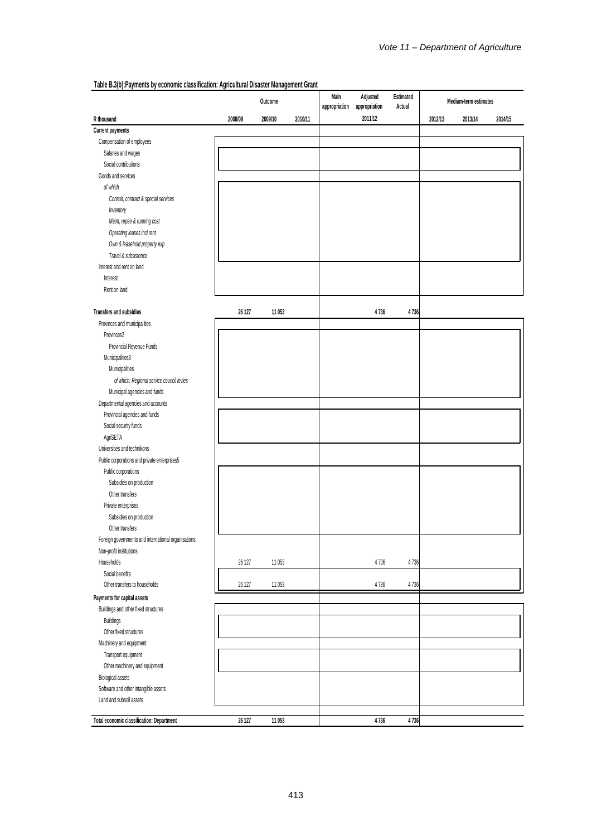**Table B.3(b):Payments by economic classification: Agricultural Disaster Management Grant**

|                                                                 |         | Outcome |         | Main<br>appropriation | Adjusted<br>appropriation | Estimated<br>Actual |         | Medium-term estimates |         |
|-----------------------------------------------------------------|---------|---------|---------|-----------------------|---------------------------|---------------------|---------|-----------------------|---------|
| R thousand                                                      | 2008/09 | 2009/10 | 2010/11 |                       | 2011/12                   |                     | 2012/13 | 2013/14               | 2014/15 |
| Current payments                                                |         |         |         |                       |                           |                     |         |                       |         |
| Compensation of employees                                       |         |         |         |                       |                           |                     |         |                       |         |
| Salaries and wages                                              |         |         |         |                       |                           |                     |         |                       |         |
| Social contributions                                            |         |         |         |                       |                           |                     |         |                       |         |
| Goods and services                                              |         |         |         |                       |                           |                     |         |                       |         |
| of which                                                        |         |         |         |                       |                           |                     |         |                       |         |
| Consult, contract & special services                            |         |         |         |                       |                           |                     |         |                       |         |
| Inventory                                                       |         |         |         |                       |                           |                     |         |                       |         |
| Maint, repair & running cost                                    |         |         |         |                       |                           |                     |         |                       |         |
| Operating leases incl rent                                      |         |         |         |                       |                           |                     |         |                       |         |
| Own & leasehold property exp                                    |         |         |         |                       |                           |                     |         |                       |         |
| Travel & subsistence                                            |         |         |         |                       |                           |                     |         |                       |         |
| Interest and rent on land                                       |         |         |         |                       |                           |                     |         |                       |         |
| Interest                                                        |         |         |         |                       |                           |                     |         |                       |         |
| Rent on land                                                    |         |         |         |                       |                           |                     |         |                       |         |
|                                                                 |         |         |         |                       |                           |                     |         |                       |         |
| Transfers and subsidies                                         | 26 127  | 11053   |         |                       | 4736                      | 4736                |         |                       |         |
| Provinces and municipalities                                    |         |         |         |                       |                           |                     |         |                       |         |
| Provinces2                                                      |         |         |         |                       |                           |                     |         |                       |         |
| Provincial Revenue Funds                                        |         |         |         |                       |                           |                     |         |                       |         |
| Municipalities3                                                 |         |         |         |                       |                           |                     |         |                       |         |
| Municipalities                                                  |         |         |         |                       |                           |                     |         |                       |         |
| of which: Regional service council levies                       |         |         |         |                       |                           |                     |         |                       |         |
| Municipal agencies and funds                                    |         |         |         |                       |                           |                     |         |                       |         |
| Departmental agencies and accounts                              |         |         |         |                       |                           |                     |         |                       |         |
| Provincial agencies and funds                                   |         |         |         |                       |                           |                     |         |                       |         |
| Social security funds                                           |         |         |         |                       |                           |                     |         |                       |         |
| AgriSETA                                                        |         |         |         |                       |                           |                     |         |                       |         |
| Universities and technikons                                     |         |         |         |                       |                           |                     |         |                       |         |
| Public corporations and private enterprises5                    |         |         |         |                       |                           |                     |         |                       |         |
| Public corporations                                             |         |         |         |                       |                           |                     |         |                       |         |
| Subsidies on production                                         |         |         |         |                       |                           |                     |         |                       |         |
| Other transfers                                                 |         |         |         |                       |                           |                     |         |                       |         |
| Private enterprises                                             |         |         |         |                       |                           |                     |         |                       |         |
| Subsidies on production                                         |         |         |         |                       |                           |                     |         |                       |         |
| Other transfers                                                 |         |         |         |                       |                           |                     |         |                       |         |
| Foreign governments and international organisations             |         |         |         |                       |                           |                     |         |                       |         |
| Non-profit institutions                                         |         |         |         |                       |                           |                     |         |                       |         |
| Households                                                      | 26 127  | 11053   |         |                       | 4736                      | 4736                |         |                       |         |
| Social benefits                                                 |         |         |         |                       |                           |                     |         |                       |         |
| Other transfers to households                                   | 26 127  | 11053   |         |                       | 4736                      | 4736                |         |                       |         |
| Payments for capital assets                                     |         |         |         |                       |                           |                     |         |                       |         |
| Buildings and other fixed structures                            |         |         |         |                       |                           |                     |         |                       |         |
| Buildings                                                       |         |         |         |                       |                           |                     |         |                       |         |
| Other fixed structures                                          |         |         |         |                       |                           |                     |         |                       |         |
| Machinery and equipment                                         |         |         |         |                       |                           |                     |         |                       |         |
| Transport equipment                                             |         |         |         |                       |                           |                     |         |                       |         |
| Other machinery and equipment                                   |         |         |         |                       |                           |                     |         |                       |         |
| Biological assets                                               |         |         |         |                       |                           |                     |         |                       |         |
|                                                                 |         |         |         |                       |                           |                     |         |                       |         |
| Software and other intangible assets<br>Land and subsoil assets |         |         |         |                       |                           |                     |         |                       |         |
|                                                                 |         |         |         |                       |                           |                     |         |                       |         |
| Total economic classification: Department                       | 26 127  | 11053   |         |                       | 4736                      | 4736                |         |                       |         |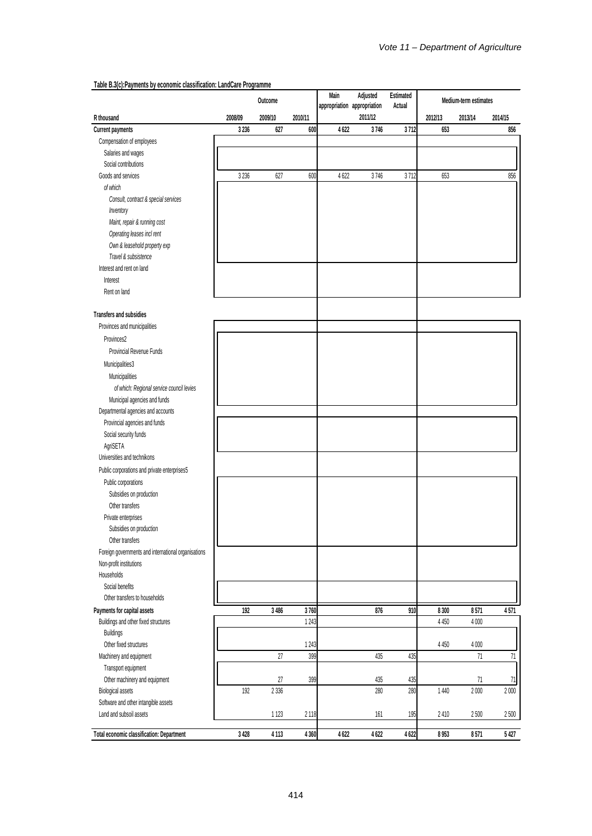#### **Table B.3(c):Payments by economic classification: LandCare Programme**

|                                                     |         | Outcome |         | Main<br>appropriation appropriation | Adjusted | Estimated<br>Actual |         | Medium-term estimates |         |
|-----------------------------------------------------|---------|---------|---------|-------------------------------------|----------|---------------------|---------|-----------------------|---------|
| R thousand                                          | 2008/09 | 2009/10 | 2010/11 |                                     | 2011/12  |                     | 2012/13 | 2013/14               | 2014/15 |
| <b>Current payments</b>                             | 3 2 3 6 | 627     | 600     | 4622                                | 3746     | 3712                | 653     |                       | 856     |
| Compensation of employees                           |         |         |         |                                     |          |                     |         |                       |         |
| Salaries and wages                                  |         |         |         |                                     |          |                     |         |                       |         |
| Social contributions                                |         |         |         |                                     |          |                     |         |                       |         |
| Goods and services                                  | 3 2 3 6 | 627     | 600     | 4622                                | 3746     | 3712                | 653     |                       | 856     |
| of which                                            |         |         |         |                                     |          |                     |         |                       |         |
| Consult, contract & special services                |         |         |         |                                     |          |                     |         |                       |         |
| Inventory                                           |         |         |         |                                     |          |                     |         |                       |         |
| Maint, repair & running cost                        |         |         |         |                                     |          |                     |         |                       |         |
| Operating leases incl rent                          |         |         |         |                                     |          |                     |         |                       |         |
| Own & leasehold property exp                        |         |         |         |                                     |          |                     |         |                       |         |
| Travel & subsistence                                |         |         |         |                                     |          |                     |         |                       |         |
| Interest and rent on land                           |         |         |         |                                     |          |                     |         |                       |         |
| Interest                                            |         |         |         |                                     |          |                     |         |                       |         |
| Rent on land                                        |         |         |         |                                     |          |                     |         |                       |         |
|                                                     |         |         |         |                                     |          |                     |         |                       |         |
| Transfers and subsidies                             |         |         |         |                                     |          |                     |         |                       |         |
| Provinces and municipalities                        |         |         |         |                                     |          |                     |         |                       |         |
|                                                     |         |         |         |                                     |          |                     |         |                       |         |
| Provinces2                                          |         |         |         |                                     |          |                     |         |                       |         |
| Provincial Revenue Funds                            |         |         |         |                                     |          |                     |         |                       |         |
| Municipalities3                                     |         |         |         |                                     |          |                     |         |                       |         |
| Municipalities                                      |         |         |         |                                     |          |                     |         |                       |         |
| of which: Regional service council levies           |         |         |         |                                     |          |                     |         |                       |         |
| Municipal agencies and funds                        |         |         |         |                                     |          |                     |         |                       |         |
| Departmental agencies and accounts                  |         |         |         |                                     |          |                     |         |                       |         |
| Provincial agencies and funds                       |         |         |         |                                     |          |                     |         |                       |         |
| Social security funds                               |         |         |         |                                     |          |                     |         |                       |         |
| AgriSETA                                            |         |         |         |                                     |          |                     |         |                       |         |
| Universities and technikons                         |         |         |         |                                     |          |                     |         |                       |         |
| Public corporations and private enterprises5        |         |         |         |                                     |          |                     |         |                       |         |
| Public corporations                                 |         |         |         |                                     |          |                     |         |                       |         |
| Subsidies on production                             |         |         |         |                                     |          |                     |         |                       |         |
| Other transfers                                     |         |         |         |                                     |          |                     |         |                       |         |
| Private enterprises                                 |         |         |         |                                     |          |                     |         |                       |         |
| Subsidies on production                             |         |         |         |                                     |          |                     |         |                       |         |
| Other transfers                                     |         |         |         |                                     |          |                     |         |                       |         |
| Foreign governments and international organisations |         |         |         |                                     |          |                     |         |                       |         |
| Non-profit institutions                             |         |         |         |                                     |          |                     |         |                       |         |
| Households                                          |         |         |         |                                     |          |                     |         |                       |         |
| Social benefits                                     |         |         |         |                                     |          |                     |         |                       |         |
| Other transfers to households                       |         |         |         |                                     |          |                     |         |                       |         |
| Payments for capital assets                         | 192     | 3 4 8 6 | 3760    |                                     | 876      | 910                 | 8 3 0 0 | 8571                  | 4571    |
| Buildings and other fixed structures                |         |         | 1243    |                                     |          |                     | 4 4 5 0 | 4 0 0 0               |         |
| Buildings                                           |         |         |         |                                     |          |                     |         |                       |         |
| Other fixed structures                              |         |         | 1243    |                                     |          |                     | 4 4 5 0 | 4 0 0 0               |         |
| Machinery and equipment                             |         | 27      | 399     |                                     | 435      | 435                 |         | $71\,$                | $71\,$  |
| Transport equipment                                 |         |         |         |                                     |          |                     |         |                       |         |
| Other machinery and equipment                       |         | 27      | 399     |                                     | 435      | 435                 |         | 71                    | 71      |
| <b>Biological assets</b>                            | 192     | 2 3 3 6 |         |                                     | 280      | 280                 | 1440    | $2000$                | $2000$  |
| Software and other intangible assets                |         |         |         |                                     |          |                     |         |                       |         |
| Land and subsoil assets                             |         | 1 1 2 3 | 2118    |                                     | 161      | 195                 | 2 4 1 0 | 2500                  | 2500    |
|                                                     |         |         |         |                                     |          |                     |         |                       |         |
| Total economic classification: Department           | 3 4 28  | 4 1 1 3 | 4 3 6 0 | 4622                                | 4622     | 4 6 22              | 8 9 5 3 | 8571                  | 5 4 2 7 |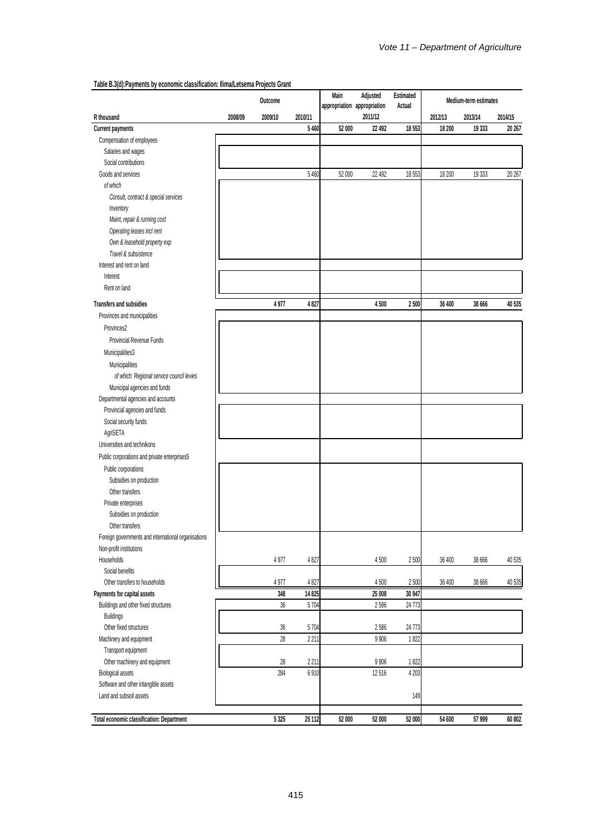#### **Table B.3(d):Payments by economic classification: Ilima/Letsema Projects Grant**

|                                                     |         | Outcome |         | Main<br>appropriation appropriation | Adjusted | Estimated<br>Actual |         | Medium-term estimates |         |
|-----------------------------------------------------|---------|---------|---------|-------------------------------------|----------|---------------------|---------|-----------------------|---------|
| R thousand                                          | 2008/09 | 2009/10 | 2010/11 |                                     | 2011/12  |                     | 2012/13 | 2013/14               | 2014/15 |
| <b>Current payments</b>                             |         |         | 5 4 6 0 | 52 000                              | 22 492   | 18 5 53             | 18 200  | 19 3 33               | 20 26 7 |
| Compensation of employees                           |         |         |         |                                     |          |                     |         |                       |         |
| Salaries and wages                                  |         |         |         |                                     |          |                     |         |                       |         |
| Social contributions                                |         |         |         |                                     |          |                     |         |                       |         |
| Goods and services                                  |         |         | 5 4 6 0 | 52 000                              | 22 492   | 18 5 53             | 18 200  | 19 3 33               | 20 26 7 |
| of which                                            |         |         |         |                                     |          |                     |         |                       |         |
| Consult, contract & special services                |         |         |         |                                     |          |                     |         |                       |         |
| Inventory                                           |         |         |         |                                     |          |                     |         |                       |         |
| Maint, repair & running cost                        |         |         |         |                                     |          |                     |         |                       |         |
| Operating leases incl rent                          |         |         |         |                                     |          |                     |         |                       |         |
| Own & leasehold property exp                        |         |         |         |                                     |          |                     |         |                       |         |
| Travel & subsistence                                |         |         |         |                                     |          |                     |         |                       |         |
| Interest and rent on land                           |         |         |         |                                     |          |                     |         |                       |         |
| Interest                                            |         |         |         |                                     |          |                     |         |                       |         |
| Rent on land                                        |         |         |         |                                     |          |                     |         |                       |         |
|                                                     |         |         |         |                                     |          |                     |         |                       |         |
| Transfers and subsidies                             |         | 4977    | 4827    |                                     | 4500     | 2500                | 36 400  | 38 6 6 6              | 40 535  |
| Provinces and municipalities                        |         |         |         |                                     |          |                     |         |                       |         |
| Provinces2                                          |         |         |         |                                     |          |                     |         |                       |         |
| Provincial Revenue Funds                            |         |         |         |                                     |          |                     |         |                       |         |
| Municipalities3                                     |         |         |         |                                     |          |                     |         |                       |         |
| Municipalities                                      |         |         |         |                                     |          |                     |         |                       |         |
| of which: Regional service council levies           |         |         |         |                                     |          |                     |         |                       |         |
| Municipal agencies and funds                        |         |         |         |                                     |          |                     |         |                       |         |
| Departmental agencies and accounts                  |         |         |         |                                     |          |                     |         |                       |         |
| Provincial agencies and funds                       |         |         |         |                                     |          |                     |         |                       |         |
| Social security funds                               |         |         |         |                                     |          |                     |         |                       |         |
| AgriSETA                                            |         |         |         |                                     |          |                     |         |                       |         |
| Universities and technikons                         |         |         |         |                                     |          |                     |         |                       |         |
| Public corporations and private enterprises5        |         |         |         |                                     |          |                     |         |                       |         |
|                                                     |         |         |         |                                     |          |                     |         |                       |         |
| Public corporations                                 |         |         |         |                                     |          |                     |         |                       |         |
| Subsidies on production                             |         |         |         |                                     |          |                     |         |                       |         |
| Other transfers                                     |         |         |         |                                     |          |                     |         |                       |         |
| Private enterprises                                 |         |         |         |                                     |          |                     |         |                       |         |
| Subsidies on production                             |         |         |         |                                     |          |                     |         |                       |         |
| Other transfers                                     |         |         |         |                                     |          |                     |         |                       |         |
| Foreign governments and international organisations |         |         |         |                                     |          |                     |         |                       |         |
| Non-profit institutions                             |         |         |         |                                     |          |                     |         |                       |         |
| Households                                          |         | 4977    | 4827    |                                     | 4500     | 2500                | 36 400  | 38 666                | 40 535  |
| Social benefits                                     |         |         |         |                                     |          |                     |         |                       |         |
| Other transfers to households                       |         | 4977    | 4827    |                                     | 4500     | 2500                | 36 400  | 38 6 6 6              | 40 535  |
| Payments for capital assets                         |         | 348     | 14 825  |                                     | 25 008   | 30 947              |         |                       |         |
| Buildings and other fixed structures                |         | 36      | 5704    |                                     | 2586     | 24 773              |         |                       |         |
| Buildings                                           |         |         |         |                                     |          |                     |         |                       |         |
| Other fixed structures                              |         | 36      | 5704    |                                     | 2586     | 24 773              |         |                       |         |
| Machinery and equipment                             |         | 28      | 2211    |                                     | 9 9 0 6  | 1822                |         |                       |         |
| Transport equipment                                 |         |         |         |                                     |          |                     |         |                       |         |
| Other machinery and equipment                       |         | 28      | 2211    |                                     | 9 9 0 6  | 1822                |         |                       |         |
| <b>Biological assets</b>                            |         | 284     | 6910    |                                     | 12516    | 4 2 0 3             |         |                       |         |
| Software and other intangible assets                |         |         |         |                                     |          |                     |         |                       |         |
| Land and subsoil assets                             |         |         |         |                                     |          | 149                 |         |                       |         |
|                                                     |         |         |         |                                     |          |                     |         |                       |         |
| Total economic classification: Department           |         | 5 3 2 5 | 25 112  | 52 000                              | 52 000   | 52 000              | 54 600  | 57 999                | 60 802  |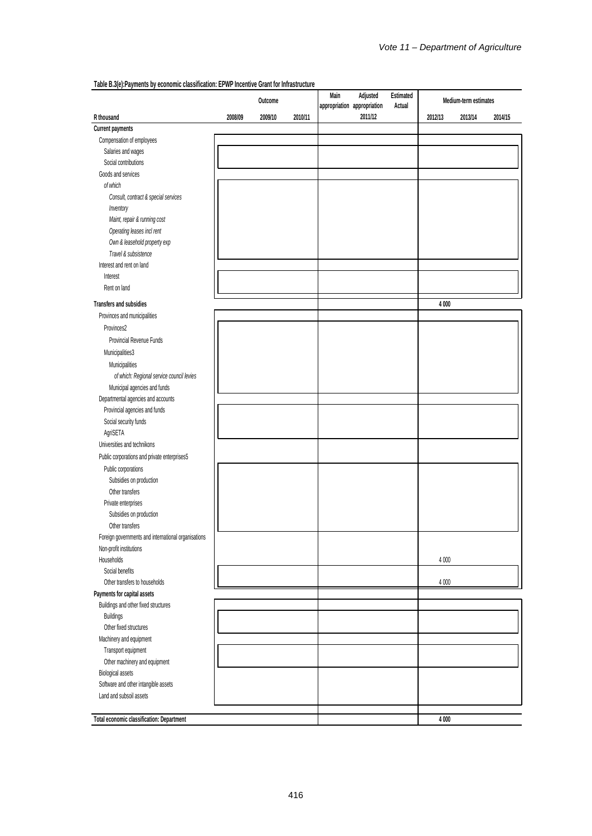**Table B.3(e):Payments by economic classification: EPWP Incentive Grant for Infrastructure**

| Table Disposition by content classification. Et WE incentive crant for impact actual |         | Outcome |         | Main | Adjusted<br>appropriation appropriation | Estimated<br>Actual |         | Medium-term estimates |         |
|--------------------------------------------------------------------------------------|---------|---------|---------|------|-----------------------------------------|---------------------|---------|-----------------------|---------|
| R thousand                                                                           | 2008/09 | 2009/10 | 2010/11 |      | 2011/12                                 |                     | 2012/13 | 2013/14               | 2014/15 |
| Current payments                                                                     |         |         |         |      |                                         |                     |         |                       |         |
| Compensation of employees                                                            |         |         |         |      |                                         |                     |         |                       |         |
| Salaries and wages                                                                   |         |         |         |      |                                         |                     |         |                       |         |
| Social contributions                                                                 |         |         |         |      |                                         |                     |         |                       |         |
| Goods and services                                                                   |         |         |         |      |                                         |                     |         |                       |         |
| of which                                                                             |         |         |         |      |                                         |                     |         |                       |         |
| Consult, contract & special services                                                 |         |         |         |      |                                         |                     |         |                       |         |
| Inventory                                                                            |         |         |         |      |                                         |                     |         |                       |         |
| Maint, repair & running cost                                                         |         |         |         |      |                                         |                     |         |                       |         |
| Operating leases incl rent                                                           |         |         |         |      |                                         |                     |         |                       |         |
| Own & leasehold property exp                                                         |         |         |         |      |                                         |                     |         |                       |         |
| Travel & subsistence                                                                 |         |         |         |      |                                         |                     |         |                       |         |
| Interest and rent on land                                                            |         |         |         |      |                                         |                     |         |                       |         |
| Interest                                                                             |         |         |         |      |                                         |                     |         |                       |         |
| Rent on land                                                                         |         |         |         |      |                                         |                     |         |                       |         |
|                                                                                      |         |         |         |      |                                         |                     |         |                       |         |
| Transfers and subsidies                                                              |         |         |         |      |                                         |                     | 4 0 0 0 |                       |         |
| Provinces and municipalities                                                         |         |         |         |      |                                         |                     |         |                       |         |
| Provinces2                                                                           |         |         |         |      |                                         |                     |         |                       |         |
| Provincial Revenue Funds                                                             |         |         |         |      |                                         |                     |         |                       |         |
| Municipalities3                                                                      |         |         |         |      |                                         |                     |         |                       |         |
| Municipalities                                                                       |         |         |         |      |                                         |                     |         |                       |         |
| of which: Regional service council levies                                            |         |         |         |      |                                         |                     |         |                       |         |
| Municipal agencies and funds                                                         |         |         |         |      |                                         |                     |         |                       |         |
| Departmental agencies and accounts                                                   |         |         |         |      |                                         |                     |         |                       |         |
| Provincial agencies and funds                                                        |         |         |         |      |                                         |                     |         |                       |         |
| Social security funds                                                                |         |         |         |      |                                         |                     |         |                       |         |
| AgriSETA                                                                             |         |         |         |      |                                         |                     |         |                       |         |
| Universities and technikons                                                          |         |         |         |      |                                         |                     |         |                       |         |
| Public corporations and private enterprises5                                         |         |         |         |      |                                         |                     |         |                       |         |
| Public corporations                                                                  |         |         |         |      |                                         |                     |         |                       |         |
| Subsidies on production                                                              |         |         |         |      |                                         |                     |         |                       |         |
| Other transfers                                                                      |         |         |         |      |                                         |                     |         |                       |         |
| Private enterprises                                                                  |         |         |         |      |                                         |                     |         |                       |         |
| Subsidies on production                                                              |         |         |         |      |                                         |                     |         |                       |         |
| Other transfers                                                                      |         |         |         |      |                                         |                     |         |                       |         |
| Foreign governments and international organisations                                  |         |         |         |      |                                         |                     |         |                       |         |
| Non-profit institutions                                                              |         |         |         |      |                                         |                     |         |                       |         |
| Households                                                                           |         |         |         |      |                                         |                     | 4 0 0 0 |                       |         |
| Social benefits                                                                      |         |         |         |      |                                         |                     |         |                       |         |
| Other transfers to households                                                        |         |         |         |      |                                         |                     | 4 0 0 0 |                       |         |
| Payments for capital assets                                                          |         |         |         |      |                                         |                     |         |                       |         |
| Buildings and other fixed structures                                                 |         |         |         |      |                                         |                     |         |                       |         |
| Buildings                                                                            |         |         |         |      |                                         |                     |         |                       |         |
| Other fixed structures                                                               |         |         |         |      |                                         |                     |         |                       |         |
| Machinery and equipment                                                              |         |         |         |      |                                         |                     |         |                       |         |
| Transport equipment                                                                  |         |         |         |      |                                         |                     |         |                       |         |
| Other machinery and equipment                                                        |         |         |         |      |                                         |                     |         |                       |         |
| Biological assets                                                                    |         |         |         |      |                                         |                     |         |                       |         |
| Software and other intangible assets                                                 |         |         |         |      |                                         |                     |         |                       |         |
| Land and subsoil assets                                                              |         |         |         |      |                                         |                     |         |                       |         |
|                                                                                      |         |         |         |      |                                         |                     |         |                       |         |
| Total economic classification: Department                                            |         |         |         |      |                                         |                     | 4 0 0 0 |                       |         |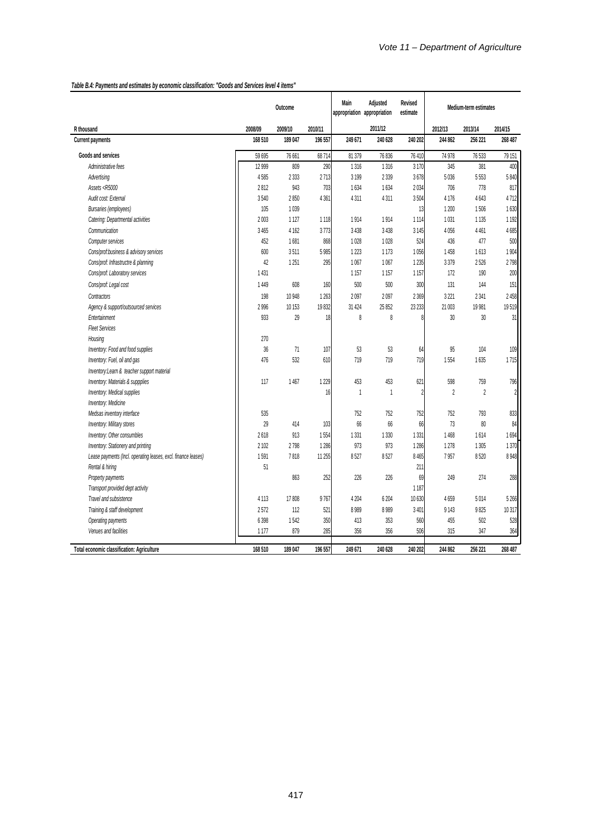#### *Table B.4: Payments and estimates by economic classification: "Goods and Services level 4 items"*

|                                                                                                                                                |         | Outcome |         | Main<br>appropriation appropriation | Adjusted | Revised<br>estimate |                | Medium-term estimates |                          |
|------------------------------------------------------------------------------------------------------------------------------------------------|---------|---------|---------|-------------------------------------|----------|---------------------|----------------|-----------------------|--------------------------|
| R thousand                                                                                                                                     | 2008/09 | 2009/10 | 2010/11 |                                     | 2011/12  |                     | 2012/13        | 2013/14               | 2014/15                  |
| <b>Current payments</b>                                                                                                                        | 168 510 | 189 047 | 196 557 | 249 671                             | 240 628  | 240 202             | 244 862        | 256 221               | 268 487                  |
| Goods and services                                                                                                                             | 59 695  | 76 661  | 68 714  | 81 379                              | 76836    | 76 410              | 74 978         | 76533                 | 79 151                   |
| Administrative fees                                                                                                                            | 12 999  | 809     | 290     | 1316                                | 1316     | 3 1 7 0             | 345            | 381                   | 400                      |
| Advertising                                                                                                                                    | 4585    | 2 3 3 3 | 2713    | 3199                                | 2 3 3 9  | 3678                | 5036           | 5553                  | 5 8 4 0                  |
| Assets <r5000< td=""><td>2812</td><td>943</td><td>703</td><td>1634</td><td>1634</td><td>2034</td><td>706</td><td>778</td><td>817</td></r5000<> | 2812    | 943     | 703     | 1634                                | 1634     | 2034                | 706            | 778                   | 817                      |
| Audit cost: External                                                                                                                           | 3540    | 2850    | 4 3 61  | 4311                                | 4 3 1 1  | 3504                | 4176           | 4643                  | 4712                     |
| <b>Bursaries (employees)</b>                                                                                                                   | 105     | 1039    |         |                                     |          | 13                  | 1 200          | 1506                  | 1630                     |
| Catering: Departmental activities                                                                                                              | 2003    | 1 1 2 7 | 1118    | 1914                                | 1914     | 1 1 1 4             | 1031           | 1 1 3 5               | 1 1 9 2                  |
| Communication                                                                                                                                  | 3 4 6 5 | 4 1 6 2 | 3773    | 3 4 3 8                             | 3 4 3 8  | 3 1 4 5             | 4056           | 4 4 6 1               | 4685                     |
| Computer services                                                                                                                              | 452     | 1681    | 868     | 1028                                | 1028     | 524                 | 436            | 477                   | 500                      |
| Cons/prof:business & advisory services                                                                                                         | 600     | 3511    | 5 9 8 5 | 1 2 2 3                             | 1 1 7 3  | 1056                | 1458           | 1613                  | 1 9 0 4                  |
| Cons/prof: Infrastructre & planning                                                                                                            | 42      | 1 2 5 1 | 295     | 1067                                | 1067     | 1 2 3 5             | 3379           | 2526                  | 2798                     |
| Cons/prof: Laboratory services                                                                                                                 | 1 4 3 1 |         |         | 1157                                | 1157     | 1 1 5 7             | 172            | 190                   | 200                      |
| Cons/prof: Legal cost                                                                                                                          | 1449    | 608     | 160     | 500                                 | 500      | 300                 | 131            | 144                   | 151                      |
| Contractors                                                                                                                                    | 198     | 10 948  | 1263    | 2097                                | 2097     | 2 3 6 9             | 3221           | 2341                  | 2 4 5 8                  |
| Agency & support/outsourced services                                                                                                           | 2996    | 10 153  | 19832   | 31 4 24                             | 25 852   | 23 233              | 21 003         | 19 981                | 19519                    |
| Entertainment                                                                                                                                  | 933     | 29      | 18      | 8                                   | 8        | 8                   | 30             | 30                    | 31                       |
| <b>Fleet Services</b>                                                                                                                          |         |         |         |                                     |          |                     |                |                       |                          |
| Housing                                                                                                                                        | 270     |         |         |                                     |          |                     |                |                       |                          |
| Inventory: Food and food supplies                                                                                                              | 36      | 71      | 107     | 53                                  | 53       | 64                  | 95             | 104                   | 109                      |
| Inventory: Fuel, oil and gas                                                                                                                   | 476     | 532     | 610     | 719                                 | 719      | 719                 | 1554           | 1635                  | 1715                     |
| Inventory: Learn & teacher support material                                                                                                    |         |         |         |                                     |          |                     |                |                       |                          |
| Inventory: Materials & suppplies                                                                                                               | 117     | 1 4 6 7 | 1 2 2 9 | 453                                 | 453      | 621                 | 598            | 759                   | 796                      |
| Inventory: Medical supplies                                                                                                                    |         |         | 16      | $\mathbf{1}$                        | 1        |                     | $\overline{2}$ | $\overline{2}$        | $\overline{\phantom{a}}$ |
| Inventory: Medicine                                                                                                                            |         |         |         |                                     |          |                     |                |                       |                          |
| Medsas inventory interface                                                                                                                     | 535     |         |         | 752                                 | 752      | 752                 | 752            | 793                   | 833                      |
| Inventory: Military stores                                                                                                                     | 29      | 414     | 103     | 66                                  | 66       | 66                  | 73             | 80                    | 84                       |
| Inventory: Other consumbles                                                                                                                    | 2618    | 913     | 1554    | 1 3 3 1                             | 1 3 3 0  | 1 3 3 1             | 1468           | 1614                  | 1694                     |
| Inventory: Stationery and printing                                                                                                             | 2 102   | 2798    | 1286    | 973                                 | 973      | 1 2 8 6             | 1278           | 1 3 0 5               | 1370                     |
| Lease payments (Incl. operating leases, excl. finance leases)                                                                                  | 1591    | 7818    | 11 255  | 8527                                | 8527     | 8 4 6 5             | 7957           | 8520                  | 8 9 4 8                  |
| Rental & hiring                                                                                                                                | 51      |         |         |                                     |          | 211                 |                |                       |                          |
| Property payments                                                                                                                              |         | 863     | 252     | 226                                 | 226      | 69                  | 249            | 274                   | 288                      |
| Transport provided dept activity                                                                                                               |         |         |         |                                     |          | 1 1 8 7             |                |                       |                          |
| Travel and subsistence                                                                                                                         | 4 1 1 3 | 17808   | 9767    | 4 2 0 4                             | 6 204    | 10 630              | 4659           | 5014                  | 5 2 6 6                  |
| Training & staff development                                                                                                                   | 2572    | 112     | 521     | 8 9 8 9                             | 8 9 8 9  | 3 4 0 1             | 9 1 4 3        | 9825                  | 10 317                   |
| Operating payments                                                                                                                             | 6 3 9 8 | 1542    | 350     | 413                                 | 353      | 560                 | 455            | 502                   | 528                      |
| Venues and facilities                                                                                                                          | 1177    | 879     | 285     | 356                                 | 356      | 506                 | 315            | 347                   | $364\,$                  |
| Total economic classification: Agriculture                                                                                                     | 168 510 | 189 047 | 196 557 | 249 671                             | 240 628  | 240 202             | 244 862        | 256 221               | 268 487                  |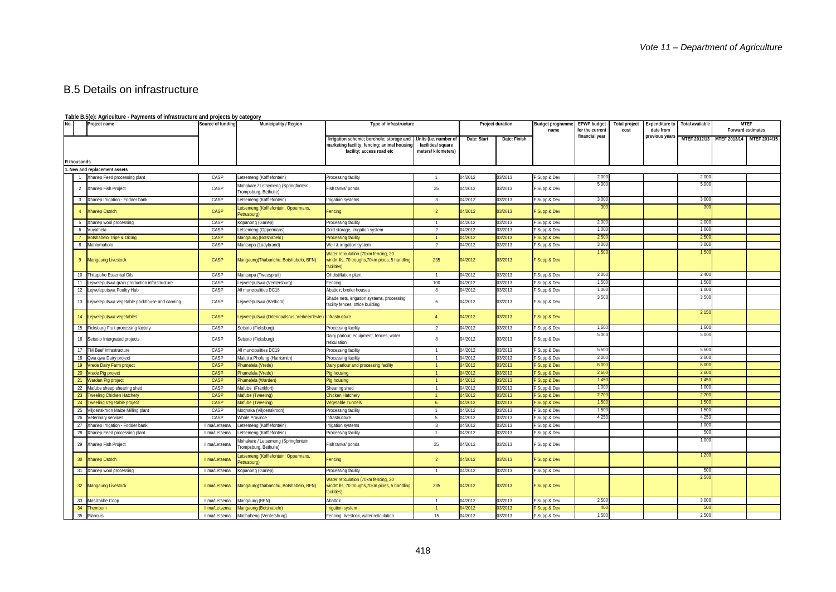## B.5 Details on infrastructure

#### **Table B.5(e): Agriculture - Payments of infrastructure and projects by category**

| No.              | Project name                                     | Source of funding | Municipality / Region                                                                                                                                                                                         | Type of infrastructure                                                                                                                       |                                          | Project duration |              | <b>Budget programme</b><br>name | <b>EPWP</b> budget<br>for the current | Total project<br>cost | Expenditure to<br>date from | Total available                            | <b>MTEF</b><br>Forward estimates |
|------------------|--------------------------------------------------|-------------------|---------------------------------------------------------------------------------------------------------------------------------------------------------------------------------------------------------------|----------------------------------------------------------------------------------------------------------------------------------------------|------------------------------------------|------------------|--------------|---------------------------------|---------------------------------------|-----------------------|-----------------------------|--------------------------------------------|----------------------------------|
| l thousands      |                                                  |                   |                                                                                                                                                                                                               | Irrigation scheme; borehole; storage and   Units (i.e. number of<br>marketing facility; fencing; animal housing<br>facility; access road etc | facilities/ square<br>meters/kilometers) | Date: Start      | Date: Finish |                                 | financial year                        |                       | previous years              | MTEF 2012/13   MTEF 2013/14   MTEF 2014/15 |                                  |
|                  | New and replacement assets                       |                   |                                                                                                                                                                                                               |                                                                                                                                              |                                          |                  |              |                                 |                                       |                       |                             |                                            |                                  |
|                  | Xhariep Feed processing plant                    | CASP              | etsemeng (Koffiefontein)                                                                                                                                                                                      | Processing facility                                                                                                                          |                                          | 04/2012          | 03/2013      | F Supp & Dev                    | 2 0 0 0                               |                       |                             | 2000                                       |                                  |
|                  |                                                  |                   | Mohakare / Letsemeng (Springfontein,                                                                                                                                                                          |                                                                                                                                              |                                          |                  |              |                                 | 5 0 0 0                               |                       |                             | 5 0 0 0                                    |                                  |
|                  | 2 Xhariep Fish Project                           | CASP              | Trompsburg, Bethulie)                                                                                                                                                                                         | Fish tanks/ ponds                                                                                                                            | 25                                       | 04/2012          | 03/2013      | F Supp & Dev                    |                                       |                       |                             |                                            |                                  |
|                  | 3 Xhariep Irrigation - Fodder bank               | CASP              | _etsemeng (Koffiefontein)                                                                                                                                                                                     | Irrigation systems                                                                                                                           | $\overline{3}$                           | 04/2012          | 03/2013      | F Supp & Dev                    | 3 0 0 0<br>300                        |                       |                             | 3 0 0 0<br>300                             |                                  |
|                  | 4 Xhariep Ostrich                                | CASP              | etsemeng (Koffiefontein, Oppermans,<br>Petrusburg)                                                                                                                                                            | Fencing                                                                                                                                      | $\overline{2}$                           | 04/2012          | 03/2013      | Supp & Dev                      |                                       |                       |                             |                                            |                                  |
|                  | Xhariep wool processing<br>5                     | CASP              | Kopanong (Gariep)                                                                                                                                                                                             | Processing facility                                                                                                                          | $\mathbf{1}$                             | 04/2012          | 03/2013      | Supp & Dev                      | 2 0 0 0                               |                       |                             | 2000                                       |                                  |
|                  | 6<br>Vuyathela                                   | CASP              | etsemeng (Oppermans)                                                                                                                                                                                          | Cold storage, irrigation system                                                                                                              | $\overline{2}$                           | 04/2012          | 03/2013      | Supp & Dev                      | 1 0 0 0                               |                       |                             | 1 0 0 0                                    |                                  |
| $\overline{7}$   | <b>Botshabelo Tripe &amp; Dicing</b>             | CASP              | Mangaung (Botshabelo)                                                                                                                                                                                         | Processing facility                                                                                                                          | $\mathbf{1}$                             | 04/2012          | 03/2013      | Supp & Dev                      | 2 5 0 0                               |                       |                             | 2 5 0 0                                    |                                  |
|                  | Mahlomaholo<br>8                                 | CASP              | Mantsopa (Ladybrand)                                                                                                                                                                                          | Weir & irrigation system                                                                                                                     | 2                                        | 04/2012          | 03/2013      | F Supp & Dev                    | 3 0 0 0                               |                       |                             | 3 0 0 0                                    |                                  |
|                  | 9 Mangaung Livestock                             | CASP              | Mangaung(Thabanchu, Botshabelo, BFN)                                                                                                                                                                          | Water reticulation (70km fencing, 20<br>windmills, 70 troughs, 70km pipes, 5 handling<br>facilities)                                         | 235                                      | 04/2012          | 03/2013      | F Supp & Dev                    | 1500                                  |                       |                             | 1500                                       |                                  |
| 10 <sup>10</sup> | Thitapoho Essential Oils                         | CASP              | Mantsopa (Tweespruit)                                                                                                                                                                                         | Oil distillation plant                                                                                                                       | $\mathbf{1}$                             | 04/2012          | 03/2013      | F Supp & Dev                    | 2 0 0 0                               |                       |                             | 2 4 0 0                                    |                                  |
| 11               | Lejweleputswa grain production infrastructure    | CASP              | ejweleputswa (Ventersburg)                                                                                                                                                                                    | Fencing                                                                                                                                      | 100                                      | 04/2012          | 03/2013      | F Supp & Dev                    | 1500                                  |                       |                             | 1500                                       |                                  |
|                  | 12 Lejweleputswa Poultry Hub                     | CASP              | All muncipalities DC18                                                                                                                                                                                        | Abattoir, broiler houses                                                                                                                     | 8                                        | 04/2012          | 03/2013      | Supp & Dev                      | 1 0 0 0                               |                       |                             | 1000                                       |                                  |
|                  | 13 Lejweleputswa vegetable packhouse and canning | CASP              | ejweleputswa (Welkom)                                                                                                                                                                                         | Shade nets, irrigation systems, processing<br>facility fences, office building                                                               | 6                                        | 04/2012          | 03/2013      | F Supp & Dev                    | 3 5 0 0                               |                       |                             | 3500                                       |                                  |
|                  | 14 Lejweleputswa vegetables                      | CASP              | ejweleputswa (Odendaalsrus, Verkeerdevlei) Infrastructure                                                                                                                                                     |                                                                                                                                              | 4                                        | 04/2012          | 03/2013      | F Supp & Dev                    |                                       |                       |                             | 2 1 5 0                                    |                                  |
|                  | 15 Ficksburg Fruit processing factory            | CASP              | Setsoto (Ficksburg)                                                                                                                                                                                           | Processing facility                                                                                                                          | 2                                        | 04/2012          | 03/2013      | F Supp & Dev                    | 1600                                  |                       |                             | 1600                                       |                                  |
|                  | 16 Setsoto Intergrated projects                  | CASP              | Setsoto (Ficksburg)                                                                                                                                                                                           | Dairy parlour, equipment, fences, water<br>reticulation                                                                                      | 8                                        | 04/2012          | 03/2013      | F Supp & Dev                    | 5 0 0 0                               |                       |                             | 5 0 0 0                                    |                                  |
| 17               | TM Beef Infrastructure                           | CASP              | All muncipalities DC19                                                                                                                                                                                        | Processing facility                                                                                                                          | $\mathbf{1}$                             | 04/2012          | 03/2013      | F Supp & Dev                    | 5 5 0 0                               |                       |                             | 5 5 0 0                                    |                                  |
|                  | 18 Qwa qwa Dairy project                         | CASP              | Maluti a Phofung (Harrismith)                                                                                                                                                                                 | Processing facility                                                                                                                          | $\mathbf{1}$                             | 04/2012          | 03/2013      | Supp & Dev                      | 2 0 0 0                               |                       |                             | 2000                                       |                                  |
|                  | 19 <sup>°</sup><br>Vrede Dairy Farm project      | CASP              | Phumelela (Vrede)                                                                                                                                                                                             | Dairy parlour and processing facility                                                                                                        | $\mathbf{1}$                             | 04/2012          | 03/2013      | Supp & Dev                      | 6 0 0 0                               |                       |                             | 6000                                       |                                  |
|                  | 20<br>Vrede Pig project                          | CASP              | Phumelela (Vrede)                                                                                                                                                                                             | Pig housing                                                                                                                                  | $\mathbf{1}$                             | 04/2012          | 03/2013      | Supp & Dev                      | 2 6 0 0                               |                       |                             | 2 6 0 0                                    |                                  |
| 21               | Warden Pig project                               | CASP              | Phumelela (Warden)                                                                                                                                                                                            | Pig housing                                                                                                                                  | $\mathbf{1}$                             | 04/2012          | 03/2013      | Supp & Dev                      | 1450                                  |                       |                             | 1450                                       |                                  |
| 22               | Mafube sheep shearing shed                       | CASP              | Mafube (Frankfort)                                                                                                                                                                                            | Shearing shed                                                                                                                                | $\overline{1}$                           | 04/2012          | 03/2013      | Supp & Dev                      | 1 000                                 |                       |                             | 1 0 0 0                                    |                                  |
| 23               | <b>Tweeling Chicken Hatchery</b>                 | CASP              | Mafube (Tweeling)                                                                                                                                                                                             | Chicken Hatchery                                                                                                                             | $\mathbf{1}$                             | 04/2012          | 03/2013      | Supp & Dev                      | 2 700                                 |                       |                             | 2 700                                      |                                  |
| 24               | <b>Tweeling Vegetable project</b>                | CASP              | Mafube (Tweeling)                                                                                                                                                                                             | <b>Vegetable Tunnels</b>                                                                                                                     | 6                                        | 04/2012          | 03/2013      | Supp & Dev                      | 1500                                  |                       |                             | 1500                                       |                                  |
| 25               | Viljoenskroon Maize Milling plant                | CASP              | Moghaka (Viljoenskroon)                                                                                                                                                                                       | Processing facility                                                                                                                          | $\overline{1}$                           | 04/2012          | 03/2013      | Supp & Dev                      | 1500                                  |                       |                             | 1500                                       |                                  |
| 26               | Veterinary services                              | CASP              | Whole Province                                                                                                                                                                                                | Infrastructure                                                                                                                               | $5\phantom{.0}$                          | 04/2012          | 03/2013      | Supp & Dev                      | 4 2 5 0                               |                       |                             | 4 2 5 0                                    |                                  |
| 27               | Xhariep Irrigation - Fodder bank                 | Ilima/Letsema     | _etsemeng (Koffiefontein)                                                                                                                                                                                     | Irrigation systems                                                                                                                           | $\overline{3}$                           | 04/2012          | 03/2013      | Supp & Dev                      |                                       |                       |                             | 1 0 0 0                                    |                                  |
|                  | 28 Xhariep Feed processing plant                 | Ilima/Letsema     | .etsemeng (Koffiefontein)                                                                                                                                                                                     | Processing facility                                                                                                                          | $\mathbf{1}$                             | 04/2012          | 03/2013      | Supp & Dev                      |                                       |                       |                             | 500                                        |                                  |
|                  | 29 Xhariep Fish Project                          | Ilima/Letsema     | Mohakare / Letsemeng (Springfontein,<br>rompsburg, Bethulie)                                                                                                                                                  | Fish tanks/ ponds                                                                                                                            | 25                                       | 04/2012          | 03/2013      | Supp & Dev                      |                                       |                       |                             | 1 0 0 0                                    |                                  |
|                  | 30 Xhariep Ostrich                               | Ilima/Letsema     | etsemeng (Koffiefontein, Oppermans,<br>Petrusburg)                                                                                                                                                            | Fencing                                                                                                                                      | 2 <sup>7</sup>                           | 04/2012          | 03/2013      | Supp & Dev                      |                                       |                       |                             | 1 2 0 0                                    |                                  |
|                  | 31 Xhariep wool processing                       | Ilima/Letsema     | <opanong (gariep)<="" td=""><td>Processing facility</td><td><math>\overline{1}</math></td><td>04/2012</td><td>03/2013</td><td>F Supp &amp; Dev</td><td></td><td></td><td></td><td>500</td><td></td></opanong> | Processing facility                                                                                                                          | $\overline{1}$                           | 04/2012          | 03/2013      | F Supp & Dev                    |                                       |                       |                             | 500                                        |                                  |
|                  | 32 Mangaung Livestock                            | Ilima/Letsema     | Mangaung(Thabanchu, Botshabelo, BFN)                                                                                                                                                                          | Water reticulation (70km fencing, 20<br>windmills, 70 troughs, 70km pipes, 5 handling<br>facilities)                                         | 235                                      | 04/2012          | 03/2013      | F Supp & Dev                    |                                       |                       |                             | 2500                                       |                                  |
| 33               | Masizakhe Coop                                   | Ilima/Letsema     | Mangaung (BFN)                                                                                                                                                                                                | Abattoir                                                                                                                                     | $\overline{1}$                           | 04/2012          | 03/2013      | F Supp & Dev                    | 2 5 0 0                               |                       |                             | 3 0 0 0                                    |                                  |
|                  | 34<br>Thembeni                                   | Ilima/Letsema     | Mangaung (Botshabelo)                                                                                                                                                                                         | <b>Irrigation system</b>                                                                                                                     | 1                                        | 04/2012          | 03/2013      | Supp & Dev                      | 400                                   |                       |                             | 500                                        |                                  |
|                  | 35 <sub>1</sub><br>Plancuis                      | Ilima/Letsema     | Matjhabeng (Ventersburg)                                                                                                                                                                                      | Fencing, livestock, water reticulation                                                                                                       | 15                                       | 04/2012          | 03/2013      | F Supp & Dev                    | 1500                                  |                       |                             | 2500                                       |                                  |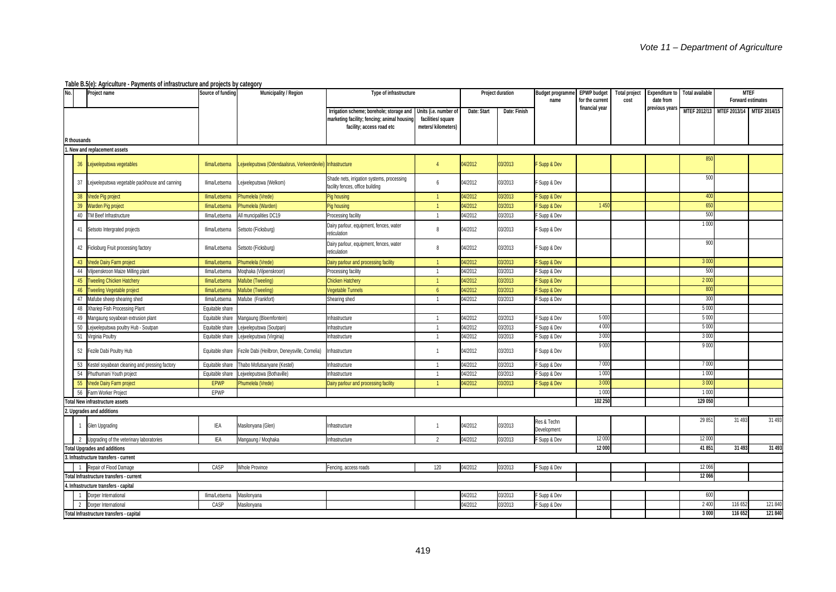#### **Table B.5(e): Agriculture - Payments of infrastructure and projects by category**

| No.         | Table D.S(C). Agriculture - Layments or initiastructure and projects by category<br>Project name |                                                  | Municipality / Region<br>Source of funding |                                                            | Type of infrastructure                                                                                               |                                                                   | Project duration |              | <b>Budget programme</b><br>name | <b>EPWP</b> budget<br>for the current | <b>Total project</b><br>cost | Expenditure to<br>Total available<br>date from |         | <b>MTEF</b><br>Forward estimates       |          |
|-------------|--------------------------------------------------------------------------------------------------|--------------------------------------------------|--------------------------------------------|------------------------------------------------------------|----------------------------------------------------------------------------------------------------------------------|-------------------------------------------------------------------|------------------|--------------|---------------------------------|---------------------------------------|------------------------------|------------------------------------------------|---------|----------------------------------------|----------|
| R thousands |                                                                                                  |                                                  |                                            |                                                            | Irrigation scheme; borehole; storage and<br>marketing facility; fencing; animal housing<br>facility; access road etc | Units (i.e. number of<br>facilities/ square<br>meters/kilometers) | Date: Start      | Date: Finish |                                 | financial year                        |                              | previous years                                 |         | MTEF 2012/13 MTEF 2013/14 MTEF 2014/15 |          |
|             |                                                                                                  | . New and replacement assets                     |                                            |                                                            |                                                                                                                      |                                                                   |                  |              |                                 |                                       |                              |                                                |         |                                        |          |
|             |                                                                                                  | 36 Lejweleputswa vegetables                      | Ilima/Letsema                              | Lejweleputswa (Odendaalsrus, Verkeerdevlei) Infrastructure |                                                                                                                      | $\overline{4}$                                                    | 04/2012          | 03/2013      | F Supp & Dev                    |                                       |                              |                                                | 850     |                                        |          |
|             |                                                                                                  | 37 Lejweleputswa vegetable packhouse and canning | Ilima/Letsema                              | Lejweleputswa (Welkom)                                     | Shade nets, irrigation systems, processing<br>acility fences, office building                                        | 6                                                                 | 04/2012          | 03/2013      | F Supp & Dev                    |                                       |                              |                                                | 500     |                                        |          |
|             | 38 <sup>°</sup>                                                                                  | Vrede Pig project                                | Ilima/Letsema                              | Phumelela (Vrede)                                          | Pig housing                                                                                                          | $\overline{1}$                                                    | 04/2012          | 03/2013      | Supp & Dev                      |                                       |                              |                                                | 400     |                                        |          |
|             | 39                                                                                               | Warden Pig project                               | Ilima/Letsema                              | Phumelela (Warden)                                         | Pig housing                                                                                                          |                                                                   | 04/2012          | 03/2013      | Supp & Dev                      | 1450                                  |                              |                                                | 650     |                                        |          |
|             | 40                                                                                               | TM Beef Infrastructure                           | Ilima/Letsema                              | All muncipalities DC19                                     | Processing facility                                                                                                  | $\overline{1}$                                                    | 04/2012          | 03/2013      | F Supp & Dev                    |                                       |                              |                                                | 500     |                                        |          |
|             |                                                                                                  | 41 Setsoto Intergrated projects                  | Ilima/Letsema                              | Setsoto (Ficksburg)                                        | Dairy parlour, equipment, fences, water<br>eticulation                                                               | 8                                                                 | 04/2012          | 03/2013      | F Supp & Dev                    |                                       |                              |                                                | 1000    |                                        |          |
|             |                                                                                                  | 42 Ficksburg Fruit processing factory            | Ilima/Letsema                              | Setsoto (Ficksburg)                                        | Dairy parlour, equipment, fences, water<br>eticulation                                                               | 8                                                                 | 04/2012          | 03/2013      | Supp & Dev                      |                                       |                              |                                                | 900     |                                        |          |
|             | 43                                                                                               | Vrede Dairy Farm project                         | Ilima/Letsema                              | Phumelela (Vrede)                                          | Dairy parlour and processing facility                                                                                | $\overline{1}$                                                    | 04/2012          | 03/2013      | Supp & Dev                      |                                       |                              |                                                | 3 0 0 0 |                                        |          |
|             | 44                                                                                               | Viljoenskroon Maize Milling plant                | Ilima/Letsema                              | Moqhaka (Viljoenskroon)                                    | Processing facility                                                                                                  | $\mathbf{1}$                                                      | 04/2012          | 03/2013      | Supp & Dev                      |                                       |                              |                                                | 500     |                                        |          |
|             | 45                                                                                               | <b>Tweeling Chicken Hatchery</b>                 | Ilima/Letsema                              | Mafube (Tweeling)                                          | Chicken Hatchery                                                                                                     | $\overline{1}$                                                    | 04/2012          | 03/2013      | Supp & Dev                      |                                       |                              |                                                | 2000    |                                        |          |
|             | 46                                                                                               | Tweeling Vegetable project                       | Ilima/Letsema                              | Mafube (Tweeling)                                          | Vegetable Tunnels                                                                                                    | $\overline{6}$                                                    | 04/2012          | 03/2013      | Supp & Dev                      |                                       |                              |                                                | 800     |                                        |          |
|             | 47                                                                                               | Mafube sheep shearing shed                       | Ilima/Letsema                              | Mafube (Frankfort)                                         | Shearing shed                                                                                                        | $\overline{1}$                                                    | 04/2012          | 03/2013      | Supp & Dev                      |                                       |                              |                                                | 300     |                                        |          |
|             | 48                                                                                               | Xhariep Fish Processing Plant                    | Equitable share                            |                                                            |                                                                                                                      |                                                                   |                  |              |                                 |                                       |                              |                                                | 5 0 0 0 |                                        |          |
|             | 49                                                                                               | Mangaung soyabean extrusion plant                | Equitable share                            | Mangaung (Bloemfontein)                                    | Infrastructure                                                                                                       | $\mathbf{1}$                                                      | 04/2012          | 03/2013      | Supp & Dev                      | 5 0 0 0                               |                              |                                                | 5 0 0 0 |                                        |          |
|             | 50                                                                                               | Lejweleputswa poultry Hub - Soutpan              | Equitable share                            | Lejweleputswa (Soutpan)                                    | Infrastructure                                                                                                       | $\mathbf{1}$                                                      | 04/2012          | 03/2013      | Supp & Dev                      | 4 0 0 0                               |                              |                                                | 5 0 0 0 |                                        |          |
|             | 51                                                                                               | Virginia Poultry                                 | Equitable share                            | Lejweleputswa (Virginia)                                   | Infrastructure                                                                                                       | $\mathbf{1}$                                                      | 04/2012          | 03/2013      | Supp & Dev                      | 3 0 0 0                               |                              |                                                | 3000    |                                        |          |
|             |                                                                                                  | 52 Fezile Dabi Poultry Hub                       | Equitable share                            | Fezile Dabi (Heilbron, Deneysville, Cornelia)              | Infrastructure                                                                                                       | $\mathbf{1}$                                                      | 04/2012          | 03/2013      | F Supp & Dev                    | 9000                                  |                              |                                                | 9000    |                                        |          |
|             |                                                                                                  | 53 Kestel soyabean cleaning and pressing factory | Equitable share                            | Thabo Mofutsanyane (Kestel)                                | Infrastructure                                                                                                       | $\overline{1}$                                                    | 04/2012          | 03/2013      | Supp & Dev                      | 7000                                  |                              |                                                | 7000    |                                        |          |
|             |                                                                                                  | 54 Phuthumani Youth project                      | Equitable share                            | Lejweleputswa (Bothaville)                                 | Infrastructure                                                                                                       | $\overline{1}$                                                    | 04/2012          | 03/2013      | Supp & Dev                      | 1 0 0 0                               |                              |                                                | 1 0 0 0 |                                        |          |
|             | 55                                                                                               | Vrede Dairy Farm project                         | EPWP                                       | Phumelela (Vrede)                                          | Dairy parlour and processing facility                                                                                |                                                                   | 04/2012          | 03/2013      | Supp & Dev                      | 3 0 0 0                               |                              |                                                | 3 0 0 0 |                                        |          |
|             |                                                                                                  | 56 Farm Worker Project                           | EPWP                                       |                                                            |                                                                                                                      |                                                                   |                  |              |                                 | 1 0 0 0                               |                              |                                                | 1000    |                                        |          |
|             |                                                                                                  | Total New infrastructure assets                  |                                            |                                                            |                                                                                                                      |                                                                   |                  |              |                                 | 102 250                               |                              |                                                | 129 050 |                                        |          |
|             |                                                                                                  | 2. Upgrades and additions                        |                                            |                                                            |                                                                                                                      |                                                                   |                  |              |                                 |                                       |                              |                                                |         |                                        |          |
|             |                                                                                                  | 1 Glen Upgrading                                 | IEA                                        | Masilonyana (Glen)                                         | Infrastructure                                                                                                       | $\overline{1}$                                                    | 04/2012          | 03/2013      | Res & Techn<br>Development      |                                       |                              |                                                | 29 851  | 31 493                                 | 31 4 9 3 |
|             |                                                                                                  | Upgrading of the veterinary laboratories         | IEA                                        | Mangaung / Moqhaka                                         | Infrastructure                                                                                                       | $\overline{2}$                                                    | 04/2012          | 03/2013      | F Supp & Dev                    | 12 000                                |                              |                                                | 12 000  |                                        |          |
|             |                                                                                                  | <b>Total Upgrades and additions</b>              |                                            |                                                            |                                                                                                                      |                                                                   |                  |              |                                 | 12 000                                |                              |                                                | 41 851  | 31 493                                 | 31 493   |
|             |                                                                                                  | 3. Infrastructure transfers - current            |                                            |                                                            |                                                                                                                      |                                                                   |                  |              |                                 |                                       |                              |                                                |         |                                        |          |
|             |                                                                                                  | Repair of Flood Damage                           | CASP                                       | <b>Whole Province</b>                                      | Fencing, access roads                                                                                                | 120                                                               | 04/2012          | 03/2013      | F Supp & Dev                    |                                       |                              |                                                | 12 066  |                                        |          |
|             |                                                                                                  | Total Infrastructure transfers - current         |                                            |                                                            |                                                                                                                      |                                                                   |                  |              |                                 |                                       |                              |                                                | 12 066  |                                        |          |
|             |                                                                                                  | 4. Infrastructure transfers - capital            |                                            |                                                            |                                                                                                                      |                                                                   |                  |              |                                 |                                       |                              |                                                |         |                                        |          |
|             |                                                                                                  | Dorper International                             | Ilima/Letsema                              | Masilonyana                                                |                                                                                                                      |                                                                   | 04/2012          | 03/2013      | F Supp & Dev                    |                                       |                              |                                                | 600     |                                        |          |
|             | 2                                                                                                | Dorper International                             | CASP                                       | Masilonyana                                                |                                                                                                                      |                                                                   | 04/2012          | 03/2013      | F Supp & Dev                    |                                       |                              |                                                | 2 4 0 0 | 116 652                                | 121 840  |
|             |                                                                                                  | Total Infrastructure transfers - capital         |                                            |                                                            |                                                                                                                      |                                                                   |                  |              |                                 |                                       |                              |                                                | 3 000   | 116 652                                | 121 840  |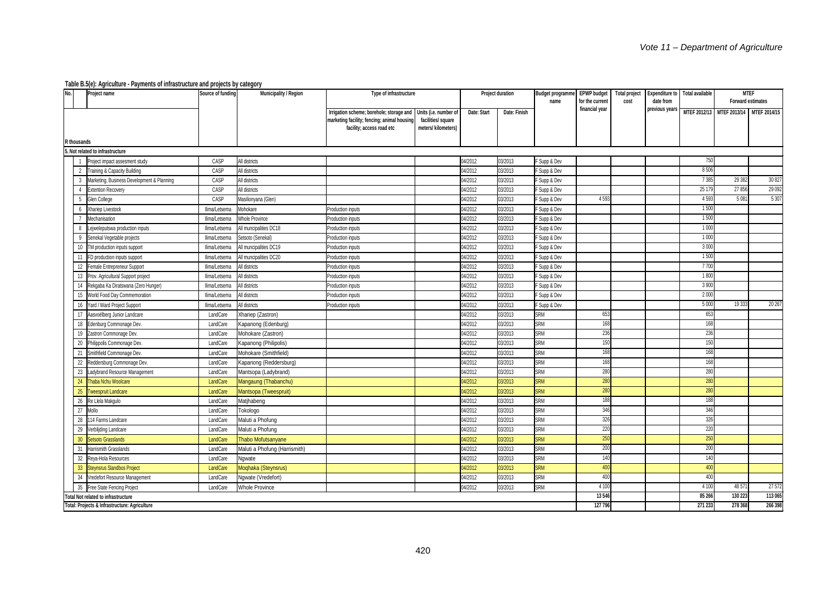**Table B.5(e): Agriculture - Payments of infrastructure and projects by category**

| No.                                                                            | Project name                               | Source of funding | Municipality / Region         | Type of infrastructure                                                                                               |                                                                   |             | Project duration | <b>Budget programme</b><br>name | <b>EPWP</b> budget<br>for the current | <b>Total project</b><br>cost | date from | Expenditure to   Total available                      | <b>MTEF</b><br>Forward estimates |         |
|--------------------------------------------------------------------------------|--------------------------------------------|-------------------|-------------------------------|----------------------------------------------------------------------------------------------------------------------|-------------------------------------------------------------------|-------------|------------------|---------------------------------|---------------------------------------|------------------------------|-----------|-------------------------------------------------------|----------------------------------|---------|
|                                                                                |                                            |                   |                               | Irrigation scheme; borehole; storage and<br>marketing facility; fencing; animal housing<br>facility; access road etc | Units (i.e. number of<br>facilities/ square<br>meters/kilometers) | Date: Start | Date: Finish     |                                 | financial year                        |                              |           | previous years MTEF 2012/13 MTEF 2013/14 MTEF 2014/15 |                                  |         |
| R thousands                                                                    |                                            |                   |                               |                                                                                                                      |                                                                   |             |                  |                                 |                                       |                              |           |                                                       |                                  |         |
|                                                                                | 5. Not related to infrastructure           |                   |                               |                                                                                                                      |                                                                   |             |                  |                                 |                                       |                              |           |                                                       |                                  |         |
|                                                                                | Project impact assesment study             | CASP              | All districts                 |                                                                                                                      |                                                                   | 04/2012     | 03/2013          | F Supp & Dev                    |                                       |                              |           | 750                                                   |                                  |         |
| $\overline{2}$                                                                 | Training & Capacity Building               | CASP              | All districts                 |                                                                                                                      |                                                                   | 04/2012     | 03/2013          | F Supp & Dev                    |                                       |                              |           | 8506                                                  |                                  |         |
| -3                                                                             | Marketing, Business Development & Planning | CASP              | All districts                 |                                                                                                                      |                                                                   | 04/2012     | 03/2013          | F Supp & Dev                    |                                       |                              |           | 7385                                                  | 29 3 82                          | 30827   |
|                                                                                | <b>Extention Recovery</b>                  | CASP              | All districts                 |                                                                                                                      |                                                                   | 04/2012     | 03/2013          | F Supp & Dev                    |                                       |                              |           | 25 1 7 9                                              | 27 856                           | 29 0 92 |
| -5                                                                             | Glen College                               | CASP              | Masilionyana (Glen)           |                                                                                                                      |                                                                   | 04/2012     | 03/2013          | F Supp & Dev                    | 4593                                  |                              |           | 4593                                                  | 5 0 8 1                          | 5 3 0 7 |
| $\overline{6}$                                                                 | Khariep Livestock                          | Ilima/Letsema     | Mohokare                      | Production inputs                                                                                                    |                                                                   | 04/2012     | 03/2013          | F Supp & Dev                    |                                       |                              |           | 1500                                                  |                                  |         |
|                                                                                | Mechanisation                              | Ilima/Letsema     | Whole Province                | Production inputs                                                                                                    |                                                                   | 04/2012     | 03/2013          | F Supp & Dev                    |                                       |                              |           | 1500                                                  |                                  |         |
| -8                                                                             | ejweleputswa production inputs             | Ilima/Letsema     | All muncipalities DC18        | Production inputs                                                                                                    |                                                                   | 04/2012     | 03/2013          | F Supp & Dev                    |                                       |                              |           | 1000                                                  |                                  |         |
| $\overline{Q}$                                                                 | Senekal Vegetable projects                 | Ilima/Letsema     | Setsoto (Senekal)             | Production inputs                                                                                                    |                                                                   | 04/2012     | 03/2013          | Supp & Dev                      |                                       |                              |           | 1000                                                  |                                  |         |
| 10                                                                             | TM production inputs support               | Ilima/Letsema     | All muncipalities DC19        | Production inputs                                                                                                    |                                                                   | 04/2012     | 03/2013          | F Supp & Dev                    |                                       |                              |           | 3 0 0 0                                               |                                  |         |
|                                                                                | FD production inputs support               | Ilima/Letsema     | All muncipalities DC20        | Production inputs                                                                                                    |                                                                   | 04/2012     | 03/2013          | F Supp & Dev                    |                                       |                              |           | 1500                                                  |                                  |         |
| 12                                                                             | Female Entrepreneur Support                | Ilima/Letsema     | All districts                 | Production inputs                                                                                                    |                                                                   | 04/2012     | 03/2013          | F Supp & Dev                    |                                       |                              |           | 7700                                                  |                                  |         |
|                                                                                | 13 Prov. Agricultural Support project      | Ilima/Letsema     | All districts                 | Production inputs                                                                                                    |                                                                   | 04/2012     | 03/2013          | F Supp & Dev                    |                                       |                              |           | 1800                                                  |                                  |         |
|                                                                                | Rekgaba Ka Diratswana (Zero Hunger)        | Ilima/Letsema     | All districts                 | Production inputs                                                                                                    |                                                                   | 04/2012     | 03/2013          | Supp & Dev                      |                                       |                              |           | 3 9 0 0                                               |                                  |         |
| 15                                                                             | World Food Day Commemoration               | Ilima/Letsema     | All districts                 | Production inputs                                                                                                    |                                                                   | 04/2012     | 03/2013          | F Supp & Dev                    |                                       |                              |           | 2000                                                  |                                  |         |
| 16                                                                             | Yard / Ward Project Support                | Ilima/Letsema     | All districts                 | Production inputs                                                                                                    |                                                                   | 04/2012     | 03/2013          | F Supp & Dev                    |                                       |                              |           | 5 0 0 0                                               | 19 333                           | 20 267  |
|                                                                                | Aasvoëlberg Junior Landcare                | LandCare          | Xhariep (Zastron)             |                                                                                                                      |                                                                   | 04/2012     | 03/2013          | <b>SRM</b>                      | 653                                   |                              |           | 653                                                   |                                  |         |
| 18                                                                             | Edenburg Commonage Dev.                    | LandCare          | Kapanong (Edenburg)           |                                                                                                                      |                                                                   | 04/2012     | 03/2013          | <b>SRM</b>                      | 168                                   |                              |           | 168                                                   |                                  |         |
| 19                                                                             | Zastron Commonage Dev.                     | LandCare          | Mohokare (Zastron)            |                                                                                                                      |                                                                   | 04/2012     | 03/2013          | SRM                             | 236                                   |                              |           | 236                                                   |                                  |         |
| 20                                                                             | Philippolis Commonage Dev.                 | LandCare          | Kapanong (Philipolis)         |                                                                                                                      |                                                                   | 04/2012     | 03/2013          | <b>SRM</b>                      | 150                                   |                              |           | 150                                                   |                                  |         |
| 21                                                                             | Smithfield Commonage Dev.                  | LandCare          | Mohokare (Smithfield)         |                                                                                                                      |                                                                   | 04/2012     | 03/2013          | <b>SRM</b>                      | 168                                   |                              |           | 168                                                   |                                  |         |
| 22                                                                             | Reddersburg Commonage Dev.                 | LandCare          | Kapanong (Reddersburg)        |                                                                                                                      |                                                                   | 04/2012     | 03/2013          | <b>SRM</b>                      | 168                                   |                              |           | 168                                                   |                                  |         |
| 23                                                                             | adybrand Resource Management               | LandCare          | Mantsopa (Ladybrand)          |                                                                                                                      |                                                                   | 04/2012     | 03/2013          | <b>SRM</b>                      | 280                                   |                              |           | 280                                                   |                                  |         |
| 24                                                                             | haba Nchu Woolcare                         | LandCare          | Mangaung (Thabanchu)          |                                                                                                                      |                                                                   | 04/2012     | 03/2013          | <b>SRM</b>                      | 280                                   |                              |           | 280                                                   |                                  |         |
| 25                                                                             | weespruit Landcare                         | LandCare          | Mantsopa (Tweespruit)         |                                                                                                                      |                                                                   | 04/2012     | 03/2013          | <b>SRM</b>                      | 280                                   |                              |           | 280                                                   |                                  |         |
| 26                                                                             | Re Llela Makgulo                           | LandCare          | Matjhabeng                    |                                                                                                                      |                                                                   | 04/2012     | 03/2013          | <b>SRM</b>                      | 188                                   |                              |           | 188                                                   |                                  |         |
| 27                                                                             | Mollo                                      | LandCare          | Tokologo                      |                                                                                                                      |                                                                   | 04/2012     | 03/2013          | <b>SRM</b>                      | 346                                   |                              |           | 346                                                   |                                  |         |
| 28                                                                             | 114 Farms Landcare                         | LandCare          | Maluti a Phofung              |                                                                                                                      |                                                                   | 04/2012     | 03/2013          | SRM                             | 326                                   |                              |           | 326                                                   |                                  |         |
| 29                                                                             | Verblijding Landcare                       | LandCare          | Maluti a Phofung              |                                                                                                                      |                                                                   | 04/2012     | 03/2013          | <b>SRM</b>                      | 220                                   |                              |           | 220                                                   |                                  |         |
| 30                                                                             | Setsoto Grasslands                         | LandCare          | Thabo Mofutsanyane            |                                                                                                                      |                                                                   | 04/2012     | 03/2013          | <b>SRM</b>                      | 250                                   |                              |           | 250                                                   |                                  |         |
| 31                                                                             | Harrismith Grasslands                      | LandCare          | Maluti a Phofung (Harrismith) |                                                                                                                      |                                                                   | 04/2012     | 03/2013          | <b>SRM</b>                      | 200                                   |                              |           | 200                                                   |                                  |         |
| 32                                                                             | Reya-Hola Resources                        | LandCare          | Ngwate                        |                                                                                                                      |                                                                   | 04/2012     | 03/2013          | <b>SRM</b>                      | 140                                   |                              |           | 140                                                   |                                  |         |
| 33 <sup>°</sup>                                                                | <b>Steynsrus Slandbos Project</b>          | LandCare          | Moqhaka (Steynsrus)           |                                                                                                                      |                                                                   | 04/2012     | 03/2013          | <b>SRM</b>                      | 400                                   |                              |           | 400                                                   |                                  |         |
|                                                                                | 34 Vredefort Resource Management           | LandCare          | Ngwate (Vredefort)            |                                                                                                                      |                                                                   | 04/2012     | 03/2013          | <b>SRM</b>                      | 400                                   |                              |           | 400                                                   |                                  |         |
| 35                                                                             | Free State Fencing Project                 | LandCare          | <b>Whole Province</b>         |                                                                                                                      |                                                                   | 04/2012     | 03/2013          | <b>SRM</b>                      | 4 1 0 0                               |                              |           | 4 1 0 0                                               | 48 571                           | 27572   |
|                                                                                | Total Not related to infrastructure        |                   |                               |                                                                                                                      |                                                                   |             |                  |                                 | 13546                                 |                              |           | 85 266                                                | 130 223                          | 113 065 |
| 127 796<br>271 233<br>278 368<br>Total: Projects & Infrastructure: Agriculture |                                            |                   |                               |                                                                                                                      |                                                                   |             |                  |                                 |                                       |                              | 266 398   |                                                       |                                  |         |